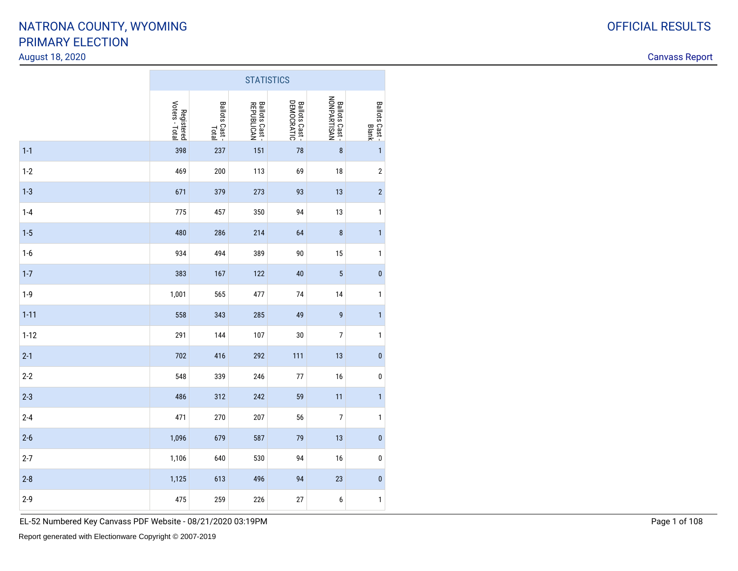#### August 18, 2020

Canvass Report

|          | <b>STATISTICS</b>            |                         |                                      |                              |                               |                        |  |  |  |  |  |
|----------|------------------------------|-------------------------|--------------------------------------|------------------------------|-------------------------------|------------------------|--|--|--|--|--|
|          | Voters - Total<br>Registered | Ballots Cast -<br>Total | <b>Ballots Cast -<br/>REPUBLICAN</b> | Ballots Cast -<br>DEMOCRATIC | Ballots Cast -<br>NONPARTISAN | Ballots Cast-<br>Blank |  |  |  |  |  |
| $1 - 1$  | 398                          | 237                     | 151                                  | 78                           | $\pmb{8}$                     | $\mathbf{1}$           |  |  |  |  |  |
| $1-2$    | 469                          | 200                     | 113                                  | 69                           | 18                            | $\sqrt{2}$             |  |  |  |  |  |
| $1 - 3$  | 671                          | 379                     | 273                                  | 93                           | 13                            | $\overline{c}$         |  |  |  |  |  |
| $1-4$    | 775                          | 457                     | 350                                  | 94                           | 13                            | $\mathbf{1}$           |  |  |  |  |  |
| $1-5$    | 480                          | 286                     | 214                                  | 64                           | 8                             | $\mathbf{1}$           |  |  |  |  |  |
| $1-6$    | 934                          | 494                     | 389                                  | 90                           | 15                            | $\mathbf{1}$           |  |  |  |  |  |
| $1 - 7$  | 383                          | 167                     | 122                                  | 40                           | $\overline{5}$                | $\pmb{0}$              |  |  |  |  |  |
| $1-9$    | 1,001                        | 565                     | 477                                  | 74                           | 14                            | $\mathbf{1}$           |  |  |  |  |  |
| $1 - 11$ | 558                          | 343                     | 285                                  | 49                           | 9                             | $\mathbf{1}$           |  |  |  |  |  |
| $1 - 12$ | 291                          | 144                     | 107                                  | 30                           | $\overline{7}$                | $\mathbf{1}$           |  |  |  |  |  |
| $2 - 1$  | 702                          | 416                     | 292                                  | 111                          | 13                            | $\pmb{0}$              |  |  |  |  |  |
| $2 - 2$  | 548                          | 339                     | 246                                  | 77                           | 16                            | $\pmb{0}$              |  |  |  |  |  |
| $2 - 3$  | 486                          | 312                     | 242                                  | 59                           | 11                            | $\mathbf{1}$           |  |  |  |  |  |
| $2 - 4$  | 471                          | 270                     | 207                                  | 56                           | $\overline{7}$                | $\mathbf{1}$           |  |  |  |  |  |
| $2 - 6$  | 1,096                        | 679                     | 587                                  | 79                           | 13                            | $\pmb{0}$              |  |  |  |  |  |
| $2 - 7$  | 1,106                        | 640                     | 530                                  | 94                           | 16                            | $\pmb{0}$              |  |  |  |  |  |
| $2 - 8$  | 1,125                        | 613                     | 496                                  | 94                           | 23                            | $\pmb{0}$              |  |  |  |  |  |
| $2 - 9$  | 475                          | 259                     | 226                                  | 27                           | 6                             | $\mathbf{1}$           |  |  |  |  |  |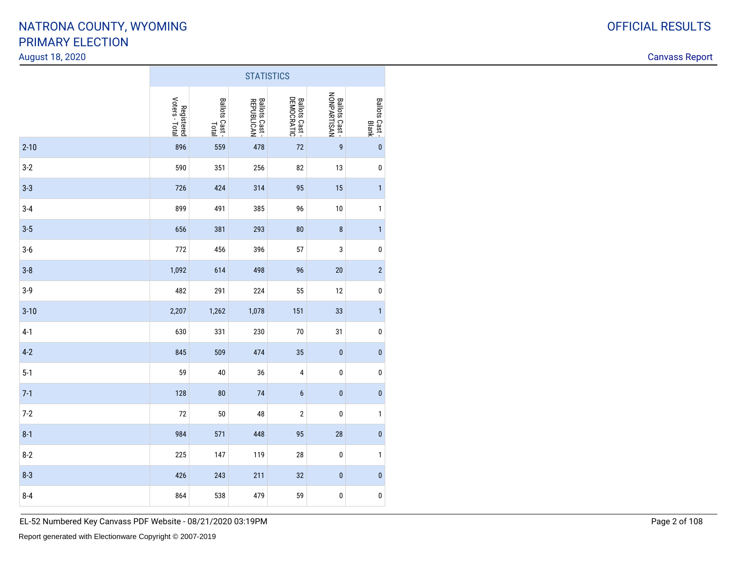#### August 18, 2020

Canvass Report

|          | <b>STATISTICS</b>            |                        |                                   |                                    |                                       |                                |  |  |  |  |  |
|----------|------------------------------|------------------------|-----------------------------------|------------------------------------|---------------------------------------|--------------------------------|--|--|--|--|--|
|          | Voters - Total<br>Registered | Ballots Cast-<br>Total | <b>Ballots Cast</b><br>REPUBLICAN | <b>DEMOCRATIC</b><br>Ballots Cast- | <b>Ballots Cast -<br/>NONPARTISAN</b> | Ballots Cast -<br><b>Blank</b> |  |  |  |  |  |
| $2 - 10$ | 896                          | 559                    | 478                               | 72                                 | $\boldsymbol{9}$                      | $\pmb{0}$                      |  |  |  |  |  |
| $3-2$    | 590                          | 351                    | 256                               | 82                                 | 13                                    | $\pmb{0}$                      |  |  |  |  |  |
| $3-3$    | 726                          | 424                    | 314                               | 95                                 | 15                                    | $\mathbf{1}$                   |  |  |  |  |  |
| $3 - 4$  | 899                          | 491                    | 385                               | 96                                 | 10                                    | $\mathbf{1}$                   |  |  |  |  |  |
| $3-5$    | 656                          | 381                    | 293                               | 80                                 | $\bf 8$                               | $\mathbf{1}$                   |  |  |  |  |  |
| $3-6$    | 772                          | 456                    | 396                               | 57                                 | 3                                     | $\pmb{0}$                      |  |  |  |  |  |
| $3-8$    | 1,092                        | 614                    | 498                               | 96                                 | 20                                    | $\overline{c}$                 |  |  |  |  |  |
| $3-9$    | 482                          | 291                    | 224                               | 55                                 | 12                                    | $\pmb{0}$                      |  |  |  |  |  |
| $3 - 10$ | 2,207                        | 1,262                  | 1,078                             | 151                                | 33                                    | $\mathbf{1}$                   |  |  |  |  |  |
| $4-1$    | 630                          | 331                    | 230                               | 70                                 | 31                                    | $\pmb{0}$                      |  |  |  |  |  |
| $4-2$    | 845                          | 509                    | 474                               | 35                                 | $\pmb{0}$                             | $\pmb{0}$                      |  |  |  |  |  |
| $5-1$    | 59                           | 40                     | 36                                | 4                                  | $\pmb{0}$                             | $\pmb{0}$                      |  |  |  |  |  |
| $7-1$    | 128                          | 80                     | 74                                | 6                                  | $\pmb{0}$                             | $\bf{0}$                       |  |  |  |  |  |
| $7-2$    | 72                           | 50                     | 48                                | $\sqrt{2}$                         | $\pmb{0}$                             | $\mathbf{1}$                   |  |  |  |  |  |
| $8 - 1$  | 984                          | 571                    | 448                               | 95                                 | 28                                    | $\pmb{0}$                      |  |  |  |  |  |
| $8-2$    | 225                          | 147                    | 119                               | 28                                 | $\pmb{0}$                             | $\mathbf{1}$                   |  |  |  |  |  |
| $8 - 3$  | 426                          | 243                    | 211                               | 32                                 | $\pmb{0}$                             | $\pmb{0}$                      |  |  |  |  |  |
| $8 - 4$  | 864                          | 538                    | 479                               | 59                                 | $\pmb{0}$                             | $\pmb{0}$                      |  |  |  |  |  |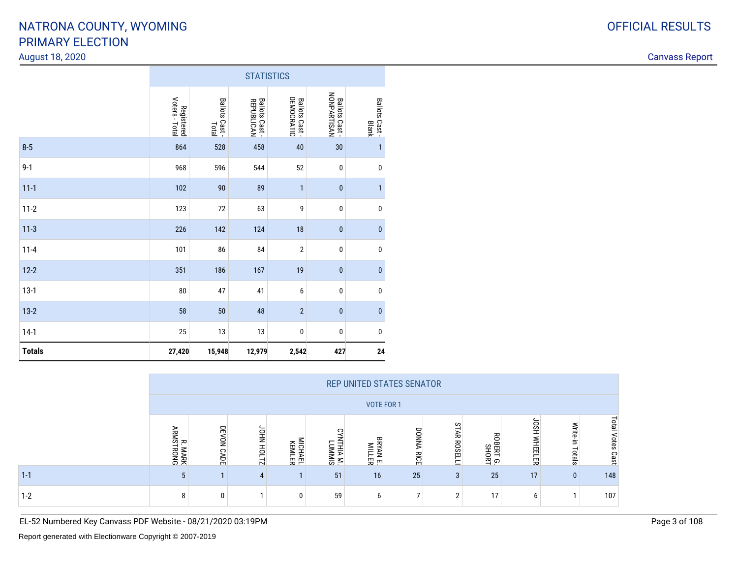#### August 18, 2020

Canvass Report

|               | <b>STATISTICS</b>            |                         |                                     |                                     |                                       |                         |  |  |  |  |  |
|---------------|------------------------------|-------------------------|-------------------------------------|-------------------------------------|---------------------------------------|-------------------------|--|--|--|--|--|
|               | Voters - Total<br>Registered | Ballots Cast -<br>Total | <b>Ballots Cast</b> -<br>REPUBLICAN | <b>DEMOCRATIC</b><br>Ballots Cast - | <b>Ballots Cast -<br/>NONPARTISAN</b> | Ballots Cast -<br>Blank |  |  |  |  |  |
| $8-5$         | 864                          | 528                     | 458                                 | 40                                  | 30                                    | $\mathbf{1}$            |  |  |  |  |  |
| $9 - 1$       | 968                          | 596                     | 544                                 | 52                                  | $\pmb{0}$                             | $\pmb{0}$               |  |  |  |  |  |
| $11 - 1$      | 102                          | 90                      | 89                                  | $\mathbf{1}$                        | $\mathbf{0}$                          | $\mathbf{1}$            |  |  |  |  |  |
| $11 - 2$      | 123                          | $72\,$                  | 63                                  | 9                                   | $\pmb{0}$                             | $\pmb{0}$               |  |  |  |  |  |
| $11-3$        | 226                          | 142                     | 124                                 | 18                                  | $\pmb{0}$                             | $\pmb{0}$               |  |  |  |  |  |
| $11 - 4$      | 101                          | 86                      | 84                                  | $\sqrt{2}$                          | 0                                     | $\pmb{0}$               |  |  |  |  |  |
| $12 - 2$      | 351                          | 186                     | 167                                 | 19                                  | $\mathbf{0}$                          | $\pmb{0}$               |  |  |  |  |  |
| $13-1$        | ${\bf 80}$                   | 47                      | 41                                  | 6                                   | $\pmb{0}$                             | $\pmb{0}$               |  |  |  |  |  |
| $13-2$        | 58                           | 50                      | 48                                  | $\overline{2}$                      | $\mathbf{0}$                          | $\pmb{0}$               |  |  |  |  |  |
| $14-1$        | 25                           | $13\,$                  | $13\,$                              | $\pmb{0}$                           | $\pmb{0}$                             | $\pmb{0}$               |  |  |  |  |  |
| <b>Totals</b> | 27,420                       | 15,948                  | 12,979                              | 2,542                               | 427                                   | 24                      |  |  |  |  |  |

|         | <b>REP UNITED STATES SENATOR</b>   |                      |                                       |                          |                    |               |                      |                     |                           |                        |                    |                            |
|---------|------------------------------------|----------------------|---------------------------------------|--------------------------|--------------------|---------------|----------------------|---------------------|---------------------------|------------------------|--------------------|----------------------------|
|         |                                    | <b>VOTE FOR 1</b>    |                                       |                          |                    |               |                      |                     |                           |                        |                    |                            |
|         | <b>ARMS</b><br><b>MARK</b><br>RONG | DEVON<br><b>CADE</b> | <b>JOH NHOD</b><br>$\rightarrow$<br>N | <b>MICHAEL</b><br>KEMLER | ITHIA M.<br>LUMMIS | ᡣ<br>5<br> 四円 | <b>DONNA</b><br>RICE | <b>STAR ROSELLI</b> | 召<br>员<br>BERTG.<br>SHORT | <b>USPI</b><br>WHEELER | Write-in<br>Totals | <b>DEB</b><br>otes<br>Cast |
| $1 - 1$ |                                    |                      |                                       |                          | 51                 | 16            | 25                   | 3                   | 25                        | 17                     | $\mathbf{0}$       | 148                        |
| $1-2$   | 8                                  | 0                    |                                       |                          | 59                 | b             |                      | $\sim$              | 17                        | b                      |                    | 107                        |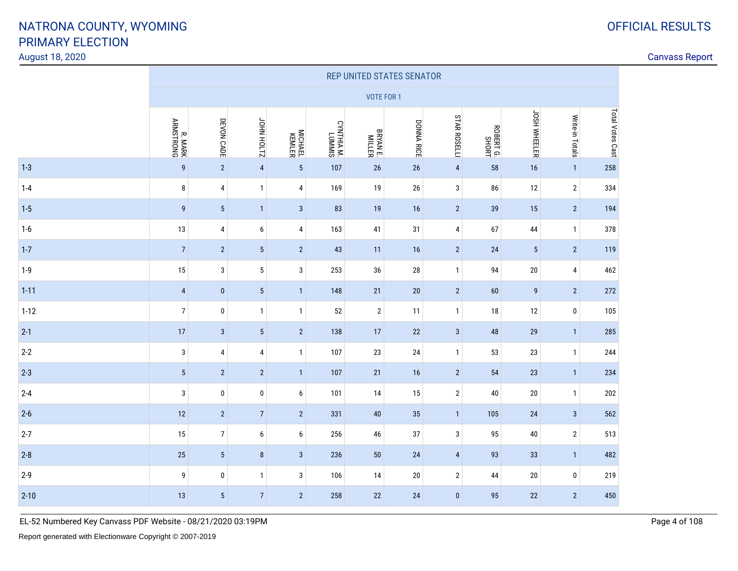#### August 18, 2020

### Canvass Report

|          | REP UNITED STATES SENATOR |                 |                 |                   |                      |                           |            |                     |                   |                     |                 |                  |
|----------|---------------------------|-----------------|-----------------|-------------------|----------------------|---------------------------|------------|---------------------|-------------------|---------------------|-----------------|------------------|
|          |                           |                 |                 |                   |                      | VOTE FOR 1                |            |                     |                   |                     |                 |                  |
|          | R. MARK<br>ARMSTRONG      | DEVON CADE      | JOHN HOLTZ      | MICHAEL<br>KEMLER | CYNTHIA M.<br>LUMMIS | <b>BRYAN E.</b><br>MILLER | DONNA RICE | <b>STAR ROSELLI</b> | ROBERTG.<br>SHORT | <b>JOSH WHEELER</b> | Write-in Totals | Total Votes Cast |
| $1 - 3$  | $\boldsymbol{9}$          | $\sqrt{2}$      | $\sqrt{4}$      | $5\,$             | 107                  | 26                        | 26         | $\sqrt{4}$          | 58                | 16                  | $\overline{1}$  | 258              |
| $1 - 4$  | 8                         | 4               | $\mathbf{1}$    | 4                 | 169                  | 19                        | 26         | 3                   | 86                | 12                  | $\overline{2}$  | 334              |
| $1 - 5$  | $\boldsymbol{9}$          | $\sqrt{5}$      | $\mathbf{1}$    | $\sqrt{3}$        | 83                   | 19                        | 16         | $\overline{2}$      | 39                | 15                  | $\overline{2}$  | 194              |
| $1-6$    | 13                        | 4               | 6               | 4                 | 163                  | 41                        | 31         | 4                   | 67                | 44                  | $\overline{1}$  | 378              |
| $1 - 7$  | $\sqrt{7}$                | $\sqrt{2}$      | $5\phantom{.0}$ | $\overline{2}$    | 43                   | 11                        | 16         | $\overline{2}$      | 24                | $5\,$               | $\overline{2}$  | 119              |
| $1-9$    | 15                        | 3               | 5               | $\mathbf{3}$      | 253                  | 36                        | 28         | $\mathbf{1}$        | 94                | 20                  | 4               | 462              |
| $1 - 11$ | $\sqrt{4}$                | $\pmb{0}$       | $5\phantom{.0}$ | $\mathbf{1}$      | 148                  | 21                        | 20         | $\overline{2}$      | 60                | $\boldsymbol{9}$    | $\overline{2}$  | 272              |
| $1 - 12$ | $\overline{7}$            | $\pmb{0}$       | $\mathbf{1}$    | $\mathbf{1}$      | 52                   | $\sqrt{2}$                | 11         | $\mathbf{1}$        | 18                | 12                  | 0               | 105              |
| $2 - 1$  | 17                        | $\sqrt{3}$      | $5\phantom{.0}$ | $\sqrt{2}$        | 138                  | $17\,$                    | $22\,$     | $\sqrt{3}$          | 48                | 29                  | $\overline{1}$  | 285              |
| $2 - 2$  | $\sqrt{3}$                | 4               | $\overline{4}$  | $\mathbf{1}$      | 107                  | 23                        | 24         | $\mathbf{1}$        | 53                | 23                  | $\overline{1}$  | 244              |
| $2 - 3$  | $\sqrt{5}$                | $\sqrt{2}$      | $\overline{2}$  | $\mathbf{1}$      | 107                  | $21$                      | 16         | $\overline{2}$      | 54                | 23                  | $\overline{1}$  | 234              |
| $2 - 4$  | $\sqrt{3}$                | $\pmb{0}$       | $\pmb{0}$       | 6                 | 101                  | 14                        | 15         | $\sqrt{2}$          | 40                | 20                  | $\overline{1}$  | 202              |
| $2 - 6$  | 12                        | $\sqrt{2}$      | $\sqrt{7}$      | $\overline{2}$    | 331                  | $40\,$                    | 35         | $\mathbf{1}$        | 105               | $24$                | $\mathbf{3}$    | 562              |
| $2 - 7$  | 15                        | $\overline{7}$  | 6               | 6                 | 256                  | 46                        | 37         | $\sqrt{3}$          | 95                | 40                  | $\sqrt{2}$      | 513              |
| $2 - 8$  | 25                        | $\overline{5}$  | $\bf 8$         | $\mathbf{3}$      | 236                  | $50\,$                    | 24         | $\sqrt{4}$          | 93                | 33                  | $\overline{1}$  | 482              |
| $2 - 9$  | 9                         | 0               | $\mathbf{1}$    | $\sqrt{3}$        | 106                  | 14                        | 20         | $\sqrt{2}$          | 44                | 20                  | 0               | 219              |
| $2 - 10$ | 13                        | $5\phantom{.0}$ | $\overline{7}$  | $\overline{2}$    | 258                  | 22                        | 24         | $\bf{0}$            | 95                | 22                  | $\overline{2}$  | 450              |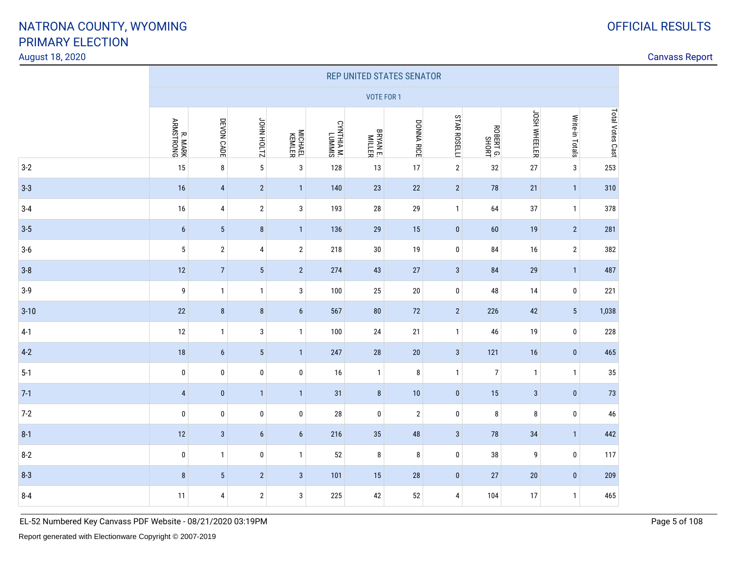#### August 18, 2020

### Canvass Report

|          | REP UNITED STATES SENATOR |                 |                   |                   |                      |                           |                |                     |                |              |                 |                  |
|----------|---------------------------|-----------------|-------------------|-------------------|----------------------|---------------------------|----------------|---------------------|----------------|--------------|-----------------|------------------|
|          |                           |                 |                   |                   |                      | <b>VOTE FOR 1</b>         |                |                     |                |              |                 |                  |
|          | R. MARK<br>ARMSTRONG      | DEVON CADE      | <b>STIOH NHOL</b> | MICHAEL<br>KEMLER | CYNTHIA M.<br>LUMMIS | <b>BRYAN E.</b><br>MILLER | DONNA RICE     | <b>STAR ROSELLI</b> | ROBERTG.       | JOSH WHEELER | Write-in Totals | Total Votes Cast |
| $3-2$    | 15                        | 8               | $5\phantom{a}$    | $\sqrt{3}$        | 128                  | 13                        | 17             | $\sqrt{2}$          | 32             | 27           | $\mathbf{3}$    | 253              |
| $3 - 3$  | 16                        | $\overline{4}$  | $\overline{2}$    | $\overline{1}$    | 140                  | 23                        | 22             | $\overline{2}$      | 78             | 21           | $\mathbf{1}$    | 310              |
| $3-4$    | 16                        | 4               | $\overline{2}$    | 3                 | 193                  | 28                        | 29             | $\mathbf{1}$        | 64             | 37           | $\mathbf{1}$    | 378              |
| $3 - 5$  | $6\phantom{a}$            | $5\phantom{.0}$ | 8                 | $\mathbf{1}$      | 136                  | 29                        | 15             | $\bf{0}$            | 60             | 19           | $2^{\circ}$     | 281              |
| $3-6$    | $\overline{5}$            | $\sqrt{2}$      | 4                 | $\sqrt{2}$        | 218                  | $30\,$                    | 19             | 0                   | 84             | 16           | $\overline{2}$  | 382              |
| $3 - 8$  | 12                        | $7\overline{ }$ | $5\,$             | $\sqrt{2}$        | 274                  | 43                        | 27             | $\mathbf{3}$        | 84             | 29           | $\mathbf{1}$    | 487              |
| $3-9$    | 9                         | $\mathbf{1}$    | $\mathbf{1}$      | $\sqrt{3}$        | 100                  | 25                        | 20             | $\bf{0}$            | 48             | 14           | $\bf{0}$        | 221              |
| $3 - 10$ | $22\,$                    | $\bf 8$         | $\bf 8$           | $6\phantom{1}$    | 567                  | ${\bf 80}$                | 72             | $\overline{2}$      | 226            | 42           | $5\,$           | 1,038            |
| $4-1$    | 12                        | $\mathbf{1}$    | 3                 | $\mathbf{1}$      | 100                  | 24                        | 21             | $\mathbf{1}$        | 46             | 19           | 0               | 228              |
| $4 - 2$  | 18                        | $6\phantom{a}$  | $5\phantom{.0}$   | $\overline{1}$    | 247                  | 28                        | 20             | $\mathbf{3}$        | 121            | 16           | $\mathbf{0}$    | 465              |
| $5-1$    | $\pmb{0}$                 | $\pmb{0}$       | 0                 | 0                 | 16                   | $\overline{1}$            | 8              | $\mathbf{1}$        | $\overline{7}$ | $\mathbf{1}$ | $\mathbf{1}$    | $35\,$           |
| $7-1$    | $\overline{4}$            | $\pmb{0}$       | $\mathbf{1}$      | $\mathbf{1}$      | 31                   | 8                         | 10             | $\bf{0}$            | 15             | $\mathbf{3}$ | $\bf{0}$        | $73$             |
| $7 - 2$  | $\mathbf 0$               | $\mathbf 0$     | $\mathbf 0$       | 0                 | 28                   | $\mathbf 0$               | $\overline{2}$ | 0                   | 8              | 8            | $\mathbf 0$     | 46               |
| $8-1$    | 12                        | $\sqrt{3}$      | $6\phantom{1}$    | $6\phantom{1}$    | 216                  | 35                        | 48             | $\mathbf{3}$        | 78             | 34           | $\mathbf{1}$    | 442              |
| $8 - 2$  | $\pmb{0}$                 | $\mathbf{1}$    | 0                 | $\mathbf{1}$      | 52                   | 8                         | 8              | $\bf{0}$            | $38\,$         | 9            | $\bf{0}$        | 117              |
| $8 - 3$  | 8                         | $\sqrt{5}$      | $\sqrt{2}$        | $\sqrt{3}$        | 101                  | 15                        | 28             | $\pmb{0}$           | 27             | $20\,$       | $\bf{0}$        | 209              |
| $8 - 4$  | 11                        | 4               | $\sqrt{2}$        | 3                 | 225                  | 42                        | 52             | 4                   | 104            | 17           | $\mathbf{1}$    | 465              |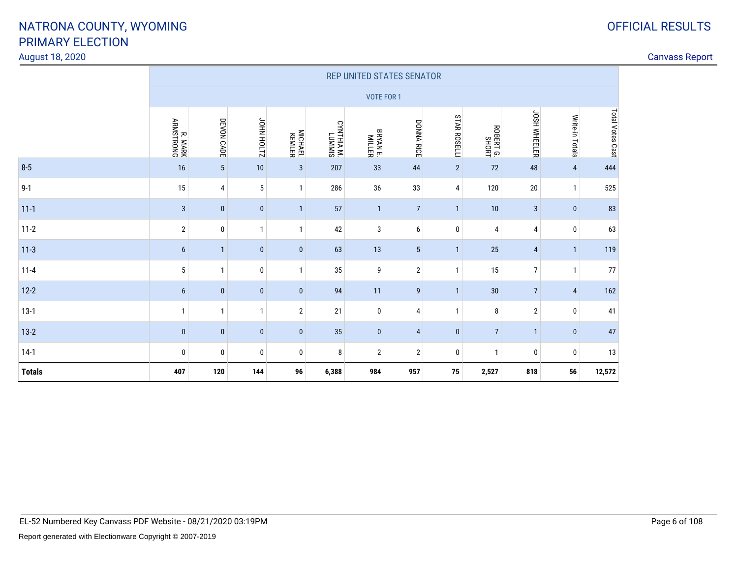#### August 18, 2020

|               | REP UNITED STATES SENATOR |                 |                   |                   |                      |                           |                  |                     |                   |                |                 |                  |
|---------------|---------------------------|-----------------|-------------------|-------------------|----------------------|---------------------------|------------------|---------------------|-------------------|----------------|-----------------|------------------|
|               |                           |                 |                   |                   |                      | VOTE FOR 1                |                  |                     |                   |                |                 |                  |
|               | R. MARK<br>ARMSTRONG      | DEVON CADE      | <b>ZITOH NHOP</b> | MICHAEL<br>KEMLER | SIMMNT<br>TW VIHINAO | <b>BRYAN E.</b><br>MILLER | DONNA RICE       | <b>STAR ROSELLI</b> | ROBERTG.<br>SHORT | JOSH WHEELER   | Write-in Totals | Total Votes Cast |
| $8 - 5$       | 16                        | $5\phantom{.0}$ | 10                | $\mathbf{3}$      | 207                  | 33                        | 44               | $\overline{2}$      | 72                | 48             | 4               | 444              |
| $9 - 1$       | 15                        | 4               | 5                 | $\mathbf{1}$      | 286                  | 36                        | 33               | 4                   | 120               | $20\,$         | $\mathbf{1}$    | 525              |
| $11 - 1$      | $\sqrt{3}$                | $\bf{0}$        | $\mathbf{0}$      | $\overline{1}$    | 57                   | $\mathbf{1}$              | $\overline{7}$   | $\mathbf{1}$        | 10                | $\mathbf{3}$   | $\mathbf 0$     | 83               |
| $11-2$        | $\overline{2}$            | 0               | $\mathbf{1}$      | $\overline{1}$    | 42                   | 3                         | 6                | 0                   | 4                 | 4              | 0               | 63               |
| $11-3$        | $6\phantom{a}$            | $\mathbf{1}$    | $\bf{0}$          | $\mathbf{0}$      | 63                   | 13                        | $\sqrt{5}$       | $\overline{1}$      | 25                | 4              | $\vert$ 1.      | 119              |
| $11 - 4$      | $5\,$                     | $\mathbf{1}$    | $\mathbf 0$       | $\mathbf{1}$      | 35                   | 9                         | $\sqrt{2}$       | $\mathbf{1}$        | 15                | $\overline{7}$ | $\mathbf{1}$    | 77               |
| $12 - 2$      | $6\phantom{a}$            | $\pmb{0}$       | $\pmb{0}$         | $\mathbf{0}$      | 94                   | 11                        | $\boldsymbol{9}$ | 1                   | 30                | $\overline{7}$ | 4               | 162              |
| $13-1$        | $\mathbf{1}$              | $\mathbf{1}$    | $\mathbf{1}$      | $\overline{2}$    | 21                   | $\pmb{0}$                 | 4                | $\mathbf{1}$        | 8                 | $\mathbf{2}$   | 0               | 41               |
| $13-2$        | $\bf{0}$                  | $\bf{0}$        | $\bf{0}$          | $\mathbf{0}$      | 35                   | $\pmb{0}$                 | $\overline{4}$   | $\bf{0}$            | $\overline{7}$    | $\mathbf{1}$   | 0               | 47               |
| $14-1$        | $\pmb{0}$                 | $\bf{0}$        | $\mathbf 0$       | $\mathbf 0$       | 8                    | $\overline{2}$            | $\overline{2}$   | 0                   | $\mathbf{1}$      | 0              | $\mathbf 0$     | 13               |
| <b>Totals</b> | 407                       | 120             | 144               | 96                | 6,388                | 984                       | 957              | 75                  | 2,527             | 818            | 56              | 12,572           |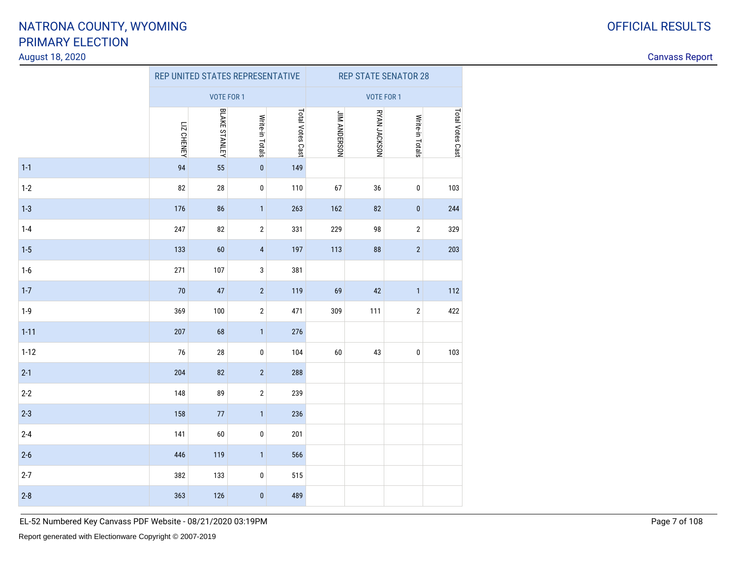#### August 18, 2020

Canvass Report

|          |            | REP UNITED STATES REPRESENTATIVE |                 |                  | <b>REP STATE SENATOR 28</b> |              |                 |                  |  |  |
|----------|------------|----------------------------------|-----------------|------------------|-----------------------------|--------------|-----------------|------------------|--|--|
|          |            | <b>VOTE FOR 1</b>                |                 |                  | <b>VOTE FOR 1</b>           |              |                 |                  |  |  |
|          | LIZ CHENEY | BLAKE STANLEY                    | Write-in Totals | Total Votes Cast | <b>JIM ANDERSON</b>         | RYAN JACKSON | Write-in Totals | Total Votes Cast |  |  |
| $1 - 1$  | 94         | 55                               | $\pmb{0}$       | 149              |                             |              |                 |                  |  |  |
| $1 - 2$  | 82         | $28\,$                           | $\pmb{0}$       | 110              | 67                          | 36           | $\pmb{0}$       | 103              |  |  |
| $1 - 3$  | 176        | 86                               | $\mathbf{1}$    | 263              | 162                         | 82           | $\pmb{0}$       | 244              |  |  |
| $1 - 4$  | 247        | 82                               | $\sqrt{2}$      | 331              | 229                         | 98           | $\sqrt{2}$      | 329              |  |  |
| $1 - 5$  | 133        | 60                               | $\pmb{4}$       | 197              | 113                         | 88           | $\sqrt{2}$      | 203              |  |  |
| $1-6$    | 271        | 107                              | 3               | 381              |                             |              |                 |                  |  |  |
| $1 - 7$  | 70         | 47                               | $\sqrt{2}$      | 119              | 69                          | 42           | $\mathbf{1}$    | 112              |  |  |
| $1-9$    | 369        | 100                              | $\sqrt{2}$      | 471              | 309                         | 111          | $\sqrt{2}$      | 422              |  |  |
| $1 - 11$ | 207        | 68                               | $\mathbf{1}$    | 276              |                             |              |                 |                  |  |  |
| $1 - 12$ | 76         | ${\bf 28}$                       | $\pmb{0}$       | 104              | 60                          | 43           | $\pmb{0}$       | 103              |  |  |
| $2-1$    | 204        | 82                               | $\sqrt{2}$      | 288              |                             |              |                 |                  |  |  |
| $2 - 2$  | 148        | 89                               | $\sqrt{2}$      | 239              |                             |              |                 |                  |  |  |
| $2 - 3$  | 158        | $77$                             | $\mathbf{1}$    | 236              |                             |              |                 |                  |  |  |
| $2 - 4$  | 141        | 60                               | $\pmb{0}$       | 201              |                             |              |                 |                  |  |  |
| $2-6$    | 446        | 119                              | $\mathbf{1}$    | 566              |                             |              |                 |                  |  |  |
| $2 - 7$  | 382        | 133                              | $\pmb{0}$       | 515              |                             |              |                 |                  |  |  |
| $2-8$    | 363        | 126                              | $\pmb{0}$       | 489              |                             |              |                 |                  |  |  |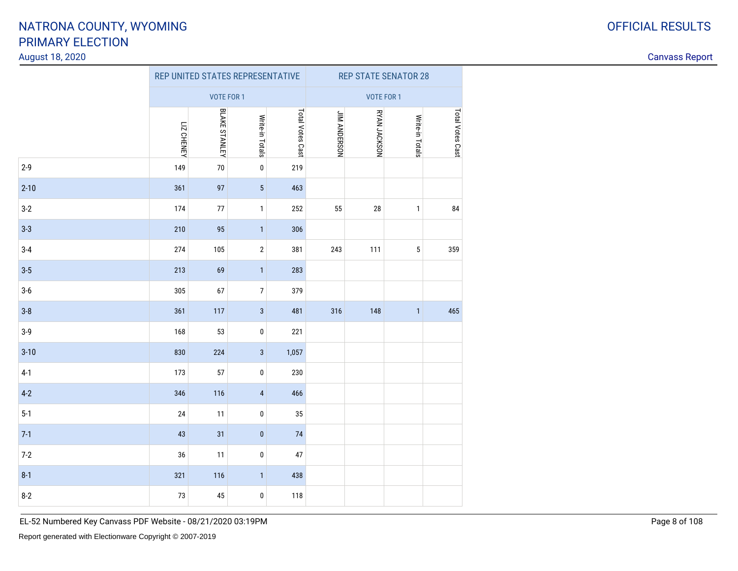#### August 18, 2020

Canvass Report

|          |                   | REP UNITED STATES REPRESENTATIVE |                 |                  | <b>REP STATE SENATOR 28</b> |              |                 |                  |  |  |
|----------|-------------------|----------------------------------|-----------------|------------------|-----------------------------|--------------|-----------------|------------------|--|--|
|          |                   | <b>VOTE FOR 1</b>                |                 |                  | <b>VOTE FOR 1</b>           |              |                 |                  |  |  |
|          | <b>LIZ CHENEY</b> | <b>BLAKE STANLEY</b>             | Write-in Totals | Total Votes Cast | <b>UIM ANDERSON</b>         | RYAN JACKSON | Write-in Totals | Total Votes Cast |  |  |
| $2-9$    | 149               | $70\,$                           | $\pmb{0}$       | 219              |                             |              |                 |                  |  |  |
| $2 - 10$ | 361               | 97                               | $\sqrt{5}$      | 463              |                             |              |                 |                  |  |  |
| $3-2$    | 174               | $77 \,$                          | $\mathbf{1}$    | 252              | 55                          | $28\,$       | $\mathbf{1}$    | 84               |  |  |
| $3 - 3$  | 210               | 95                               | $\mathbf{1}$    | 306              |                             |              |                 |                  |  |  |
| $3-4$    | 274               | 105                              | $\sqrt{2}$      | 381              | 243                         | 111          | $\sqrt{5}$      | 359              |  |  |
| $3-5$    | 213               | 69                               | $\mathbf{1}$    | 283              |                             |              |                 |                  |  |  |
| $3-6$    | 305               | 67                               | $\overline{7}$  | 379              |                             |              |                 |                  |  |  |
| $3-8$    | 361               | 117                              | $\sqrt{3}$      | 481              | 316                         | 148          | $\mathbf{1}$    | 465              |  |  |
| $3-9$    | 168               | 53                               | $\pmb{0}$       | 221              |                             |              |                 |                  |  |  |
| $3 - 10$ | 830               | 224                              | $\sqrt{3}$      | 1,057            |                             |              |                 |                  |  |  |
| $4-1$    | 173               | 57                               | $\pmb{0}$       | 230              |                             |              |                 |                  |  |  |
| $4 - 2$  | 346               | 116                              | $\sqrt{4}$      | 466              |                             |              |                 |                  |  |  |
| $5-1$    | 24                | 11                               | $\pmb{0}$       | 35               |                             |              |                 |                  |  |  |
| $7-1$    | 43                | 31                               | $\pmb{0}$       | 74               |                             |              |                 |                  |  |  |
| $7-2$    | 36                | 11                               | 0               | 47               |                             |              |                 |                  |  |  |
| $8 - 1$  | 321               | 116                              | $\mathbf{1}$    | 438              |                             |              |                 |                  |  |  |
| $8-2$    | 73                | 45                               | 0               | 118              |                             |              |                 |                  |  |  |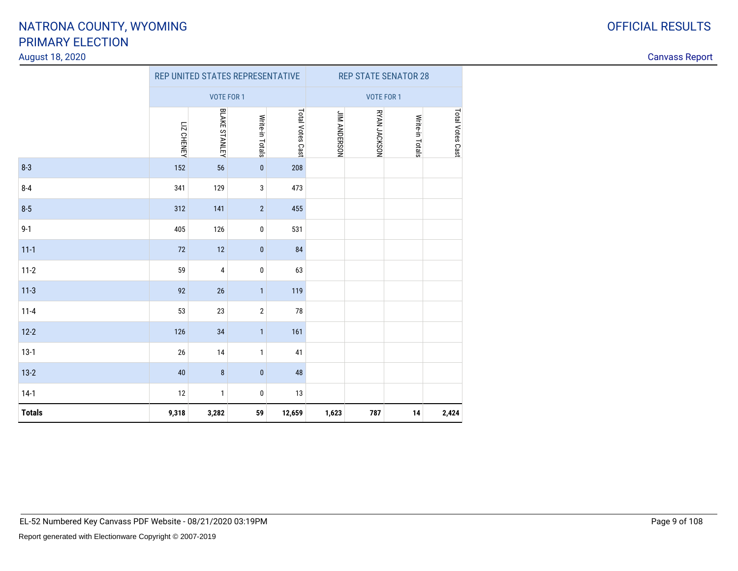#### August 18, 2020

|               |                   |                         | REP UNITED STATES REPRESENTATIVE |                  | <b>REP STATE SENATOR 28</b> |              |                 |                  |  |  |
|---------------|-------------------|-------------------------|----------------------------------|------------------|-----------------------------|--------------|-----------------|------------------|--|--|
|               |                   | VOTE FOR 1              |                                  |                  | <b>VOTE FOR 1</b>           |              |                 |                  |  |  |
|               | <b>LIZ CHENEY</b> | <b>BLAKE STANLEY</b>    | Write-in Totals                  | Total Votes Cast | <b>JIM ANDERSON</b>         | RYAN JACKSON | Write-in Totals | Total Votes Cast |  |  |
| $8 - 3$       | 152               | 56                      | $\pmb{0}$                        | 208              |                             |              |                 |                  |  |  |
| $8 - 4$       | 341               | 129                     | 3                                | 473              |                             |              |                 |                  |  |  |
| $8 - 5$       | 312               | 141                     | $\overline{2}$                   | 455              |                             |              |                 |                  |  |  |
| $9 - 1$       | 405               | 126                     | 0                                | 531              |                             |              |                 |                  |  |  |
| $11 - 1$      | 72                | 12                      | $\pmb{0}$                        | 84               |                             |              |                 |                  |  |  |
| $11-2$        | 59                | $\overline{\mathbf{4}}$ | 0                                | 63               |                             |              |                 |                  |  |  |
| $11-3$        | 92                | 26                      | $\mathbf{1}$                     | 119              |                             |              |                 |                  |  |  |
| $11 - 4$      | 53                | 23                      | $\sqrt{2}$                       | 78               |                             |              |                 |                  |  |  |
| $12 - 2$      | 126               | 34                      | $\mathbf{1}$                     | 161              |                             |              |                 |                  |  |  |
| $13-1$        | 26                | 14                      | $\mathbf{1}$                     | 41               |                             |              |                 |                  |  |  |
| $13-2$        | 40                | $\bf 8$                 | $\pmb{0}$                        | 48               |                             |              |                 |                  |  |  |
| $14-1$        | 12                | $\mathbf{1}$            | 0                                | 13               |                             |              |                 |                  |  |  |
| <b>Totals</b> | 9,318             | 3,282                   | 59                               | 12,659           | 1,623                       | 787          | 14              | 2,424            |  |  |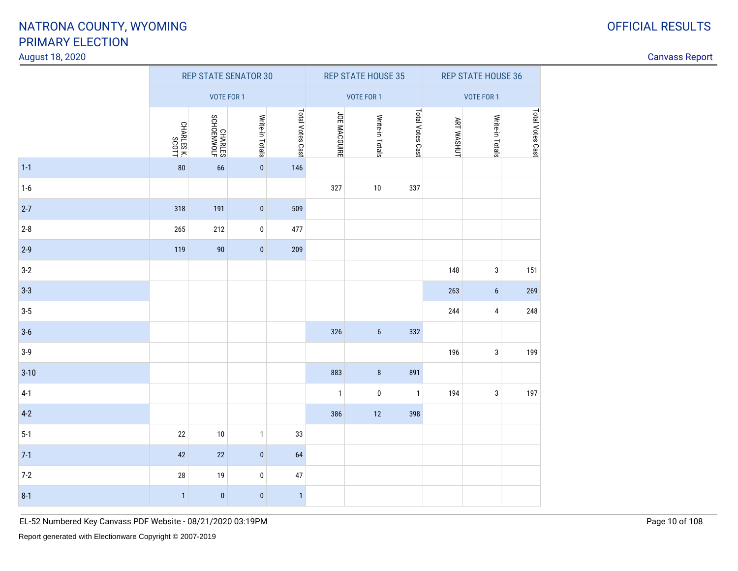#### August 18, 2020

| August 18, 2020 |                          |                             |                 |                  |                |                           |                  |                   |                           |                  | <b>Canvass Report</b> |
|-----------------|--------------------------|-----------------------------|-----------------|------------------|----------------|---------------------------|------------------|-------------------|---------------------------|------------------|-----------------------|
|                 |                          | <b>REP STATE SENATOR 30</b> |                 |                  |                | <b>REP STATE HOUSE 35</b> |                  |                   | <b>REP STATE HOUSE 36</b> |                  |                       |
|                 |                          | VOTE FOR 1                  |                 |                  | VOTE FOR 1     |                           |                  | VOTE FOR 1        |                           |                  |                       |
|                 | CHARLES K.<br>CHARLES K. | CHARLES<br>SCHOENWOLF       | Write-in Totals | Total Votes Cast | JOE MACGUIRE   | Write-in Totals           | Total Votes Cast | <b>ART WASHUT</b> | Write-in Totals           | Total Votes Cast |                       |
| $1-1$           | $80\,$                   | 66                          | $\overline{0}$  | 146              |                |                           |                  |                   |                           |                  |                       |
| $1-6$           |                          |                             |                 |                  | 327            | $10\,$                    | 337              |                   |                           |                  |                       |
| $2-7$           | 318                      | 191                         | $\overline{0}$  | 509              |                |                           |                  |                   |                           |                  |                       |
| $2 - 8$         | 265                      | 212                         | $\mathbf 0$     | 477              |                |                           |                  |                   |                           |                  |                       |
| $2-9$           | 119                      | $90\,$                      | $\overline{0}$  | 209              |                |                           |                  |                   |                           |                  |                       |
| $3-2$           |                          |                             |                 |                  |                |                           |                  | 148               | $\mathbf{3}$              | 151              |                       |
| $3-3$           |                          |                             |                 |                  |                |                           |                  | 263               | $\boldsymbol{6}$          | 269              |                       |
| $3-5$           |                          |                             |                 |                  |                |                           |                  | 244               | $\overline{4}$            | 248              |                       |
| $3-6$           |                          |                             |                 |                  | 326            | $6\phantom{a}$            | 332              |                   |                           |                  |                       |
| $3-9$           |                          |                             |                 |                  |                |                           |                  | 196               | $\mathbf{3}$              | 199              |                       |
| $3 - 10$        |                          |                             |                 |                  | 883            | $\bf 8$                   | 891              |                   |                           |                  |                       |
| $4-1$           |                          |                             |                 |                  | $\overline{1}$ | $\pmb{0}$                 | $\overline{1}$   | 194               | $\mathbf{3}$              | 197              |                       |
| $4-2$           |                          |                             |                 |                  | 386            | 12                        | 398              |                   |                           |                  |                       |
| $5-1$           | $22\,$                   | $10\,$                      | $\mathbf{1}$    | 33               |                |                           |                  |                   |                           |                  |                       |
| $7-1$           | 42                       | 22                          | $\vert 0 \vert$ | 64               |                |                           |                  |                   |                           |                  |                       |
| $7-2$           | $28\,$                   | 19                          | $\mathbf 0$     | $47\,$           |                |                           |                  |                   |                           |                  |                       |
| $8 - 1$         | $\vert$ 1                | $\bf{0}$                    | $\overline{0}$  | 1                |                |                           |                  |                   |                           |                  |                       |
|                 |                          |                             |                 |                  |                |                           |                  |                   |                           |                  |                       |

EL-52 Numbered Key Canvass PDF Website - 08/21/2020 03:19PM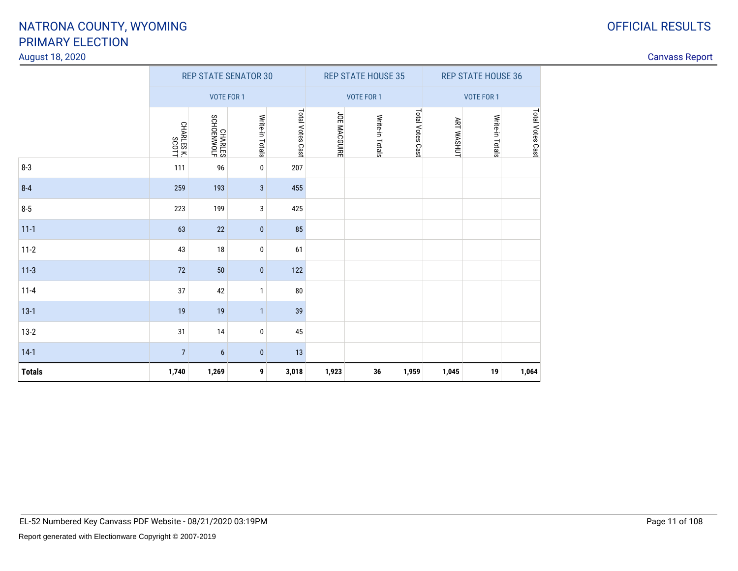#### August 18, 2020

| <b>OFFICIAL RESULTS</b> |
|-------------------------|
|                         |

|               |                     |                       | <b>REP STATE SENATOR 30</b> |                  |              | <b>REP STATE HOUSE 35</b> |                  | <b>REP STATE HOUSE 36</b> |                   |                  |  |  |
|---------------|---------------------|-----------------------|-----------------------------|------------------|--------------|---------------------------|------------------|---------------------------|-------------------|------------------|--|--|
|               |                     | <b>VOTE FOR 1</b>     |                             |                  |              | VOTE FOR 1                |                  |                           | <b>VOTE FOR 1</b> |                  |  |  |
|               | CHARLES K.<br>SCOTT | CHARLES<br>SCHOENWOLF | Write-in Totals             | Total Votes Cast | JOE MACGUIRE | Write-in Totals           | Total Votes Cast | <b>ART WASHUT</b>         | Write-in Totals   | Total Votes Cast |  |  |
| $8 - 3$       | 111                 | 96                    | 0                           | 207              |              |                           |                  |                           |                   |                  |  |  |
| $8 - 4$       | 259                 | 193                   | 3                           | 455              |              |                           |                  |                           |                   |                  |  |  |
| $8-5$         | 223                 | 199                   | 3                           | 425              |              |                           |                  |                           |                   |                  |  |  |
| $11-1$        | 63                  | 22                    | $\pmb{0}$                   | 85               |              |                           |                  |                           |                   |                  |  |  |
| $11-2$        | 43                  | 18                    | 0                           | 61               |              |                           |                  |                           |                   |                  |  |  |
| $11-3$        | 72                  | $50\,$                | $\bf{0}$                    | 122              |              |                           |                  |                           |                   |                  |  |  |
| $11 - 4$      | 37                  | 42                    | $\overline{1}$              | 80               |              |                           |                  |                           |                   |                  |  |  |
| $13-1$        | 19                  | 19                    | $\overline{1}$              | 39               |              |                           |                  |                           |                   |                  |  |  |
| $13-2$        | 31                  | 14                    | 0                           | 45               |              |                           |                  |                           |                   |                  |  |  |
| $14-1$        | $\overline{7}$      | $6\phantom{a}$        | $\pmb{0}$                   | 13               |              |                           |                  |                           |                   |                  |  |  |
| <b>Totals</b> | 1,740               | 1,269                 | 9                           | 3,018            | 1,923        | 36                        | 1,959            | 1,045                     | 19                | 1,064            |  |  |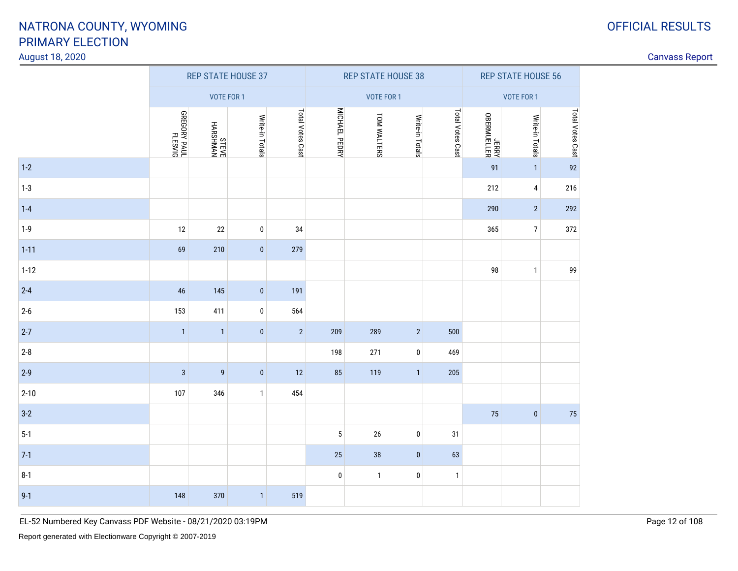#### August 18, 2020

| August 18, 2020 |                                    |                           |                 |                  |               |                    |                           |                  |                           |                 |                  |  |
|-----------------|------------------------------------|---------------------------|-----------------|------------------|---------------|--------------------|---------------------------|------------------|---------------------------|-----------------|------------------|--|
|                 |                                    | <b>REP STATE HOUSE 37</b> |                 |                  |               |                    | <b>REP STATE HOUSE 38</b> |                  | <b>REP STATE HOUSE 56</b> |                 |                  |  |
|                 |                                    | VOTE FOR 1                |                 |                  |               |                    | VOTE FOR 1                |                  |                           | VOTE FOR 1      |                  |  |
|                 | <b>GREGORY PAUL</b><br>JUAP KESVIG | NYMHSHYH<br>BAELS         | Write-in Totals | Total Votes Cast | MICHAEL PEDRY | <b>TOM WALTERS</b> | Write-in Totals           | Total Votes Cast | JERRY<br>VERNIELLER       | Write-in Totals | Total Votes Cast |  |
| $1-2$           |                                    |                           |                 |                  |               |                    |                           |                  | 91                        | 1               | 92               |  |
| $1-3$           |                                    |                           |                 |                  |               |                    |                           |                  | 212                       | 4 <sup>1</sup>  | 216              |  |
| $1 - 4$         |                                    |                           |                 |                  |               |                    |                           |                  | 290                       | $2\vert$        | 292              |  |
| $1-9$           | 12                                 | $22\,$                    | $\pmb{0}$       | 34               |               |                    |                           |                  | 365                       | 7 <sup>1</sup>  | 372              |  |
| $1 - 11$        | 69                                 | 210                       | $\pmb{0}$       | 279              |               |                    |                           |                  |                           |                 |                  |  |
| $1-12$          |                                    |                           |                 |                  |               |                    |                           |                  | 98                        | $\mathbf{1}$    | 99               |  |
| $2 - 4$         | $46\,$                             | 145                       | $\vert 0 \vert$ | 191              |               |                    |                           |                  |                           |                 |                  |  |
| $2 - 6$         | 153                                | 411                       | $\vert$ 0       | 564              |               |                    |                           |                  |                           |                 |                  |  |
| $2 - 7$         | $\overline{1}$                     | $\overline{1}$            | $\pmb{0}$       | $\overline{2}$   | 209           | 289                | $\overline{2}$            | 500              |                           |                 |                  |  |
| $2 - 8$         |                                    |                           |                 |                  | 198           | 271                | $\mathbf 0$               | 469              |                           |                 |                  |  |
| $2-9$           | $\mathbf{3}$                       | $\boldsymbol{9}$          | $\vert$ 0       | 12               | 85            | 119                | $\vert$ 1                 | 205              |                           |                 |                  |  |
| $2 - 10$        | 107                                | 346                       | $\mathbf{1}$    | 454              |               |                    |                           |                  |                           |                 |                  |  |
| $3-2$           |                                    |                           |                 |                  |               |                    |                           |                  | 75                        | $\mathbf{0}$    | 75               |  |
| $5-1$           |                                    |                           |                 |                  | $\sqrt{5}$    | 26                 | $\pmb{0}$                 | 31               |                           |                 |                  |  |
| $7-1$           |                                    |                           |                 |                  | 25            | 38                 | $\bf{0}$                  | 63               |                           |                 |                  |  |
| $8 - 1$         |                                    |                           |                 |                  | $\bf{0}$      | $\mathbf{1}$       | $\bm{0}$                  | $\mathbf{1}$     |                           |                 |                  |  |
| $9 - 1$         | 148                                | 370                       | $\mathbf{1}$    | 519              |               |                    |                           |                  |                           |                 |                  |  |

EL-52 Numbered Key Canvass PDF Website - 08/21/2020 03:19PM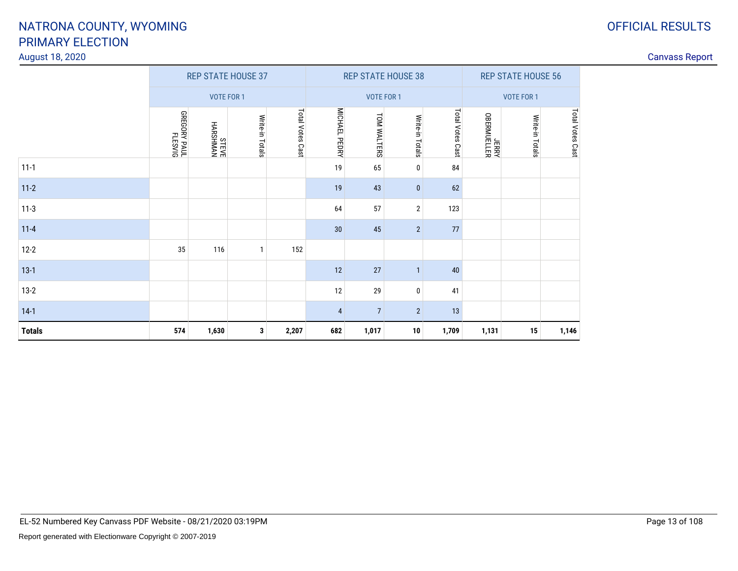#### August 18, 2020

|               |                                  |                          | <b>REP STATE HOUSE 37</b> |                  |                |                   | <b>REP STATE HOUSE 38</b> |                  | <b>REP STATE HOUSE 56</b> |                 |                  |  |
|---------------|----------------------------------|--------------------------|---------------------------|------------------|----------------|-------------------|---------------------------|------------------|---------------------------|-----------------|------------------|--|
|               |                                  | <b>VOTE FOR 1</b>        |                           |                  |                | <b>VOTE FOR 1</b> |                           |                  | VOTE FOR 1                |                 |                  |  |
|               | <b>GREGORY PAUL</b><br>JUAP RAUL | <b>NYWHSYYH</b><br>BAELS | Write-in Totals           | Total Votes Cast | MICHAEL PEDRY  | TOM WALTERS       | Write-in Totals           | Total Votes Cast | JERRY<br>VERMUELLER       | Write-in Totals | Total Votes Cast |  |
| $11 - 1$      |                                  |                          |                           |                  | 19             | 65                | 0                         | 84               |                           |                 |                  |  |
| $11-2$        |                                  |                          |                           |                  | 19             | 43                | $\bf{0}$                  | 62               |                           |                 |                  |  |
| $11-3$        |                                  |                          |                           |                  | 64             | 57                | $\overline{2}$            | 123              |                           |                 |                  |  |
| $11 - 4$      |                                  |                          |                           |                  | 30             | 45                | $\overline{2}$            | 77               |                           |                 |                  |  |
| $12 - 2$      | 35                               | 116                      | $\mathbf{1}$              | 152              |                |                   |                           |                  |                           |                 |                  |  |
| $13-1$        |                                  |                          |                           |                  | 12             | 27                | $\mathbf{1}$              | 40               |                           |                 |                  |  |
| $13-2$        |                                  |                          |                           |                  | 12             | 29                | 0                         | 41               |                           |                 |                  |  |
| $14-1$        |                                  |                          |                           |                  | $\overline{4}$ | $\overline{7}$    | $\overline{2}$            | 13               |                           |                 |                  |  |
| <b>Totals</b> | 574                              | 1,630                    | 3                         | 2,207            | 682            | 1,017             | 10                        | 1,709            | 1,131                     | 15              | 1,146            |  |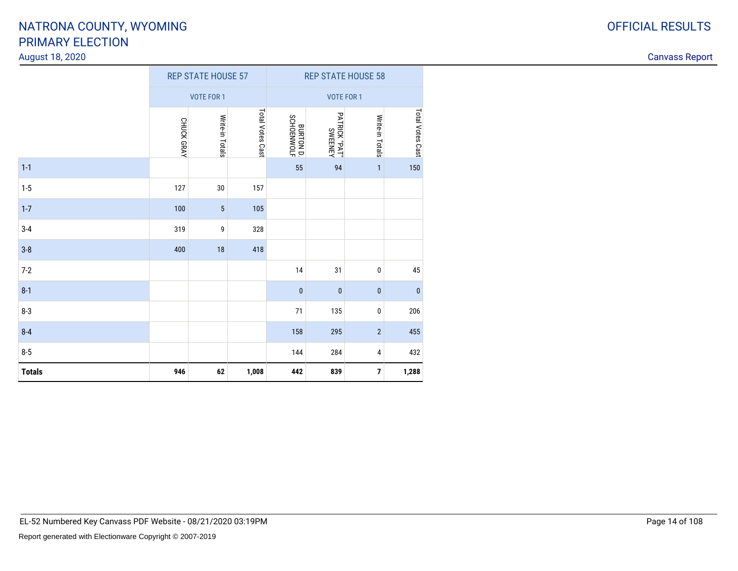#### August 18, 2020

| ⌒<br>u | <b>OFFICIAL RESULTS</b> |
|--------|-------------------------|
|        |                         |

|               |            | <b>REP STATE HOUSE 57</b> |                  | <b>REP STATE HOUSE 58</b>      |                                 |                 |                  |
|---------------|------------|---------------------------|------------------|--------------------------------|---------------------------------|-----------------|------------------|
|               |            | <b>VOTE FOR 1</b>         |                  |                                | <b>VOTE FOR 1</b>               |                 |                  |
|               | CHUCK GRAY | Write-in Totals           | Total Votes Cast | <b>BURTON D.</b><br>SCHOENWOLF | PATRICK "PAT"<br><b>SWEENEY</b> | Write-in Totals | Total Votes Cast |
| $1 - 1$       |            |                           |                  | 55                             | 94                              | $\mathbf{1}$    | 150              |
| $1 - 5$       | 127        | 30                        | 157              |                                |                                 |                 |                  |
| $1 - 7$       | 100        | 5                         | 105              |                                |                                 |                 |                  |
| $3-4$         | 319        | 9                         | 328              |                                |                                 |                 |                  |
| $3-8$         | 400        | 18                        | 418              |                                |                                 |                 |                  |
| $7 - 2$       |            |                           |                  | 14                             | 31                              | 0               | $\bf 45$         |
| $8 - 1$       |            |                           |                  | $\pmb{0}$                      | $\pmb{0}$                       | $\bf{0}$        | $\pmb{0}$        |
| $8 - 3$       |            |                           |                  | $71$                           | 135                             | $\pmb{0}$       | 206              |
| $8 - 4$       |            |                           |                  | 158                            | 295                             | $\mathbf{2}$    | 455              |
| $8-5$         |            |                           |                  | 144                            | 284                             | 4               | 432              |
| <b>Totals</b> | 946        | 62                        | 1,008            | 442                            | 839                             | $\overline{7}$  | 1,288            |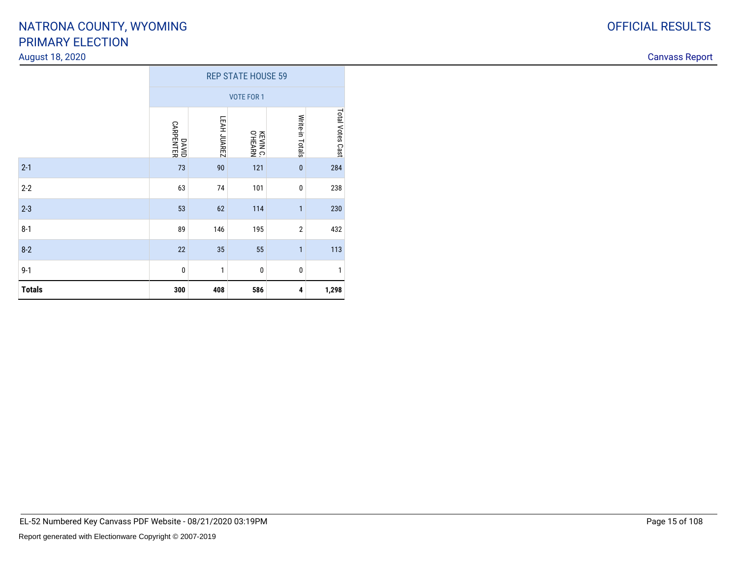#### August 18, 2020

|               | <b>REP STATE HOUSE 59</b> |              |                     |                 |                  |  |  |  |  |  |  |
|---------------|---------------------------|--------------|---------------------|-----------------|------------------|--|--|--|--|--|--|
|               |                           |              | <b>VOTE FOR 1</b>   |                 |                  |  |  |  |  |  |  |
|               | DAVID<br>CARPENTER        | LEAH JUAREZ  | KEVIN C.<br>O'HEARN | Write-in Totals | Total Votes Cast |  |  |  |  |  |  |
| $2-1$         | 73                        | 90           | 121                 | $\bf{0}$        | 284              |  |  |  |  |  |  |
| $2 - 2$       | 63                        | 74           | 101                 | $\bf{0}$        | 238              |  |  |  |  |  |  |
| $2 - 3$       | 53                        | 62           | 114                 | $\mathbf{1}$    | 230              |  |  |  |  |  |  |
| $8-1$         | 89                        | 146          | 195                 | $\overline{2}$  | 432              |  |  |  |  |  |  |
| $8 - 2$       | 22                        | 35           | 55                  | $\mathbf{1}$    | 113              |  |  |  |  |  |  |
| $9 - 1$       | $\pmb{0}$                 | $\mathbf{1}$ | $\bf{0}$            | $\bf{0}$        | 1                |  |  |  |  |  |  |
| <b>Totals</b> | 300                       | 408          | 586                 | 4               | 1,298            |  |  |  |  |  |  |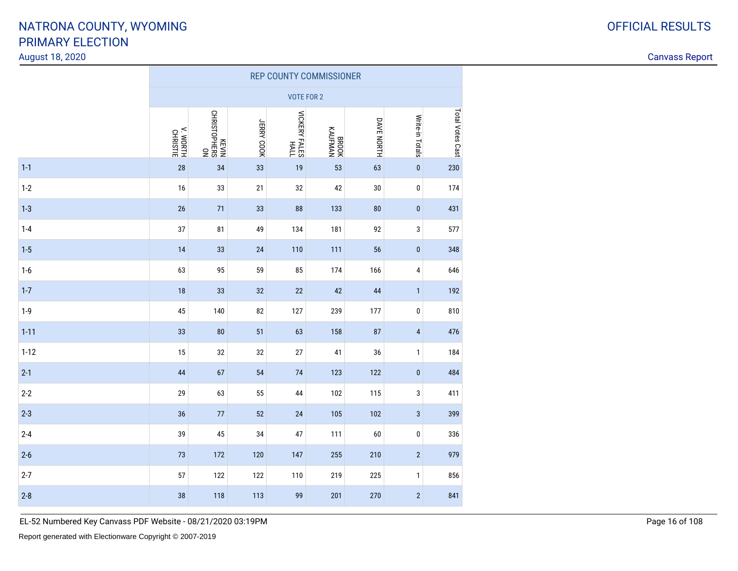#### August 18, 2020

Canvass Report

|          | <b>REP COUNTY COMMISSIONER</b> |                             |            |                              |                  |            |                         |                         |  |  |  |  |
|----------|--------------------------------|-----------------------------|------------|------------------------------|------------------|------------|-------------------------|-------------------------|--|--|--|--|
|          |                                |                             |            | <b>VOTE FOR 2</b>            |                  |            |                         |                         |  |  |  |  |
|          | V. WORTH<br>CHRISTIE           | NO<br>SN3HdOLSINHO<br>NIA3M | JERRY COOK | <b>VICKERY FALES</b><br>HALL | RROOK<br>KAUFMAN | DAVE NORTH | Write-in Totals         | <b>Total Votes Cast</b> |  |  |  |  |
| $1 - 1$  | 28                             | 34                          | 33         | 19                           | 53               | 63         | $\pmb{0}$               | 230                     |  |  |  |  |
| $1-2$    | 16                             | 33                          | 21         | 32                           | 42               | 30         | $\pmb{0}$               | 174                     |  |  |  |  |
| $1 - 3$  | 26                             | 71                          | 33         | 88                           | 133              | 80         | $\pmb{0}$               | 431                     |  |  |  |  |
| $1 - 4$  | 37                             | 81                          | 49         | 134                          | 181              | 92         | 3                       | 577                     |  |  |  |  |
| $1 - 5$  | 14                             | 33                          | 24         | 110                          | 111              | 56         | $\pmb{0}$               | 348                     |  |  |  |  |
| $1-6$    | 63                             | 95                          | 59         | 85                           | 174              | 166        | $\overline{\mathbf{4}}$ | 646                     |  |  |  |  |
| $1 - 7$  | 18                             | 33                          | 32         | 22                           | 42               | 44         | $\mathbf{1}$            | 192                     |  |  |  |  |
| $1-9$    | 45                             | 140                         | 82         | 127                          | 239              | 177        | $\pmb{0}$               | 810                     |  |  |  |  |
| $1 - 11$ | 33                             | 80                          | 51         | 63                           | 158              | 87         | $\pmb{4}$               | 476                     |  |  |  |  |
| $1 - 12$ | 15                             | 32                          | 32         | 27                           | 41               | 36         | $\mathbf{1}$            | 184                     |  |  |  |  |
| $2 - 1$  | 44                             | 67                          | 54         | 74                           | 123              | 122        | $\pmb{0}$               | 484                     |  |  |  |  |
| $2 - 2$  | 29                             | 63                          | 55         | 44                           | 102              | 115        | 3                       | 411                     |  |  |  |  |
| $2 - 3$  | 36                             | $77$                        | 52         | 24                           | 105              | 102        | $\sqrt{3}$              | 399                     |  |  |  |  |
| $2 - 4$  | 39                             | 45                          | 34         | 47                           | 111              | 60         | $\pmb{0}$               | 336                     |  |  |  |  |
| $2 - 6$  | 73                             | 172                         | 120        | 147                          | 255              | 210        | $\sqrt{2}$              | 979                     |  |  |  |  |
| $2 - 7$  | 57                             | 122                         | 122        | 110                          | 219              | 225        | $\mathbf{1}$            | 856                     |  |  |  |  |
| $2 - 8$  | 38                             | 118                         | 113        | 99                           | 201              | 270        | $\sqrt{2}$              | 841                     |  |  |  |  |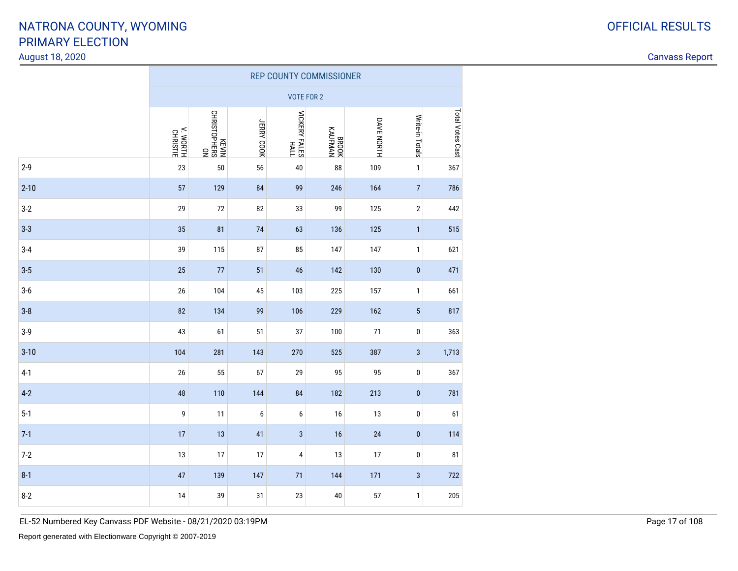#### August 18, 2020

Canvass Report

|          | <b>REP COUNTY COMMISSIONER</b> |                             |            |                       |                    |            |                 |                  |  |  |  |  |
|----------|--------------------------------|-----------------------------|------------|-----------------------|--------------------|------------|-----------------|------------------|--|--|--|--|
|          |                                |                             |            | VOTE FOR 2            |                    |            |                 |                  |  |  |  |  |
|          | V. WORTH<br>CHRISTIE           | NO<br>SY3HdOLSINHO<br>NIA3X | JERRY COOK | NICKERY FALES<br>HALL | NVMHNVX<br>KAUFMAN | DAVE NORTH | Write-in Totals | Total Votes Cast |  |  |  |  |
| $2 - 9$  | 23                             | 50                          | 56         | 40                    | 88                 | 109        | $\mathbf{1}$    | 367              |  |  |  |  |
| $2 - 10$ | 57                             | 129                         | 84         | 99                    | 246                | 164        | $\sqrt{ }$      | 786              |  |  |  |  |
| $3-2$    | 29                             | 72                          | 82         | 33                    | 99                 | 125        | $\overline{2}$  | 442              |  |  |  |  |
| $3 - 3$  | 35                             | 81                          | 74         | 63                    | 136                | 125        | $\mathbf{1}$    | 515              |  |  |  |  |
| $3 - 4$  | 39                             | 115                         | 87         | 85                    | 147                | 147        | $\mathbf{1}$    | 621              |  |  |  |  |
| $3 - 5$  | 25                             | 77                          | 51         | 46                    | 142                | 130        | $\pmb{0}$       | 471              |  |  |  |  |
| $3-6$    | 26                             | 104                         | 45         | 103                   | 225                | 157        | $\mathbf{1}$    | 661              |  |  |  |  |
| $3 - 8$  | 82                             | 134                         | 99         | 106                   | 229                | 162        | $\sqrt{5}$      | 817              |  |  |  |  |
| $3-9$    | 43                             | 61                          | 51         | 37                    | 100                | $71$       | $\pmb{0}$       | 363              |  |  |  |  |
| $3 - 10$ | 104                            | 281                         | 143        | 270                   | 525                | 387        | $\mathbf{3}$    | 1,713            |  |  |  |  |
| $4-1$    | 26                             | 55                          | 67         | 29                    | 95                 | 95         | $\pmb{0}$       | 367              |  |  |  |  |
| $4-2$    | 48                             | 110                         | 144        | 84                    | 182                | 213        | $\pmb{0}$       | 781              |  |  |  |  |
| $5-1$    | 9                              | 11                          | 6          | 6                     | 16                 | 13         | $\pmb{0}$       | 61               |  |  |  |  |
| $7-1$    | 17                             | 13                          | 41         | $\sqrt{3}$            | 16                 | 24         | $\pmb{0}$       | 114              |  |  |  |  |
| $7-2$    | 13                             | 17                          | 17         | 4                     | 13                 | 17         | $\pmb{0}$       | 81               |  |  |  |  |
| $8 - 1$  | 47                             | 139                         | 147        | 71                    | 144                | 171        | $\mathbf{3}$    | 722              |  |  |  |  |
| $8 - 2$  | 14                             | 39                          | 31         | 23                    | 40                 | 57         | $\mathbf{1}$    | 205              |  |  |  |  |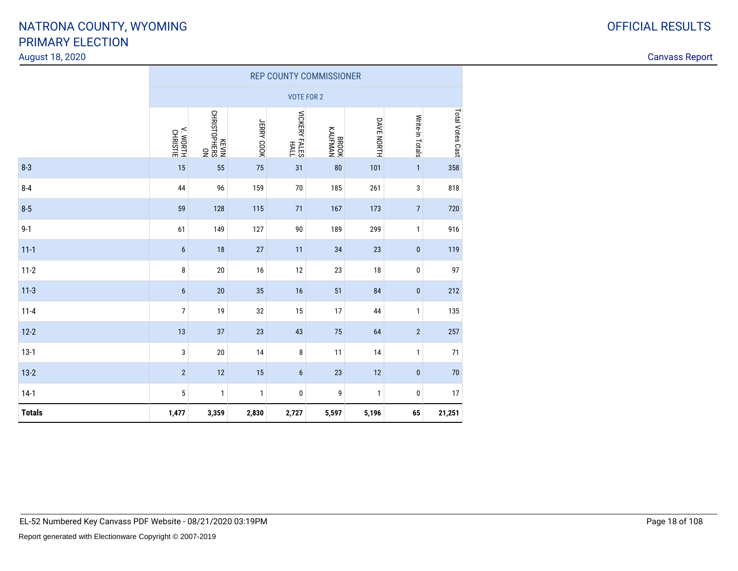#### August 18, 2020

|               | <b>REP COUNTY COMMISSIONER</b> |                            |              |                              |                           |              |                  |                  |  |  |  |  |
|---------------|--------------------------------|----------------------------|--------------|------------------------------|---------------------------|--------------|------------------|------------------|--|--|--|--|
|               |                                |                            |              | <b>VOTE FOR 2</b>            |                           |              |                  |                  |  |  |  |  |
|               | V. WORTH<br>CHRISTIE           | NO<br>SH3HOLSINHO<br>NIA3X | JERRY COOK   | <b>VICKERY FALES</b><br>HALL | <b>KAUFMAN</b><br>KAUFMAN | DAVE NORTH   | Write-in Totals  | Total Votes Cast |  |  |  |  |
| $8 - 3$       | 15                             | 55                         | 75           | 31                           | 80                        | 101          | $\mathbf{1}$     | 358              |  |  |  |  |
| $8 - 4$       | 44                             | 96                         | 159          | $70$                         | 185                       | 261          | 3                | 818              |  |  |  |  |
| $8 - 5$       | 59                             | 128                        | 115          | 71                           | 167                       | 173          | $\boldsymbol{7}$ | 720              |  |  |  |  |
| $9 - 1$       | 61                             | 149                        | 127          | 90                           | 189                       | 299          | $\mathbf{1}$     | 916              |  |  |  |  |
| $11 - 1$      | $6\phantom{1}$                 | 18                         | 27           | 11                           | 34                        | 23           | $\pmb{0}$        | 119              |  |  |  |  |
| $11 - 2$      | 8                              | 20                         | 16           | 12                           | 23                        | 18           | $\bf{0}$         | 97               |  |  |  |  |
| $11-3$        | $6\,$                          | 20                         | 35           | 16                           | 51                        | 84           | $\pmb{0}$        | 212              |  |  |  |  |
| $11 - 4$      | $\overline{7}$                 | 19                         | 32           | 15                           | 17                        | 44           | $\mathbf{1}$     | 135              |  |  |  |  |
| $12 - 2$      | 13                             | 37                         | 23           | 43                           | 75                        | 64           | $\sqrt{2}$       | 257              |  |  |  |  |
| $13-1$        | 3                              | $20\,$                     | 14           | 8                            | 11                        | 14           | $\mathbf{1}$     | 71               |  |  |  |  |
| $13-2$        | $\overline{2}$                 | 12                         | 15           | $6\phantom{1}$               | 23                        | 12           | $\bf{0}$         | 70               |  |  |  |  |
| $14-1$        | $\sqrt{5}$                     | $\mathbf{1}$               | $\mathbf{1}$ | 0                            | 9                         | $\mathbf{1}$ | 0                | 17               |  |  |  |  |
| <b>Totals</b> | 1,477                          | 3,359                      | 2,830        | 2,727                        | 5,597                     | 5,196        | 65               | 21,251           |  |  |  |  |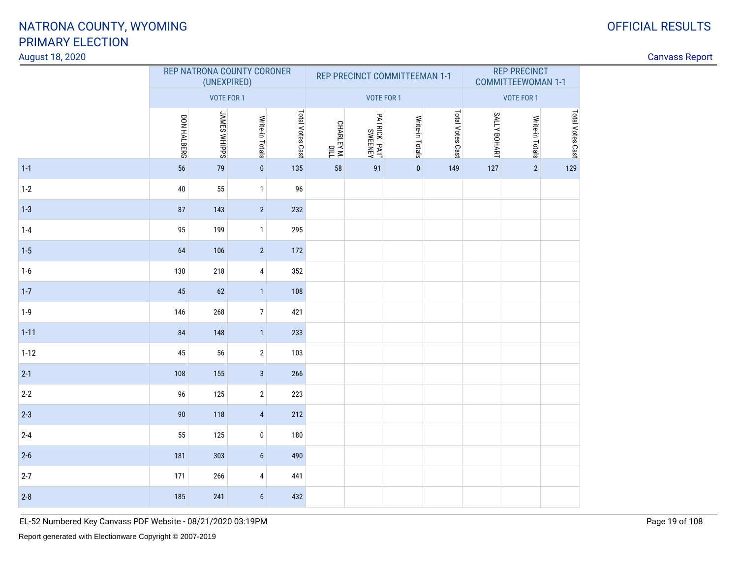#### August 18, 2020

| August 18, 2020 |             |                                           |                  |                  |                          |               |                               |                  |              |                                                  |                  |  | <b>Canvass Report</b> |
|-----------------|-------------|-------------------------------------------|------------------|------------------|--------------------------|---------------|-------------------------------|------------------|--------------|--------------------------------------------------|------------------|--|-----------------------|
|                 |             | REP NATRONA COUNTY CORONER<br>(UNEXPIRED) |                  |                  |                          |               | REP PRECINCT COMMITTEEMAN 1-1 |                  |              | <b>REP PRECINCT</b><br><b>COMMITTEEWOMAN 1-1</b> |                  |  |                       |
|                 |             | VOTE FOR 1                                |                  |                  |                          | VOTE FOR 1    |                               |                  |              | VOTE FOR 1                                       |                  |  |                       |
|                 | DON HALBERG | <b>JAMES WHIPPS</b>                       | Write-in Totals  | Total Votes Cast | CHARLEY M.<br>CHARLEY M. | PATRICK "PAT" | Write-in Totals               | Total Votes Cast | SALLY BOHART | Write-in Totals                                  | Total Votes Cast |  |                       |
| $1-1$           | 56          | 79                                        | $\overline{0}$   | 135              | 58                       | 91            | $\overline{0}$                | 149              | 127          | $\overline{2}$                                   | 129              |  |                       |
| $1-2$           | $40\,$      | 55                                        | $\mathbf{1}$     | 96               |                          |               |                               |                  |              |                                                  |                  |  |                       |
| $1 - 3$         | 87          | 143                                       | 2                | 232              |                          |               |                               |                  |              |                                                  |                  |  |                       |
| $1-4$           | 95          | 199                                       | $\mathbf{1}$     | 295              |                          |               |                               |                  |              |                                                  |                  |  |                       |
| $1 - 5$         | 64          | 106                                       | $\overline{2}$   | 172              |                          |               |                               |                  |              |                                                  |                  |  |                       |
| $1-6$           | 130         | 218                                       | $\overline{4}$   | 352              |                          |               |                               |                  |              |                                                  |                  |  |                       |
| $1 - 7$         | 45          | 62                                        | $\vert$ 1        | 108              |                          |               |                               |                  |              |                                                  |                  |  |                       |
| $1-9$           | 146         | 268                                       | $7\overline{ }$  | 421              |                          |               |                               |                  |              |                                                  |                  |  |                       |
| $1 - 11$        | 84          | 148                                       | $\vert$ 1        | 233              |                          |               |                               |                  |              |                                                  |                  |  |                       |
| $1 - 12$        | 45          | 56                                        | $\overline{2}$   | 103              |                          |               |                               |                  |              |                                                  |                  |  |                       |
| $2 - 1$         | 108         | 155                                       | $\overline{3}$   | 266              |                          |               |                               |                  |              |                                                  |                  |  |                       |
| $2 - 2$         | 96          | 125                                       | $\sqrt{2}$       | 223              |                          |               |                               |                  |              |                                                  |                  |  |                       |
| $2-3$           | 90          | 118                                       | $\overline{4}$   | 212              |                          |               |                               |                  |              |                                                  |                  |  |                       |
| $2 - 4$         | 55          | 125                                       | $\pmb{0}$        | 180              |                          |               |                               |                  |              |                                                  |                  |  |                       |
| $2-6$           | 181         | 303                                       | $\boldsymbol{6}$ | 490              |                          |               |                               |                  |              |                                                  |                  |  |                       |
| $2 - 7$         | 171         | 266                                       | $\overline{4}$   | 441              |                          |               |                               |                  |              |                                                  |                  |  |                       |
| $2-8$           | 185         | 241                                       | $6\phantom{.}6$  | 432              |                          |               |                               |                  |              |                                                  |                  |  |                       |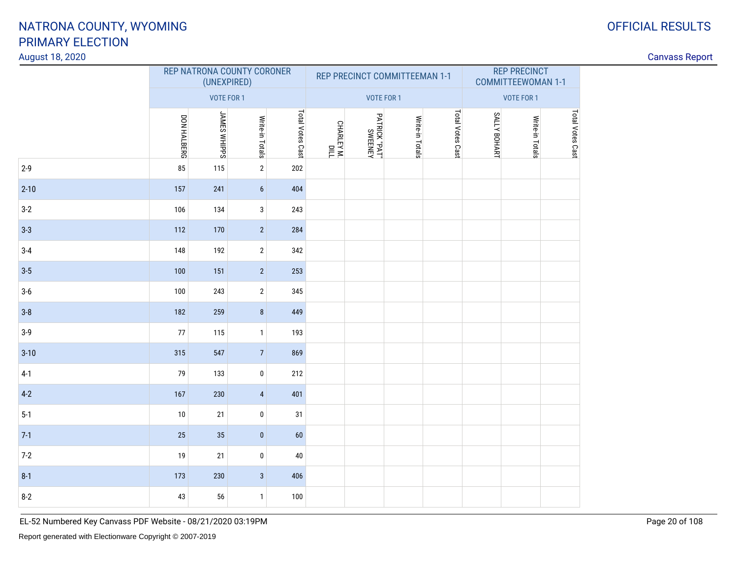#### August 18, 2020

| August 18, 2020 |             |                     |                            |                  |                          |                                            |                               |                  |              |                                                  |                  |  | <b>Canvass Report</b> |
|-----------------|-------------|---------------------|----------------------------|------------------|--------------------------|--------------------------------------------|-------------------------------|------------------|--------------|--------------------------------------------------|------------------|--|-----------------------|
|                 |             | (UNEXPIRED)         | REP NATRONA COUNTY CORONER |                  |                          |                                            | REP PRECINCT COMMITTEEMAN 1-1 |                  |              | <b>REP PRECINCT</b><br><b>COMMITTEEWOMAN 1-1</b> |                  |  |                       |
|                 |             | VOTE FOR 1          |                            |                  |                          | VOTE FOR 1                                 |                               |                  |              | VOTE FOR 1                                       |                  |  |                       |
|                 | DON HALBERG | <b>JAMES WHIPPS</b> | Write-in Totals            | Total Votes Cast | CHARLEY M.<br>CHARLEY M. | PATRICK "PAT"<br>"TA <sup>q"</sup> XWEENEY | Write-in Totals               | Total Votes Cast | SALLY BOHART | Write-in Totals                                  | Total Votes Cast |  |                       |
| $2 - 9$         | 85          | 115                 | $\overline{2}$             | 202              |                          |                                            |                               |                  |              |                                                  |                  |  |                       |
| $2 - 10$        | 157         | 241                 | 6 <sup>1</sup>             | 404              |                          |                                            |                               |                  |              |                                                  |                  |  |                       |
| $3-2$           | 106         | 134                 | $\mathbf{3}$               | 243              |                          |                                            |                               |                  |              |                                                  |                  |  |                       |
| $3 - 3$         | 112         | 170                 | $\vert$ 2                  | 284              |                          |                                            |                               |                  |              |                                                  |                  |  |                       |
| $3-4$           | 148         | 192                 | $\sqrt{2}$                 | 342              |                          |                                            |                               |                  |              |                                                  |                  |  |                       |
| $3-5$           | 100         | 151                 | 2                          | 253              |                          |                                            |                               |                  |              |                                                  |                  |  |                       |
| $3-6$           | 100         | 243                 | $\sqrt{2}$                 | 345              |                          |                                            |                               |                  |              |                                                  |                  |  |                       |
| $3 - 8$         | 182         | 259                 | 8 <sup>1</sup>             | 449              |                          |                                            |                               |                  |              |                                                  |                  |  |                       |
| $3-9$           | 77          | 115                 | $\mathbf{1}$               | 193              |                          |                                            |                               |                  |              |                                                  |                  |  |                       |
| $3 - 10$        | 315         | 547                 | 7                          | 869              |                          |                                            |                               |                  |              |                                                  |                  |  |                       |
| $4-1$           | 79          | 133                 | $\pmb{0}$                  | 212              |                          |                                            |                               |                  |              |                                                  |                  |  |                       |
| $4-2$           | 167         | 230                 | $\overline{4}$             | 401              |                          |                                            |                               |                  |              |                                                  |                  |  |                       |
| $5-1$           | $10$        | 21                  | $\pmb{0}$                  | 31               |                          |                                            |                               |                  |              |                                                  |                  |  |                       |
| $7-1$           | 25          | 35                  | $\vert 0 \vert$            | 60               |                          |                                            |                               |                  |              |                                                  |                  |  |                       |
| $7-2$           | 19          | 21                  | $\pmb{0}$                  | 40               |                          |                                            |                               |                  |              |                                                  |                  |  |                       |
| $8-1$           | 173         | 230                 | $\mathbf{3}$               | 406              |                          |                                            |                               |                  |              |                                                  |                  |  |                       |
| $8-2$           | 43          | 56                  | $\mathbf{1}$               | 100              |                          |                                            |                               |                  |              |                                                  |                  |  |                       |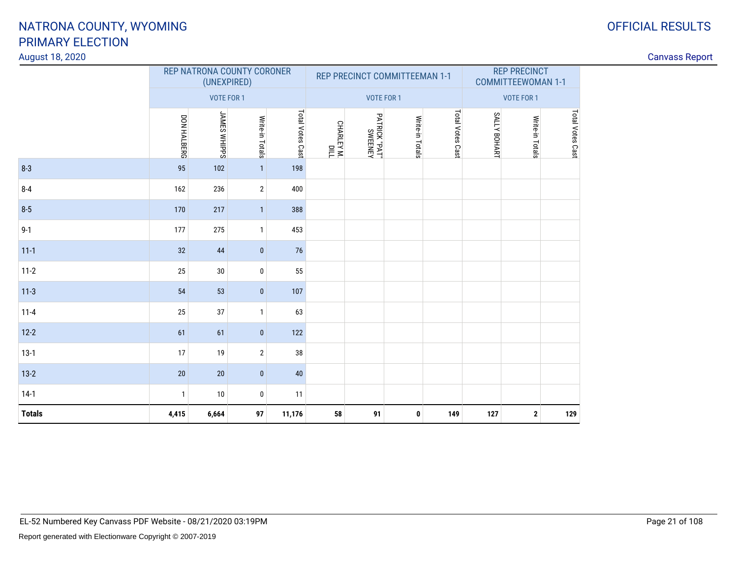#### August 18, 2020

|               |              | (UNEXPIRED)         | REP NATRONA COUNTY CORONER |                  |                       |                          | REP PRECINCT COMMITTEEMAN 1-1 |                  | <b>REP PRECINCT</b><br><b>COMMITTEEWOMAN 1-1</b> |                 |                  |  |
|---------------|--------------|---------------------|----------------------------|------------------|-----------------------|--------------------------|-------------------------------|------------------|--------------------------------------------------|-----------------|------------------|--|
|               |              | VOTE FOR 1          |                            |                  |                       | VOTE FOR 1               |                               |                  |                                                  | VOTE FOR 1      |                  |  |
|               | DON HALBERG  | <b>JAMES WHIPPS</b> | Write-in Totals            | Total Votes Cast | DIIO<br>און גאודן IW. | PATRICK "PAT"<br>SWEENEY | Write-in Totals               | Total Votes Cast | SALLY BOHART                                     | Write-in Totals | Total Votes Cast |  |
| $8 - 3$       | 95           | 102                 | 1                          | 198              |                       |                          |                               |                  |                                                  |                 |                  |  |
| $8 - 4$       | 162          | 236                 | $\overline{2}$             | 400              |                       |                          |                               |                  |                                                  |                 |                  |  |
| $8 - 5$       | 170          | 217                 | $\mathbf{1}$               | 388              |                       |                          |                               |                  |                                                  |                 |                  |  |
| $9 - 1$       | 177          | 275                 | $\mathbf{1}$               | 453              |                       |                          |                               |                  |                                                  |                 |                  |  |
| $11 - 1$      | 32           | 44                  | $\pmb{0}$                  | 76               |                       |                          |                               |                  |                                                  |                 |                  |  |
| $11 - 2$      | 25           | 30                  | $\mathbf 0$                | 55               |                       |                          |                               |                  |                                                  |                 |                  |  |
| $11-3$        | 54           | 53                  | $\mathbf{0}$               | 107              |                       |                          |                               |                  |                                                  |                 |                  |  |
| $11 - 4$      | 25           | 37                  | $\mathbf{1}$               | 63               |                       |                          |                               |                  |                                                  |                 |                  |  |
| $12 - 2$      | 61           | 61                  | $\pmb{0}$                  | 122              |                       |                          |                               |                  |                                                  |                 |                  |  |
| $13-1$        | 17           | 19                  | $\overline{2}$             | 38               |                       |                          |                               |                  |                                                  |                 |                  |  |
| $13-2$        | 20           | 20                  | $\mathbf{0}$               | 40               |                       |                          |                               |                  |                                                  |                 |                  |  |
| $14-1$        | $\mathbf{1}$ | 10                  | $\bf{0}$                   | 11               |                       |                          |                               |                  |                                                  |                 |                  |  |
| <b>Totals</b> | 4,415        | 6,664               | 97                         | 11,176           | 58                    | 91                       | $\mathbf 0$                   | 149              | 127                                              | $\mathbf{2}$    | 129              |  |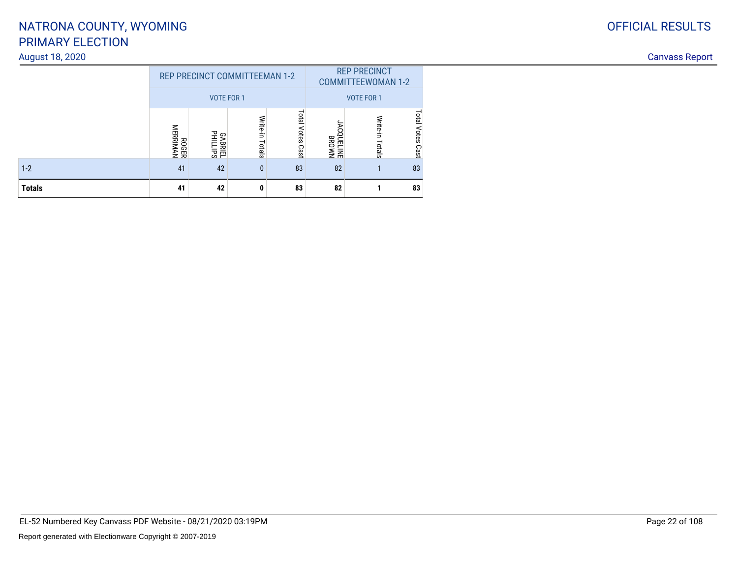#### August 18, 2020

|               |                   | <b>REP PRECINCT COMMITTEEMAN 1-2</b>                                         |              |    |                    | <b>REP PRECINCT</b><br><b>COMMITTEEWOMAN 1-2</b> |                     |  |
|---------------|-------------------|------------------------------------------------------------------------------|--------------|----|--------------------|--------------------------------------------------|---------------------|--|
|               |                   | <b>VOTE FOR 1</b>                                                            |              |    | <b>VOTE FOR 1</b>  |                                                  |                     |  |
|               | ROGER<br>MERRIMAN | Total Votes<br>Write-in<br>当<br><b>GABRIEL</b><br>PHILLIPS<br>Totals<br>Cast |              |    |                    | Write-in<br>Totals                               | Total Votes<br>Cast |  |
| $1 - 2$       | 41                | 42                                                                           | $\mathbf{0}$ | 83 | <b>NMONB</b><br>82 | ٠                                                | 83                  |  |
| <b>Totals</b> | 41                | 42                                                                           | 0            | 83 | 82                 |                                                  | 83                  |  |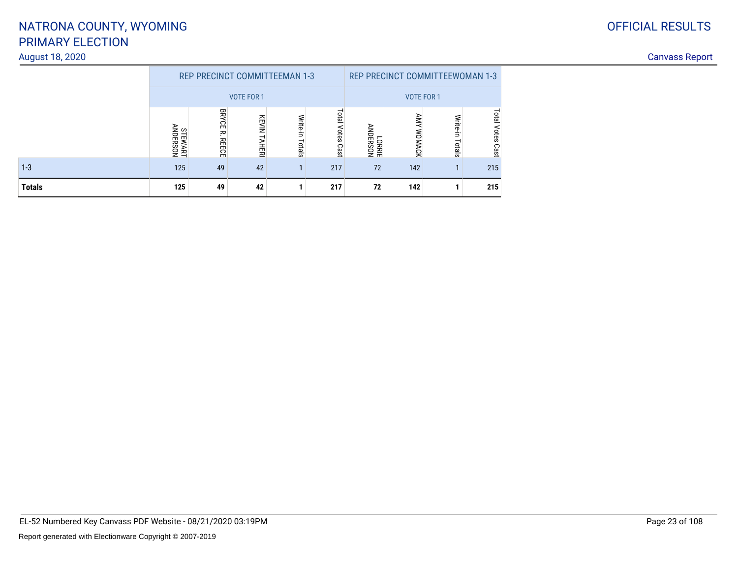### August 18, 2020

1-3

**Totals**

| 02C |                  |                                      |                   |       |    |            |                                 |    | <b>Canvass Report</b> |
|-----|------------------|--------------------------------------|-------------------|-------|----|------------|---------------------------------|----|-----------------------|
|     |                  | <b>REP PRECINCT COMMITTEEMAN 1-3</b> |                   |       |    |            | REP PRECINCT COMMITTEEWOMAN 1-3 |    |                       |
|     |                  |                                      | <b>VOTE FOR 1</b> |       |    | VOTE FOR 1 |                                 |    |                       |
|     | بہ ≦<br>ᇰ<br>ERS | m                                    | 쥬                 |       | ▭  |            |                                 |    |                       |
|     | 로 오              | Ã<br>m                               | 혎                 | otals | 응즮 |            | ခြင်                            | 55 |                       |

<sup>125</sup> <sup>49</sup> <sup>42</sup> <sup>1</sup> <sup>217</sup> <sup>72</sup> <sup>142</sup> <sup>1</sup> <sup>215</sup>

**<sup>125</sup> <sup>49</sup> <sup>42</sup> <sup>1</sup> <sup>217</sup> <sup>72</sup> <sup>142</sup> <sup>1</sup> <sup>215</sup>**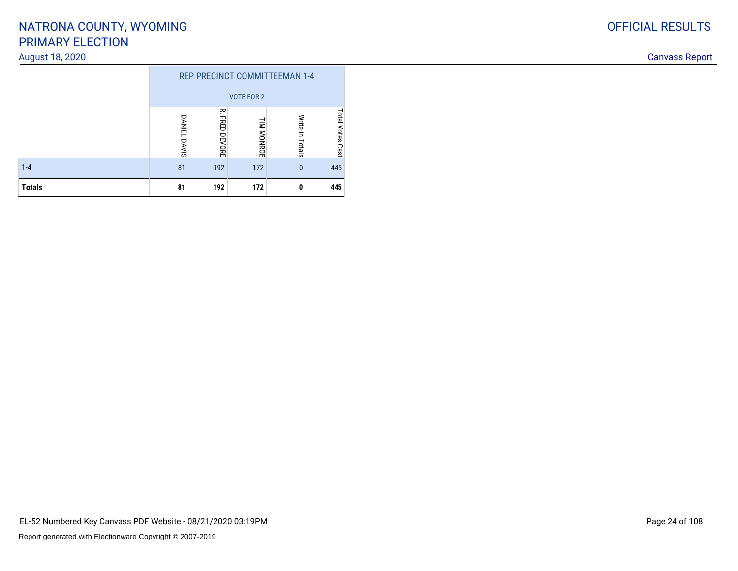#### August 18, 2020

|               | <b>REP PRECINCT COMMITTEEMAN 1-4</b> |                         |     |   |     |  |  |  |  |  |  |
|---------------|--------------------------------------|-------------------------|-----|---|-----|--|--|--|--|--|--|
|               | <b>VOTE FOR 2</b>                    |                         |     |   |     |  |  |  |  |  |  |
|               | <b>DANIEL</b><br>DAVIS               | <b>Total Votes Cast</b> |     |   |     |  |  |  |  |  |  |
| $1 - 4$       | 81                                   | 192                     | 172 | 0 | 445 |  |  |  |  |  |  |
| <b>Totals</b> | 172<br>445<br>81<br>192<br>0         |                         |     |   |     |  |  |  |  |  |  |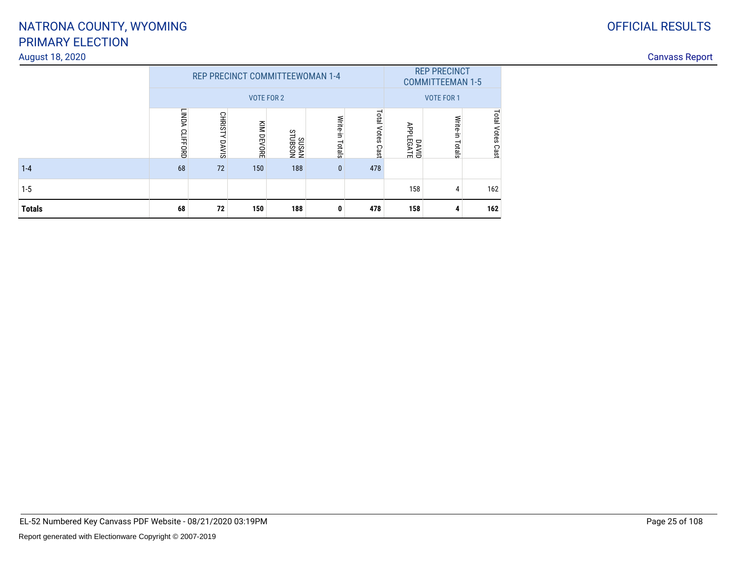### OFFICIAL RESULTS

### PRIMARY ELECTIONNATRONA COUNTY, WYOMING

#### August 18, 2020

| <b>Canvass F</b><br>$\overline{\phantom{a}}$<br><b>IONOI</b> |
|--------------------------------------------------------------|
|                                                              |

|               |                                                                                                                 |        | <b>REP PRECINCT COMMITTEEWOMAN 1-4</b><br><b>VOTE FOR 2</b> | <b>REP PRECINCT</b><br><b>COMMITTEEMAN 1-5</b> |              |     |     |                    |                  |
|---------------|-----------------------------------------------------------------------------------------------------------------|--------|-------------------------------------------------------------|------------------------------------------------|--------------|-----|-----|--------------------|------------------|
|               | <b>LINDA</b>                                                                                                    | CHRIST | DAVID<br>APPLEGATE                                          | <b>VOTE FOR 1</b>                              |              |     |     |                    |                  |
|               | Total<br>Write-in<br>KIM DEVORE<br>Votes<br><b>CLIFFORD</b><br>NOSENLS<br>NYSNS<br>≺<br>Totals<br>DAVIS<br>Cast |        |                                                             |                                                |              |     |     | Write-in<br>Totals | Total Votes Cast |
| $1 - 4$       | 68                                                                                                              | 72     | 150                                                         | 188                                            | $\mathbf{0}$ | 478 |     |                    |                  |
| $1-5$         |                                                                                                                 |        |                                                             |                                                |              |     | 158 | 4                  | 162              |
| <b>Totals</b> | 68                                                                                                              | 72     | 150                                                         | 188                                            | 0            | 478 | 158 | 4                  | 162              |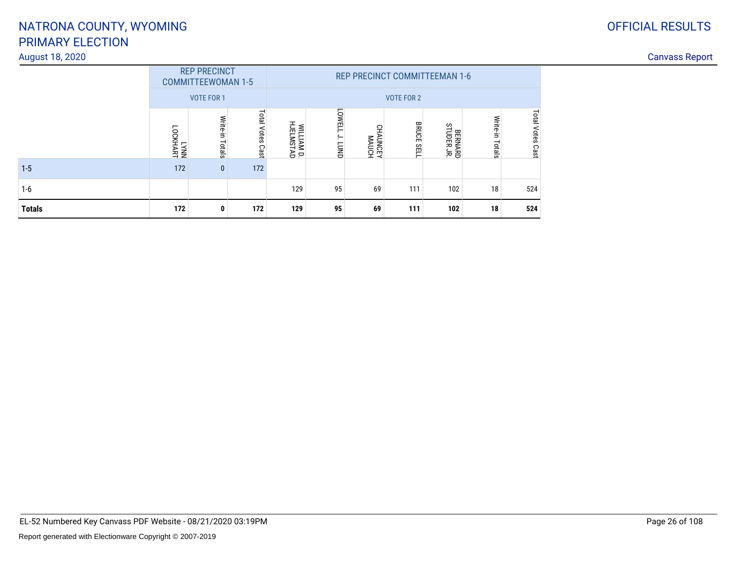#### August 18, 2020

| <b>Totals</b> | 172              | 0                                                | 172                 | 129                                  | 95                                 | 69              | 111               | 102                   | 18                 | 524                 |  |  |
|---------------|------------------|--------------------------------------------------|---------------------|--------------------------------------|------------------------------------|-----------------|-------------------|-----------------------|--------------------|---------------------|--|--|
| $1 - 6$       |                  |                                                  |                     | 129                                  | 95                                 | 69              | 111               | 102                   | 18                 | 524                 |  |  |
| $1-5$         | 172              | $\mathbf{0}$                                     | 172                 |                                      |                                    |                 |                   |                       |                    |                     |  |  |
|               | LYNN<br>LOCKHART | Write-in<br>Totals                               | Total Votes<br>Cast | WILLIAM D.<br>HJELMSTAD              | <b>LOWELL</b><br>ج.<br><b>CUND</b> | HONW<br>AJONNHO | <b>BRUCE SELI</b> | BERNARD<br>STUDER JR. | Write-in<br>Totals | Total Votes<br>Cast |  |  |
|               |                  | <b>VOTE FOR 1</b>                                |                     |                                      |                                    |                 | <b>VOTE FOR 2</b> |                       |                    |                     |  |  |
|               |                  | <b>REP PRECINCT</b><br><b>COMMITTEEWOMAN 1-5</b> |                     | <b>REP PRECINCT COMMITTEEMAN 1-6</b> |                                    |                 |                   |                       |                    |                     |  |  |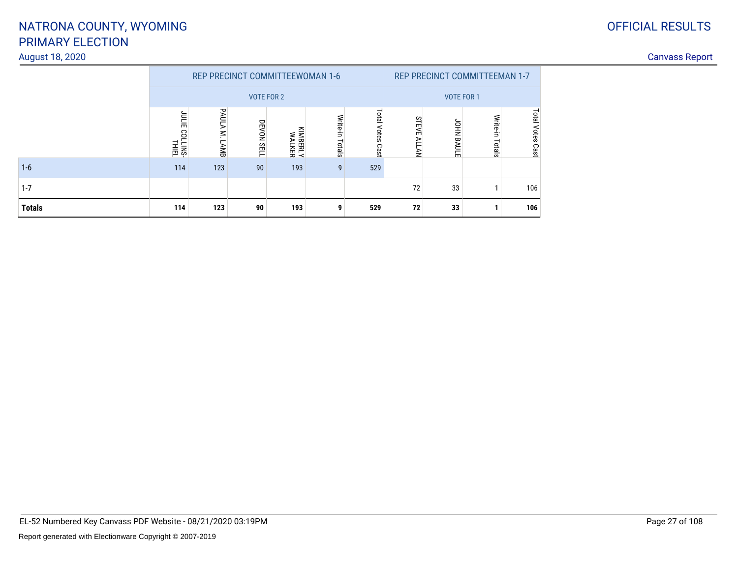### OFFICIAL RESULTS

### PRIMARY ELECTIONNATRONA COUNTY, WYOMING

# August 18, 2020

1-6

| <b>Totals</b>   | 114                 | 123      | 90                              | 193                       |                        | 529                    | 72                 | 33                            |                   | 106   |                       |
|-----------------|---------------------|----------|---------------------------------|---------------------------|------------------------|------------------------|--------------------|-------------------------------|-------------------|-------|-----------------------|
| $1 - 7$         |                     |          |                                 |                           |                        |                        | 72                 | 33                            |                   | 106   |                       |
| $1 - 6$         | 114                 | 123      | 90                              | 193                       | -9                     | 529                    |                    |                               |                   |       |                       |
|                 | ᆔ<br>LINS-<br>THIEL | ይ<br>AMB | VOTE FOR 2<br>DEVON SELI        | <b>KIMBERLY</b><br>WALKER | Write-<br>Ė.<br>Totals | Total<br>Votes<br>Cast | S<br>TEV<br>m<br>≩ | 힢<br>ᇢ<br>m                   | <b>VOTE FOR 1</b> | င္မွာ |                       |
|                 |                     |          | REP PRECINCT COMMITTEEWOMAN 1-6 |                           |                        |                        |                    | REP PRECINCT COMMITTEEMAN 1-7 |                   |       |                       |
| 4ugust 18, 2020 |                     |          |                                 |                           |                        |                        |                    |                               |                   |       | <b>Canvass Report</b> |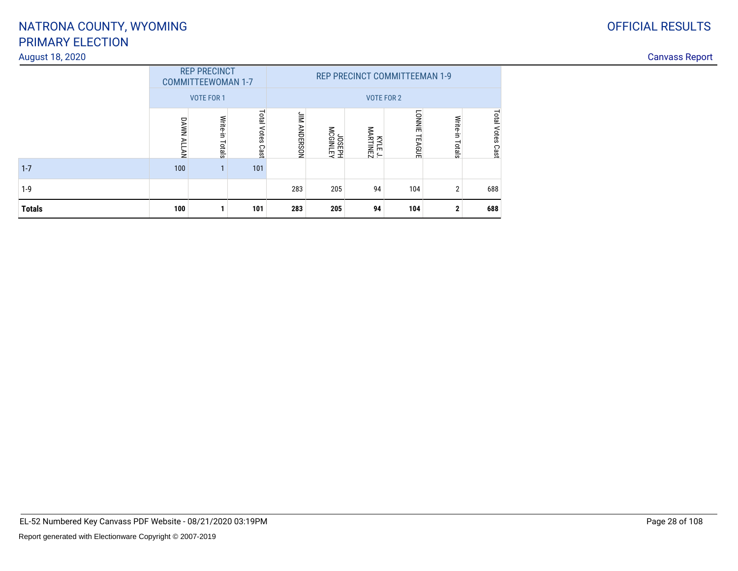#### August 18, 2020

|               |                   | <b>REP PRECINCT</b><br><b>COMMITTEEWOMAN 1-7</b><br><b>VOTE FOR 1</b> |                        |                     |                   | <b>REP PRECINCT COMMITTEEMAN 1-9</b><br><b>VOTE FOR 2</b> |                                |                    |                     |
|---------------|-------------------|-----------------------------------------------------------------------|------------------------|---------------------|-------------------|-----------------------------------------------------------|--------------------------------|--------------------|---------------------|
|               | <b>DAWN ALLAN</b> | Write-in<br>Totals                                                    | Total<br>Votes<br>Cast | <b>JIM ANDERSON</b> | MEGINLEY<br>HASPL | <b>KYLEJ.</b><br>MARTINEZ                                 | <b>LONNIE</b><br><b>TEAGUE</b> | Write-in<br>Totals | Total Votes<br>Cast |
| $1 - 7$       | 100               |                                                                       | 101                    |                     |                   |                                                           |                                |                    |                     |
| $1-9$         |                   |                                                                       |                        | 283                 | 205               | 94                                                        | 104                            | $\overline{2}$     | 688                 |
| <b>Totals</b> | 100               | и                                                                     | 101                    | 283                 | 205               | 94                                                        | 104                            | $\mathbf{2}$       | 688                 |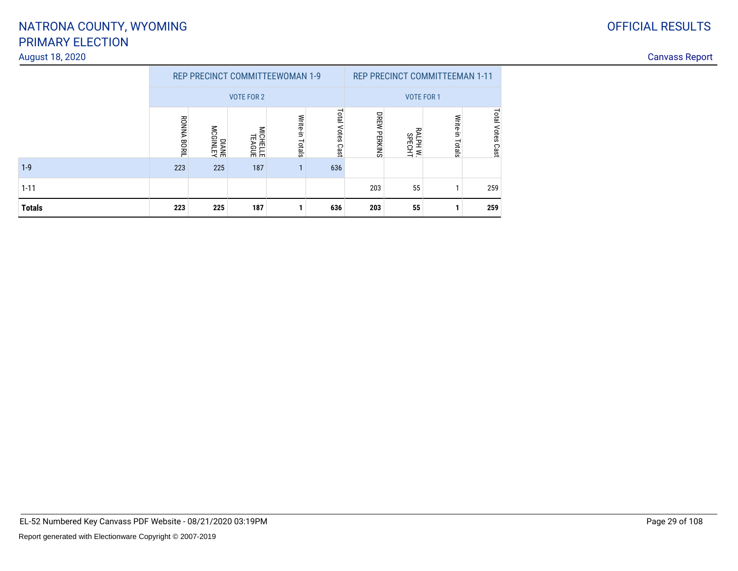#### August 18, 2020

| <b>OFFICIAL RESULTS</b> |
|-------------------------|
|                         |

|               |                    |                    | <b>REP PRECINCT COMMITTEEWOMAN 1-9</b> |                    |                        |                     | <b>REP PRECINCT COMMITTEEMAN 1-11</b> |                    |                         |
|---------------|--------------------|--------------------|----------------------------------------|--------------------|------------------------|---------------------|---------------------------------------|--------------------|-------------------------|
|               |                    |                    | <b>VOTE FOR 2</b>                      |                    | <b>VOTE FOR 1</b>      |                     |                                       |                    |                         |
|               | <b>RONNA BORIL</b> | DIANEY<br>MCGINLEY | MICHELLE<br>TEAGUE                     | Write-in<br>Totals | Total<br>Votes<br>Cast | <b>DREW PERKINS</b> | ₹<br>ALPH W.<br>SPECHT                | Write-in<br>Totals | <b>Total Votes Cast</b> |
| $1 - 9$       | 223                | 225                | 187                                    |                    | 636                    |                     |                                       |                    |                         |
| $1 - 11$      |                    |                    |                                        |                    |                        | 203                 | 55                                    |                    | 259                     |
| <b>Totals</b> | 223                | 225                | 187                                    |                    | 636                    | 203                 | 55                                    |                    | 259                     |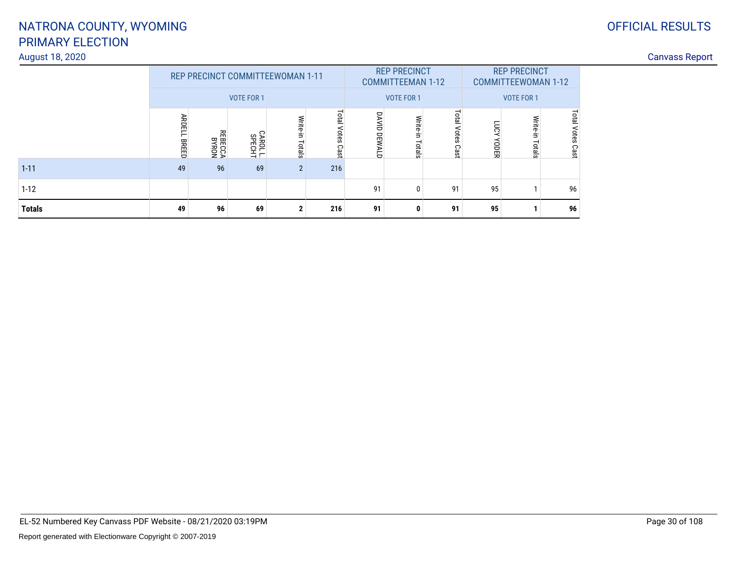#### August 18, 2020

### OFFICIAL RESULTS

| $1 - 12$<br><b>Totals</b> | 49                     | 96                        | 69                 | ŋ                                | 216                 | 91<br>91               | $\Omega$<br>0                          | 91<br>91                   | 95<br>95                    |                                                 | 96<br>96               |
|---------------------------|------------------------|---------------------------|--------------------|----------------------------------|---------------------|------------------------|----------------------------------------|----------------------------|-----------------------------|-------------------------------------------------|------------------------|
| $1 - 11$                  | 49                     | 96                        | 69                 | $\overline{2}$                   | 216                 |                        |                                        |                            |                             |                                                 |                        |
|                           | <b>ARDELL</b><br>BREED | <b>REBECCA</b><br>REBECCA | CAROL L.<br>SPECHT | Write-in<br>Totals               | Total Votes<br>Cast | DAVID<br><b>DEWALD</b> | Write-in Totals                        | <b>Total Votes</b><br>Cast | <b>KONT</b><br><b>YODER</b> | Write-in<br>Totals                              | Total<br>Votes<br>Cast |
|                           |                        |                           | <b>VOTE FOR 1</b>  | REP PRECINCT COMMITTEEWOMAN 1-11 |                     |                        | <b>COMMITTEEMAN 1-12</b><br>VOTE FOR 1 |                            |                             | <b>COMMITTEEWOMAN 1-12</b><br><b>VOTE FOR 1</b> |                        |
|                           |                        |                           |                    |                                  |                     |                        | <b>REP PRECINCT</b>                    |                            | <b>REP PRECINCT</b>         |                                                 |                        |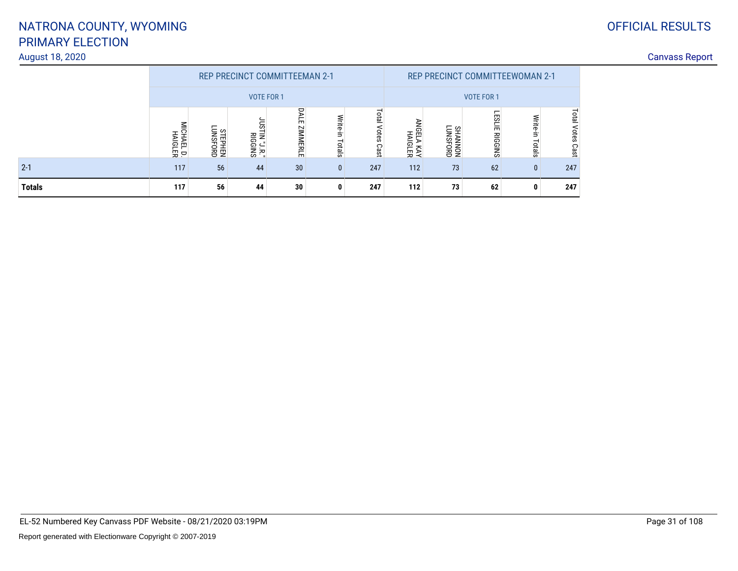#### August 18, 2020

### OFFICIAL RESULTS

|               |                                                                                                                                             |    |                   | <b>REP PRECINCT COMMITTEEMAN 2-1</b> |              |                     |                         |                    | <b>REP PRECINCT COMMITTEEWOMAN 2-1</b> |                    |                         |  |
|---------------|---------------------------------------------------------------------------------------------------------------------------------------------|----|-------------------|--------------------------------------|--------------|---------------------|-------------------------|--------------------|----------------------------------------|--------------------|-------------------------|--|
|               |                                                                                                                                             |    | <b>VOTE FOR 1</b> |                                      |              | <b>VOTE FOR 1</b>   |                         |                    |                                        |                    |                         |  |
|               | DAL<br>Write-in<br>m<br>ဌ<br>$\leq$<br>CONSPHEN<br>NEPHEN<br>ZIMMERL<br>HALEL<br>HAIGL<br>rin "J.R."<br>Riggins<br>z.<br>Totals<br>모모<br>m. |    |                   |                                      |              | Total<br>Votes Cast | ≧<br>HAIGLER<br>VAY KAY | CHANNON<br>KOMAAHS | <b>ESLIE</b><br><b>RIGGINS</b>         | Write-in<br>Totals | <b>Total Votes Cast</b> |  |
| $2 - 1$       | 117                                                                                                                                         | 56 | 44                | 30                                   | $\mathbf{0}$ | 247                 | 112                     | 73                 | 62                                     | $\mathbf{0}$       | 247                     |  |
| <b>Totals</b> | 117                                                                                                                                         | 56 | 44                | 30                                   | $\mathbf{0}$ | 247                 | 112                     | 73                 | 62                                     | 0                  | 247                     |  |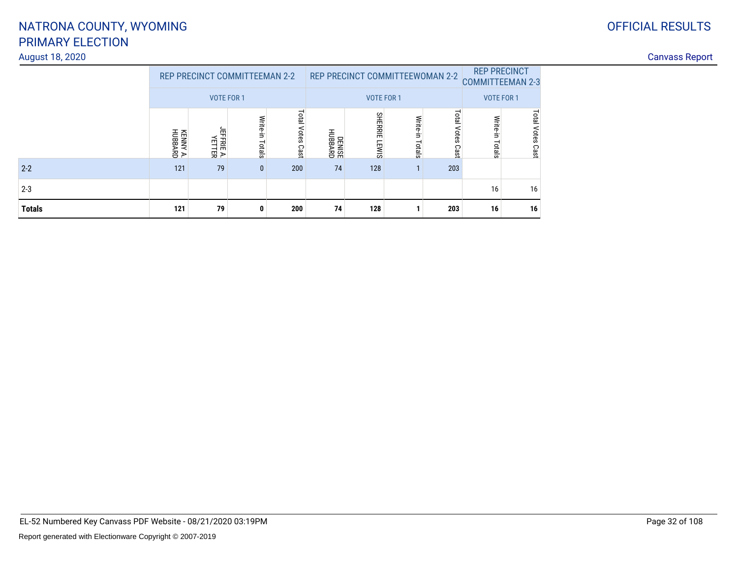### OFFICIAL RESULTS

### PRIMARY ELECTIONNATRONA COUNTY, WYOMING

#### August 18, 2020

| <b>Totals</b>   | 121                                                | 79                   | 0            | 200                     | 74                                            | 128                  |       | 203 | 16                                    | 16                   |  |  |
|-----------------|----------------------------------------------------|----------------------|--------------|-------------------------|-----------------------------------------------|----------------------|-------|-----|---------------------------------------|----------------------|--|--|
| $2 - 3$         |                                                    |                      |              |                         |                                               |                      |       |     | 16                                    | 16                   |  |  |
| $2 - 2$         | 121                                                | 79                   | $\mathbf{0}$ | 200                     | 74                                            | 128                  |       | 203 |                                       |                      |  |  |
|                 | KENNY A.<br>HUBBARD                                | JEFFRIE A.<br>Yetter | ಕ<br>Totals  | <b>Total Votes Cast</b> | DENISE<br>HUBBARD                             | £<br>ᆔ<br>召用<br>EWIS | otals | Cas | otals                                 | <b>Votes</b><br>Cast |  |  |
|                 | REP PRECINCT COMMITTEEMAN 2-2<br><b>VOTE FOR 1</b> |                      |              |                         | REP PRECINCT COMMITTEEWOMAN 2-2<br>VOTE FOR 1 |                      |       |     | <b>COMMITTEEMAN 2-3</b><br>VOTE FOR 1 |                      |  |  |
|                 |                                                    |                      |              |                         |                                               | <b>REP PRECINCT</b>  |       |     |                                       |                      |  |  |
| August 18, 2020 |                                                    |                      |              |                         |                                               |                      |       |     |                                       |                      |  |  |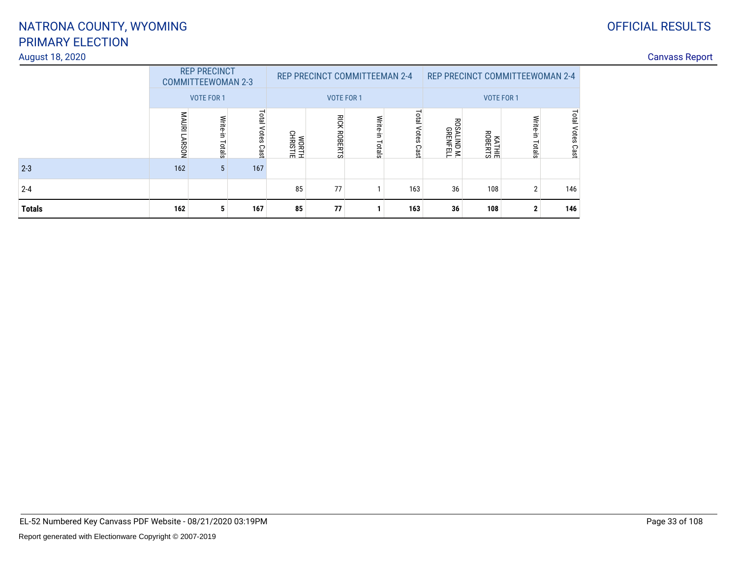#### August 18, 2020

### OFFICIAL RESULTS

|               | <b>REP PRECINCT</b><br><b>COMMITTEEWOMAN 2-3</b> |                    |                            |                   | <b>REP PRECINCT COMMITTEEMAN 2-4</b> |                    |                        | <b>REP PRECINCT COMMITTEEWOMAN 2-4</b> |        |                    |                               |
|---------------|--------------------------------------------------|--------------------|----------------------------|-------------------|--------------------------------------|--------------------|------------------------|----------------------------------------|--------|--------------------|-------------------------------|
|               | <b>VOTE FOR 1</b>                                |                    |                            | <b>VOTE FOR 1</b> |                                      |                    | <b>VOTE FOR 1</b>      |                                        |        |                    |                               |
|               | MAURI<br><b>LARSON</b>                           | Write-in<br>Totals | <b>Total Votes</b><br>Cast | WORTH<br>CHRISTIE | <b>RICK ROBERTS</b>                  | Write-in<br>Totals | Total<br>Votes<br>Cast | 꽁<br><b>SALIND M.</b><br>GRENFELL      | KATHIE | Write-in<br>Totals | <b>Total</b><br>Votes<br>Cast |
| $2 - 3$       | 162                                              | 5                  | 167                        |                   |                                      |                    |                        |                                        |        |                    |                               |
| $2 - 4$       |                                                  |                    |                            | 85                | 77                                   |                    | 163                    | 36                                     | 108    | $\overline{2}$     | 146                           |
| <b>Totals</b> | 162                                              | 5                  | 167                        | 85                | 77                                   |                    | 163                    | 36                                     | 108    | 2                  | 146                           |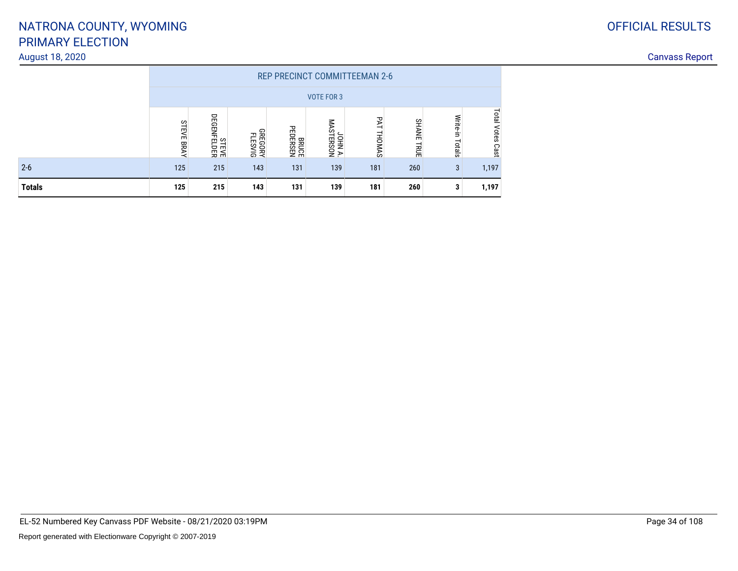#### August 18, 2020

|               | <b>REP PRECINCT COMMITTEEMAN 2-6</b> |                             |                                  |                             |                      |               |                             |                    |                     |  |  |  |
|---------------|--------------------------------------|-----------------------------|----------------------------------|-----------------------------|----------------------|---------------|-----------------------------|--------------------|---------------------|--|--|--|
|               | <b>VOTE FOR 3</b>                    |                             |                                  |                             |                      |               |                             |                    |                     |  |  |  |
|               | <b>STEVE</b><br><b>RRAY</b>          | <b>STEVE</b><br>DEGENFELDER | <b>GREGORY</b><br><b>FLESVIG</b> | <b>REDERSEN</b><br>PEDERSEN | JOHN A.<br>MASTERSON | PAT<br>THOMAS | <b>SHANE</b><br><b>TRUE</b> | Write-in<br>Totals | Total<br>Votes Cast |  |  |  |
| $2 - 6$       | 125                                  | 215                         | 143                              | 131                         | 139                  | 181           | 260                         | 3                  | 1,197               |  |  |  |
| <b>Totals</b> | 125                                  | 215                         | 143                              | 131                         | 139                  | 181           | 260                         | 3                  | 1,197               |  |  |  |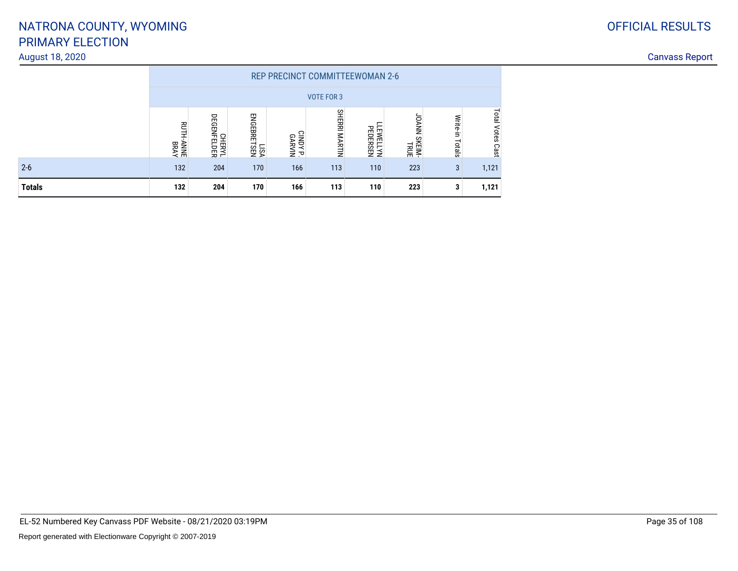#### August 18, 2020

|               | <b>REP PRECINCT COMMITTEEWOMAN 2-6</b> |                              |                     |                                  |                      |                      |                                     |                    |                  |  |  |  |
|---------------|----------------------------------------|------------------------------|---------------------|----------------------------------|----------------------|----------------------|-------------------------------------|--------------------|------------------|--|--|--|
|               | <b>VOTE FOR 3</b>                      |                              |                     |                                  |                      |                      |                                     |                    |                  |  |  |  |
|               | <b>AVBA</b><br>BNNY-HLNB               | <b>CHERYL</b><br>DEGENFELDER | LISA<br>ENGEBRETSEN | CINDY<br><b>GARVIN</b><br>GARVIN | <b>SHERRI MARTIN</b> | LEWELLYN<br>PEDERSEN | <b>HIELD SKEIM-</b><br>HIELD SKEIM- | Write-in<br>Totals | Total Votes Cast |  |  |  |
| $2 - 6$       | 132                                    | 204                          | 170                 | 166                              | 113                  | 110                  | 223                                 | 3                  | 1,121            |  |  |  |
| <b>Totals</b> | 132                                    | 204                          | 170                 | 166                              | 113                  | 110                  | 223                                 | 3                  | 1,121            |  |  |  |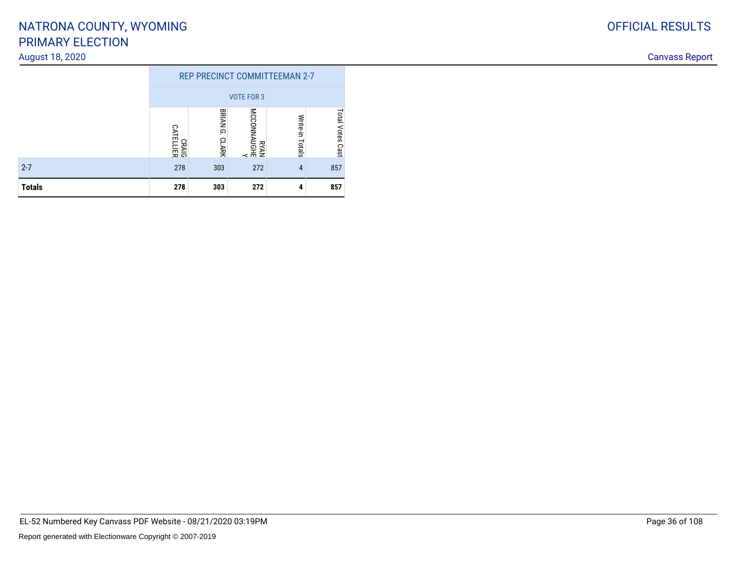#### August 18, 2020

|               | <b>REP PRECINCT COMMITTEEMAN 2-7</b> |                   |                  |                    |                         |  |  |  |  |  |
|---------------|--------------------------------------|-------------------|------------------|--------------------|-------------------------|--|--|--|--|--|
|               | <b>VOTE FOR 3</b>                    |                   |                  |                    |                         |  |  |  |  |  |
|               | CRAIG<br>CATELLIER                   | BRIAN G.<br>CLARK | N<br>BKAN<br>KAN | Write-in<br>Totals | <b>Total Votes Cast</b> |  |  |  |  |  |
| $2 - 7$       | 278                                  | 303               | 272              | 4                  | 857                     |  |  |  |  |  |
| <b>Totals</b> | 278                                  | 303               | 272              | 4                  | 857                     |  |  |  |  |  |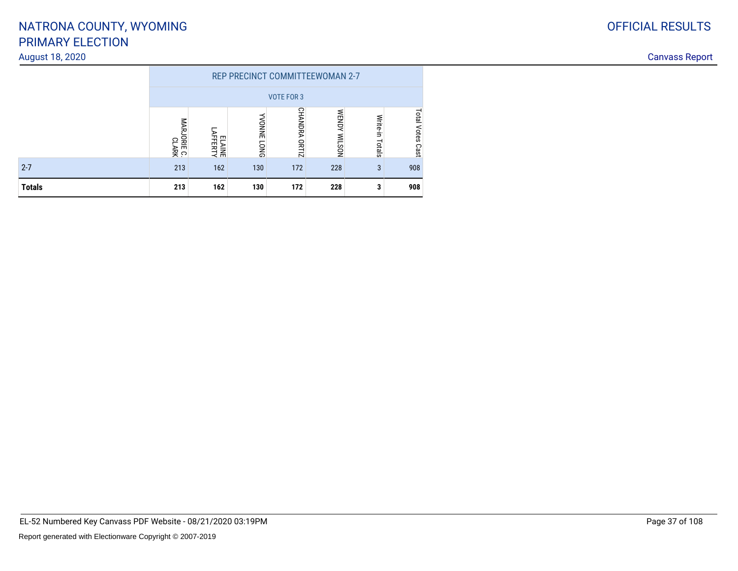#### August 18, 2020

|               | <b>REP PRECINCT COMMITTEEWOMAN 2-7</b> |                   |                            |               |                               |                    |                            |  |  |
|---------------|----------------------------------------|-------------------|----------------------------|---------------|-------------------------------|--------------------|----------------------------|--|--|
|               | <b>VOTE FOR 3</b>                      |                   |                            |               |                               |                    |                            |  |  |
|               | <b>MARJORIE</b><br>ဥ<br>IE C.<br>АRK   | ELAINE<br>AFFERTY | <b>NONNE</b><br><b>DNO</b> | CHANDRA ORTIZ | <b>WENDY</b><br><b>NOSTIM</b> | Write-in<br>Totals | <b>Total Votes</b><br>Cast |  |  |
| $2 - 7$       | 213                                    | 162               | 130                        | 172           | 228                           | 3                  | 908                        |  |  |
| <b>Totals</b> | 213                                    | 162               | 130                        | 172           | 228                           | 3                  | 908                        |  |  |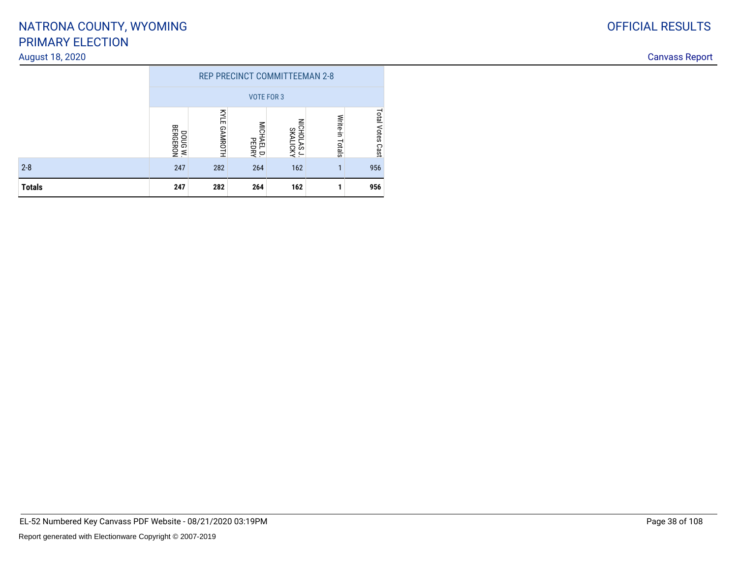#### August 18, 2020

|               | <b>REP PRECINCT COMMITTEEMAN 2-8</b> |                               |                            |                    |  |     |  |  |  |
|---------------|--------------------------------------|-------------------------------|----------------------------|--------------------|--|-----|--|--|--|
|               | <b>VOTE FOR 3</b>                    |                               |                            |                    |  |     |  |  |  |
|               | DOUG W.<br>BERGERON                  | Total<br><b>Votes</b><br>Cast |                            |                    |  |     |  |  |  |
| $2 - 8$       | 247                                  | 282                           | MICHAEL D.<br>PEDRY<br>264 | NICHOLAS J.<br>162 |  | 956 |  |  |  |
| <b>Totals</b> | 162<br>247<br>282<br>264             |                               |                            |                    |  |     |  |  |  |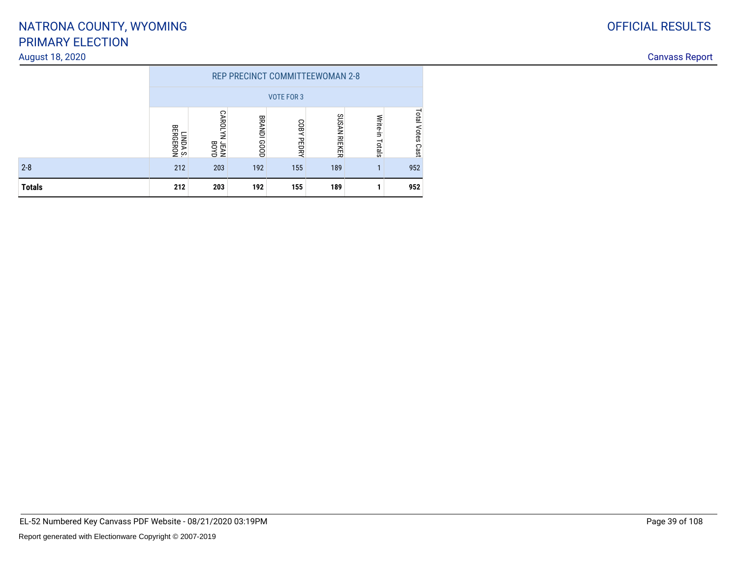#### August 18, 2020

|               | REP PRECINCT COMMITTEEWOMAN 2-8 |                                       |                       |                      |              |                    |                            |  |  |  |
|---------------|---------------------------------|---------------------------------------|-----------------------|----------------------|--------------|--------------------|----------------------------|--|--|--|
|               | <b>VOTE FOR 3</b>               |                                       |                       |                      |              |                    |                            |  |  |  |
|               | LINDA S.<br>Bergeron            | <b>CAROLYN</b><br><b>JEAN</b><br>BOYD | <b>BRANDI</b><br>1000 | COBY<br><b>PEDRY</b> | SUSAN RIEKER | Write-in<br>Totals | <b>Total Votes</b><br>Cast |  |  |  |
| $2 - 8$       | 212                             | 203                                   | 192                   | 155                  | 189          |                    | 952                        |  |  |  |
| <b>Totals</b> | 212                             | 203                                   | 192                   | 155                  | 189          |                    | 952                        |  |  |  |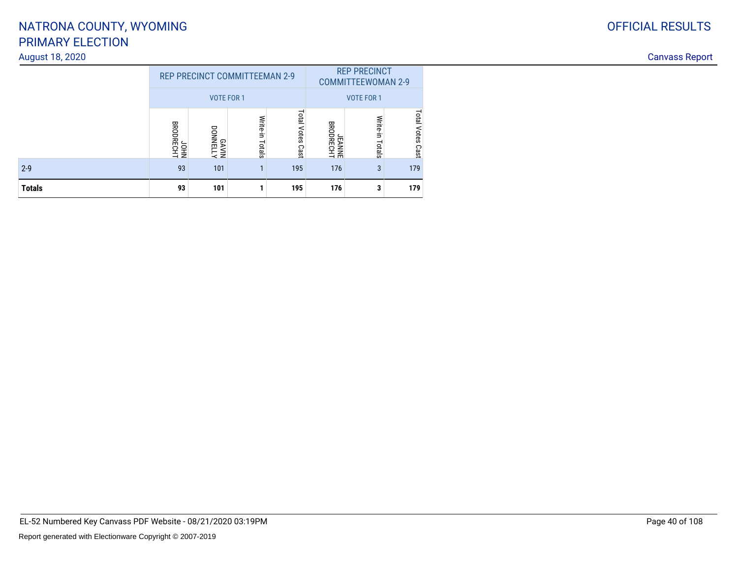#### August 18, 2020

|               |                          | <b>REP PRECINCT COMMITTEEMAN 2-9</b> |                    |                     | <b>REP PRECINCT</b><br><b>COMMITTEEWOMAN 2-9</b> |                    |             |  |
|---------------|--------------------------|--------------------------------------|--------------------|---------------------|--------------------------------------------------|--------------------|-------------|--|
|               |                          | <b>VOTE FOR 1</b>                    |                    |                     | <b>VOTE FOR 1</b>                                |                    |             |  |
|               | <b>BRODRECHT</b><br>NHOL | <b>GAVIN</b><br>MIVAB                | Write-in<br>Totals | Total Votes<br>Cast | <b>BRODRECHT</b><br><b>JEANNE</b>                | Write-in<br>Totals |             |  |
| $2 - 9$       | 93                       | 101                                  |                    | 195                 | 176                                              | 3                  | Cast<br>179 |  |
| <b>Totals</b> | 93                       | 101                                  |                    | 195                 | 176                                              | 3                  | 179         |  |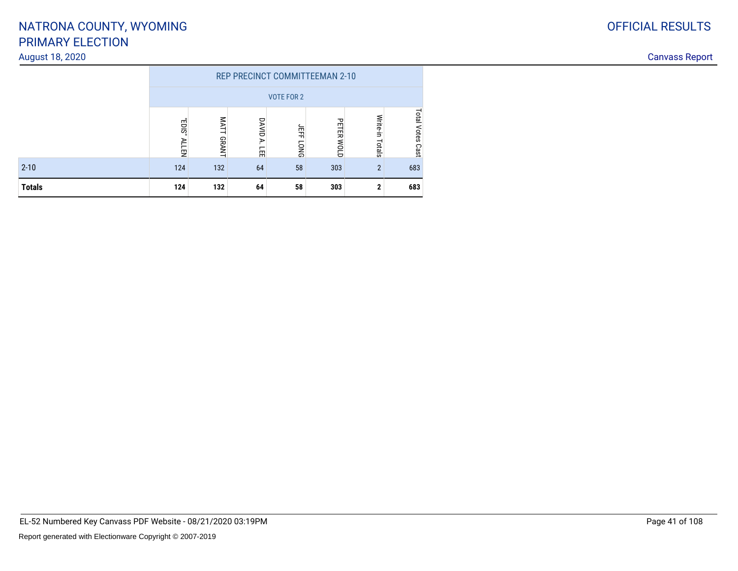#### August 18, 2020

|               | <b>REP PRECINCT COMMITTEEMAN 2-10</b> |                                                                                           |    |    |     |                |     |  |  |  |
|---------------|---------------------------------------|-------------------------------------------------------------------------------------------|----|----|-----|----------------|-----|--|--|--|
|               | <b>VOTE FOR 2</b>                     |                                                                                           |    |    |     |                |     |  |  |  |
|               | $-$ SIO <sub>3</sub><br><b>ALLEN</b>  | Write-in<br>Š<br>DAVID<br>PETER<br>ЛÉF<br>GRANT<br>₹<br>MOLD<br>Totals<br><b>DNO</b><br>冨 |    |    |     |                |     |  |  |  |
| $2 - 10$      | 124                                   | 132                                                                                       | 64 | 58 | 303 | $\overline{2}$ | 683 |  |  |  |
| <b>Totals</b> | 124                                   | 132                                                                                       | 64 | 58 | 303 | 2              | 683 |  |  |  |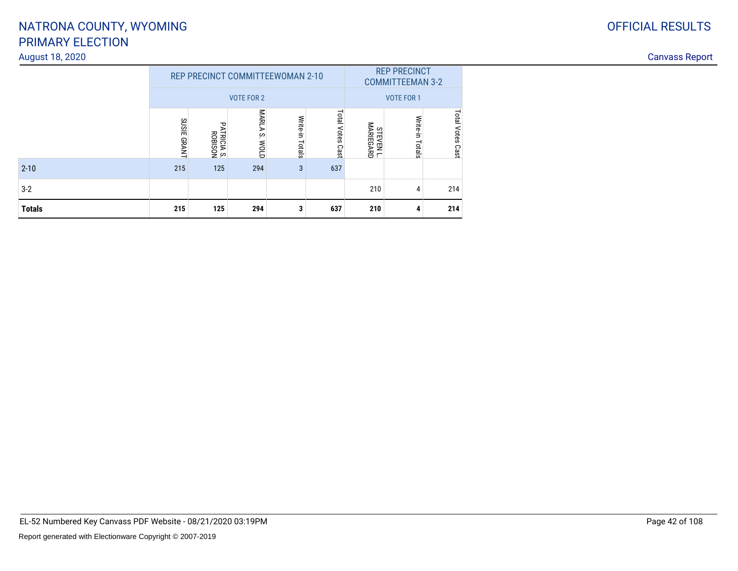#### August 18, 2020

|               |                              | REP PRECINCT COMMITTEEWOMAN 2-10<br><b>VOTE FOR 2</b> | <b>REP PRECINCT</b><br><b>COMMITTEEMAN 3-2</b><br><b>VOTE FOR 1</b> |                    |                     |                                |                 |                  |
|---------------|------------------------------|-------------------------------------------------------|---------------------------------------------------------------------|--------------------|---------------------|--------------------------------|-----------------|------------------|
|               | <b>SUSIE</b><br><b>GRANT</b> | PATRICIA<br><b>TRICIA S.<br/>ROBISON</b>              | MARLA<br>ċ.<br><b>MOLD</b>                                          | Write-in<br>Totals | Total Votes<br>Cast | <b>STEVEN L.<br/>MARIEGARD</b> | Write-in Totals | Total Votes Cast |
| $2 - 10$      | 215                          | 125                                                   | 294                                                                 | 3                  | 637                 |                                |                 |                  |
| $3 - 2$       |                              |                                                       |                                                                     |                    |                     | 210                            | 4               | 214              |
| <b>Totals</b> | 215                          | 125                                                   | 294                                                                 | 3                  | 637                 | 210                            | 4               | 214              |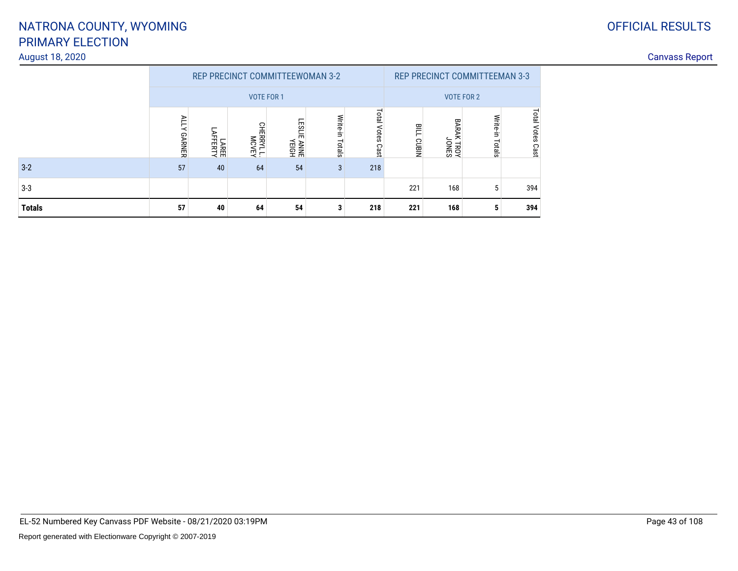## PRIMARY ELECTIONNATRONA COUNTY, WYOMING

#### August 18, 2020Canvass Report

|               |                              |                  |                    | <b>REP PRECINCT COMMITTEEWOMAN 3-2</b> | <b>REP PRECINCT COMMITTEEMAN 3-3</b> |                     |                         |                                           |                    |                  |
|---------------|------------------------------|------------------|--------------------|----------------------------------------|--------------------------------------|---------------------|-------------------------|-------------------------------------------|--------------------|------------------|
|               |                              |                  |                    | <b>VOTE FOR 1</b>                      | <b>VOTE FOR 2</b>                    |                     |                         |                                           |                    |                  |
|               | <b>ALLY</b><br><b>GARNER</b> | LAREE<br>AFFERTY | NJAOW<br>T TARBIHO | ESL<br>듮<br>ANNE<br>YEIGH              | Write-in<br>Totals                   | Total Votes<br>Cast | 严<br>NIBIN <sub>3</sub> | <b>BARA</b><br>ㅊ<br><b>CTRON</b><br>JONES | Write-in<br>Totals | Total Votes Cast |
| $3 - 2$       | 57                           | 40               | 64                 | 54                                     | 3                                    | 218                 |                         |                                           |                    |                  |
| $3 - 3$       |                              |                  |                    |                                        |                                      |                     | 221                     | 168                                       | 5                  | 394              |
| <b>Totals</b> | 57                           | 40               | 64                 | 54                                     | 3                                    | 218                 | 221                     | 168                                       | 5                  | 394              |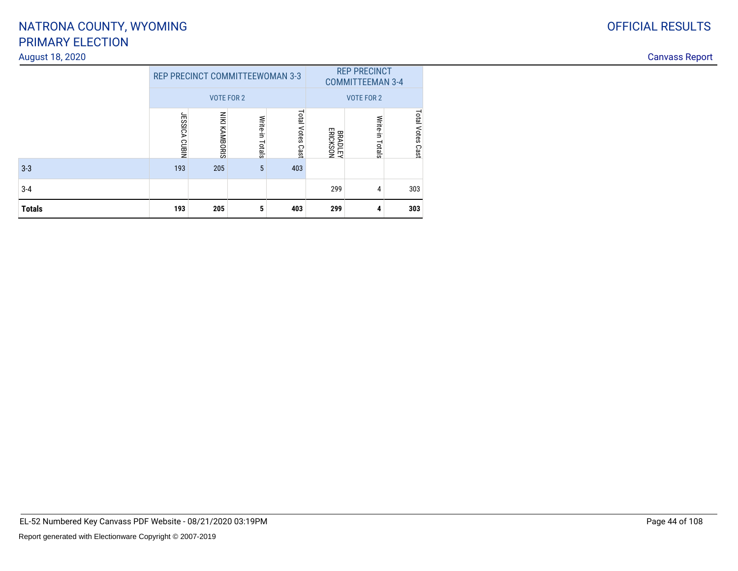#### August 18, 2020

|               |               | <b>REP PRECINCT COMMITTEEWOMAN 3-3</b> |                    | <b>REP PRECINCT</b><br><b>COMMITTEEMAN 3-4</b> |                                   |                   |                     |
|---------------|---------------|----------------------------------------|--------------------|------------------------------------------------|-----------------------------------|-------------------|---------------------|
|               |               | <b>VOTE FOR 2</b>                      |                    |                                                |                                   | <b>VOTE FOR 2</b> |                     |
|               | JESSICA CUBIN | NIKI KAMBORIS                          | Write-in<br>Totals | Total Votes<br>Cast                            | <b>ERICKSON</b><br><b>BRADLEY</b> | Write-in Totals   | Total Votes<br>Cast |
| $3 - 3$       | 193           | 205                                    | 5                  | 403                                            |                                   |                   |                     |
| $3 - 4$       |               |                                        |                    |                                                | 299                               | 4                 | 303                 |
| <b>Totals</b> | 193           | 205                                    | 5                  | 403                                            | 299                               | 4                 | 303                 |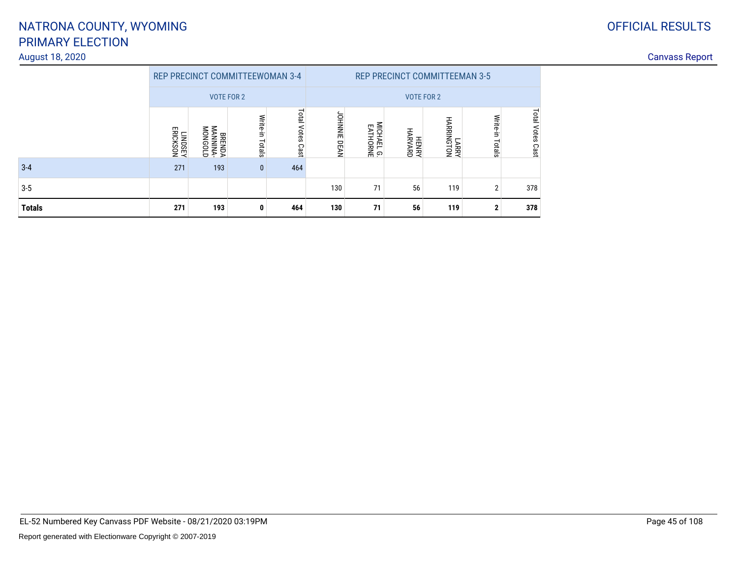#### August 18, 2020

| <b>OFFICIAL RESULTS</b> |
|-------------------------|
|                         |

|               |                     |                                |                 | <b>REP PRECINCT COMMITTEEWOMAN 3-4</b><br><b>REP PRECINCT COMMITTEEMAN 3-5</b> |                     |                                          |                  |                     |                 |                         |
|---------------|---------------------|--------------------------------|-----------------|--------------------------------------------------------------------------------|---------------------|------------------------------------------|------------------|---------------------|-----------------|-------------------------|
|               |                     | <b>VOTE FOR 2</b>              |                 |                                                                                |                     |                                          |                  | <b>VOTE FOR 2</b>   |                 |                         |
|               | LINDSPY<br>FRICKSON | BRENDA<br>MANNINA-<br>MANNINA- | Write-in Totals | Total Votes Cast                                                               | <b>JOHNNIE DEAN</b> | <b>MICHAEL</b><br>MICHAEL G.<br>EATHORNE | HENRY<br>HARVARD | LARRY<br>HARRINGTON | Write-in Totals | <b>Total Votes Cast</b> |
| $3 - 4$       | 271                 | 193                            | $\mathbf{0}$    | 464                                                                            |                     |                                          |                  |                     |                 |                         |
| $3 - 5$       |                     |                                |                 |                                                                                | 130                 | 71                                       | 56               | 119                 | $\overline{2}$  | 378                     |
| <b>Totals</b> | 271                 | 193                            | 0               | 464                                                                            | 130                 | 71                                       | 56               | 119                 | $\mathbf{2}$    | 378                     |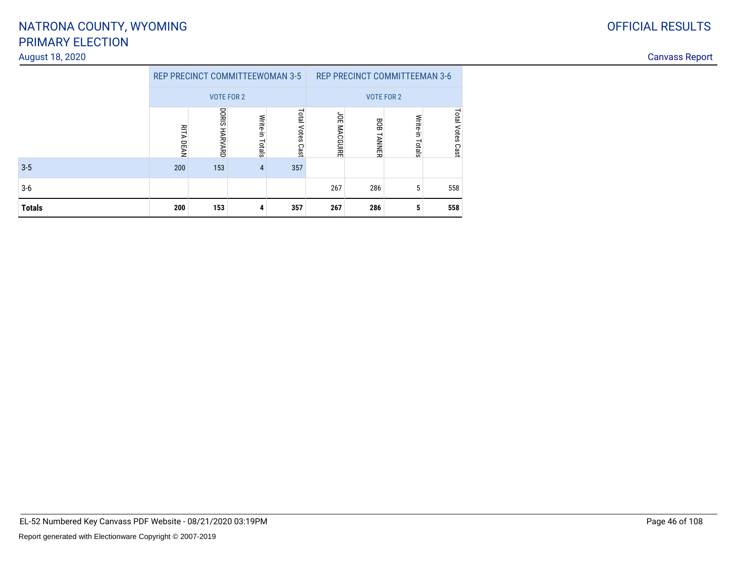#### August 18, 2020

|         |              | <b>REP PRECINCT COMMITTEEWOMAN 3-5</b> |                 |                        | <b>REP PRECINCT COMMITTEEMAN 3-6</b> |               |                 |                            |  |
|---------|--------------|----------------------------------------|-----------------|------------------------|--------------------------------------|---------------|-----------------|----------------------------|--|
|         |              | <b>VOTE FOR 2</b>                      |                 |                        | <b>VOTE FOR 2</b>                    |               |                 |                            |  |
|         | RITA<br>DEAN | DORIS<br><b>HARVARD</b>                | Write-in Totals | Total<br>Votes<br>Cast | JOE MACGUIRE                         | 808<br>TANNER | Write-in Totals | <b>Total Votes</b><br>Cast |  |
| $3 - 5$ | 200          | 153                                    | 4               | 357                    |                                      |               |                 |                            |  |
| 3-6     |              |                                        |                 |                        | 267                                  | 286           | 5               | 558                        |  |
| Totals  | 200          | 153                                    | 4               | 357                    | 267                                  | 286           | 5               | 558                        |  |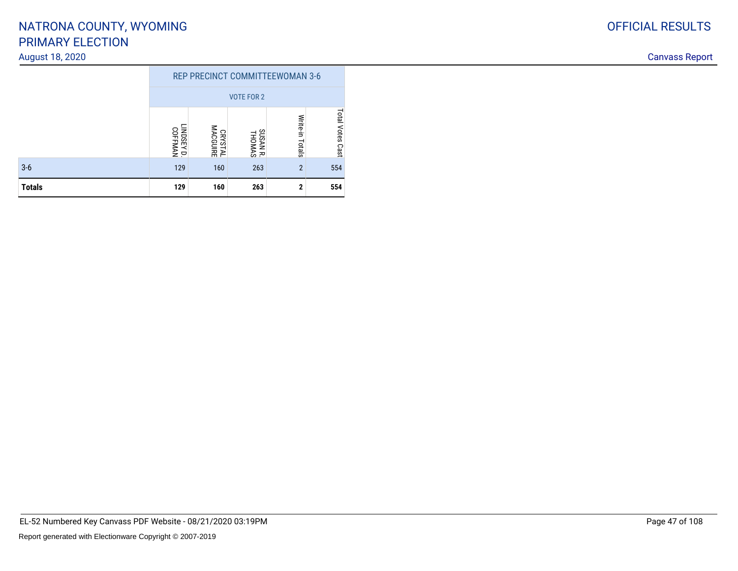#### August 18, 2020

|               | <b>REP PRECINCT COMMITTEEWOMAN 3-6</b> |                            |                 |                |     |  |  |  |  |
|---------------|----------------------------------------|----------------------------|-----------------|----------------|-----|--|--|--|--|
|               | <b>VOTE FOR 2</b>                      |                            |                 |                |     |  |  |  |  |
|               | LINDSEY D.<br>COFFMAN                  | Total Votes Cast           |                 |                |     |  |  |  |  |
| $3-6$         | 129                                    | CRYSTAL<br>MACGUIRE<br>160 | SUSAN R.<br>263 | $\overline{2}$ | 554 |  |  |  |  |
| <b>Totals</b> | 129                                    | 160                        | 263             | $\mathbf 2$    | 554 |  |  |  |  |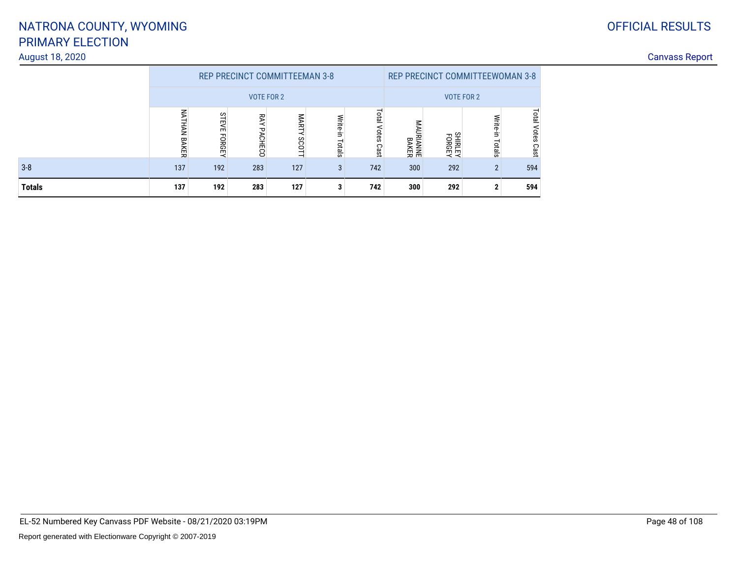## PRIMARY ELECTIONNATRONA COUNTY, WYOMING

#### August 18, 2020

|               |                           |                        | <b>REP PRECINCT COMMITTEEMAN 3-8</b> | <b>REP PRECINCT COMMITTEEWOMAN 3-8</b> |                    |                     |                             |                          |                               |                        |
|---------------|---------------------------|------------------------|--------------------------------------|----------------------------------------|--------------------|---------------------|-----------------------------|--------------------------|-------------------------------|------------------------|
|               |                           |                        | <b>VOTE FOR 2</b>                    | <b>VOTE FOR 2</b>                      |                    |                     |                             |                          |                               |                        |
|               | ℥<br>THAN<br><b>BAKER</b> | <b>STEV</b><br>EFORGEN | ጆ<br>PACHECO                         | MART<br><b>SCOT</b><br>-               | Write-in<br>Totals | Total<br>Votes Cast | ⋚<br><b>RIANNE</b><br>BAKER | <b>FORGEY</b><br>SHIRLEY | <b>Write-</b><br>Ė.<br>Totals | Total<br>Votes<br>Cast |
| $3 - 8$       | 137                       | 192                    | 283                                  | 127                                    | 3                  | 742                 | 300                         | 292                      | $\mathfrak{p}$                | 594                    |
| <b>Totals</b> | 137                       | 192                    | 283                                  | 127                                    | 3                  | 742                 | 300                         | 292                      | ŋ                             | 594                    |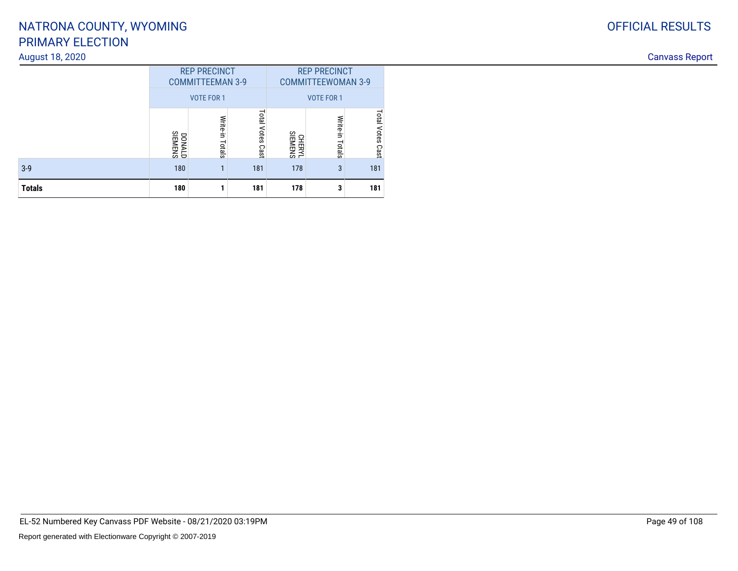#### August 18, 2020

| August 18, 2020 |                                                |                      |                        |                                                  |                        |                        |  |
|-----------------|------------------------------------------------|----------------------|------------------------|--------------------------------------------------|------------------------|------------------------|--|
|                 | <b>REP PRECINCT</b><br><b>COMMITTEEMAN 3-9</b> |                      |                        | <b>REP PRECINCT</b><br><b>COMMITTEEWOMAN 3-9</b> |                        |                        |  |
|                 |                                                | VOTE FOR 1           |                        | VOTE FOR 1                                       |                        |                        |  |
|                 | <b>DONALD</b>                                  | Write<br>₹.<br>otals | latal<br>Votes<br>Cast | CHERYL<br>SIEMENS                                | Write-<br>÷,<br>Totals | istal<br>Votes<br>Cast |  |
| $3-9$           | 180                                            |                      | 181                    | 178                                              | 3                      | 181                    |  |
| <b>Totals</b>   | 180                                            |                      | 181                    | 178                                              | 3                      | 181                    |  |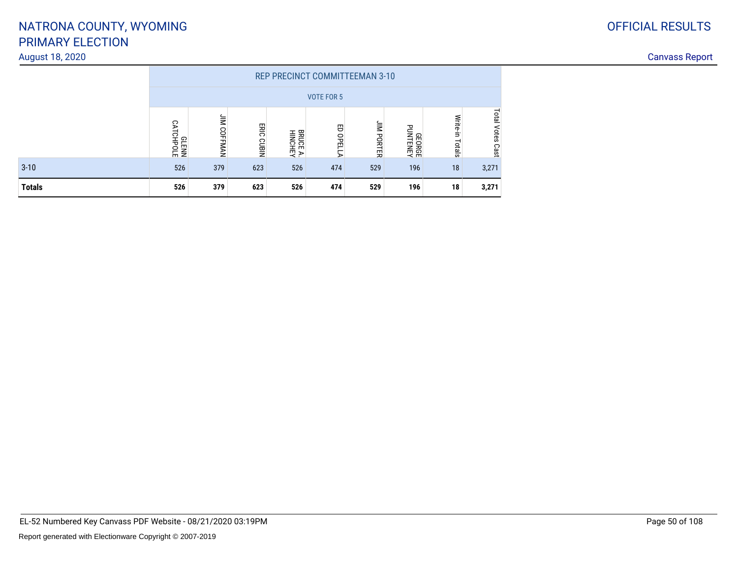#### August 18, 2020

| <b>OFFICIAL RESULTS</b> |
|-------------------------|
|                         |

|               |                           |               |            |                            | <b>REP PRECINCT COMMITTEEMAN 3-10</b> |                      |                 |                    |                               |  |  |  |
|---------------|---------------------------|---------------|------------|----------------------------|---------------------------------------|----------------------|-----------------|--------------------|-------------------------------|--|--|--|
|               | <b>VOTE FOR 5</b>         |               |            |                            |                                       |                      |                 |                    |                               |  |  |  |
|               | <b>SLENN</b><br>CATCHPOLE | İM<br>COFFMAN | ERIC CUBIN | <b>BRUCE A.</b><br>HINCHEY | 巴<br><b>DPEL</b><br>i<br>⋗            | ăΜ<br><b>IPORTER</b> | <b>HONTENEY</b> | Write-in<br>Totals | <b>Lotal</b><br>Votes<br>Cast |  |  |  |
| $3 - 10$      | 526                       | 379           | 623        | 526                        | 474                                   | 529                  | 196             | 18                 | 3,271                         |  |  |  |
| <b>Totals</b> | 526                       | 379           | 623        | 526                        | 474                                   | 529                  | 196             | 18                 | 3,271                         |  |  |  |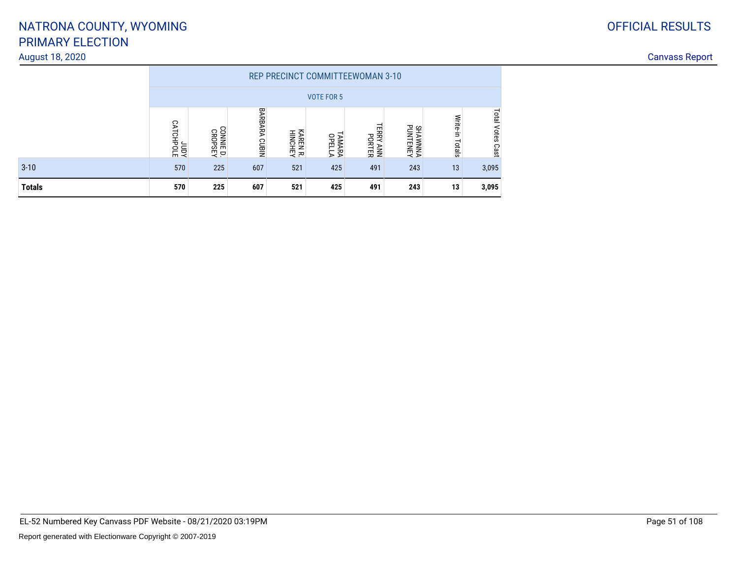#### August 18, 2020

|               |                        |                      |                      |                     |                         | <b>REP PRECINCT COMMITTEEWOMAN 3-10</b> |                            |                    |                        |  |  |  |  |
|---------------|------------------------|----------------------|----------------------|---------------------|-------------------------|-----------------------------------------|----------------------------|--------------------|------------------------|--|--|--|--|
|               | <b>VOTE FOR 5</b>      |                      |                      |                     |                         |                                         |                            |                    |                        |  |  |  |  |
|               | <b>SLOHDTA</b><br>TOPL | CONNIE D.<br>CROPSEY | <b>BARBARA CUBIN</b> | KAREN R.<br>HINCHEY | <b>TAMARA</b><br>OPELLA | <b>TERRY</b><br>PORTER<br><b>ANN</b>    | <b>SHAWNNA</b><br>PUNTENEY | Write-in<br>Totals | Total<br>Votes<br>Cast |  |  |  |  |
| $3 - 10$      | 570                    | 225                  | 607                  | 521                 | 425                     | 491                                     | 243                        | 13                 | 3,095                  |  |  |  |  |
| <b>Totals</b> | 570                    | 225                  | 607                  | 521                 | 425                     | 491                                     | 243                        | 13                 | 3,095                  |  |  |  |  |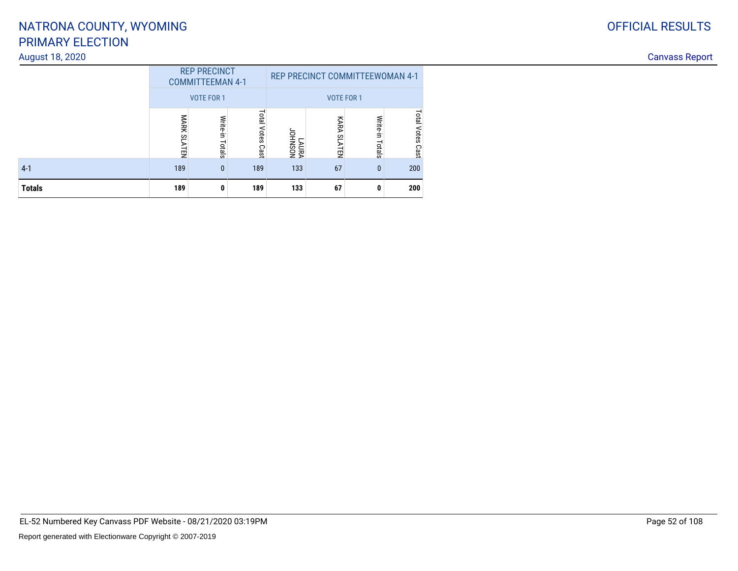#### August 18, 2020

|               |             | <b>REP PRECINCT</b><br><b>COMMITTEEMAN 4-1</b> |                        | REP PRECINCT COMMITTEEWOMAN 4-1 |                       |                    |                     |  |  |
|---------------|-------------|------------------------------------------------|------------------------|---------------------------------|-----------------------|--------------------|---------------------|--|--|
|               |             | <b>VOTE FOR 1</b>                              |                        | <b>VOTE FOR 1</b>               |                       |                    |                     |  |  |
|               | MARK SLATEN | Write-in<br>Totals                             | Total<br>Votes<br>Cast | NOSNHOL<br>VANYT                | KARA<br><b>SLATEN</b> | Write-in<br>Totals | Total Votes<br>Cast |  |  |
| $4 - 1$       | 189         | $\mathbf{0}$                                   | 189                    | 133                             | 67                    | $\mathbf{0}$       | 200                 |  |  |
| <b>Totals</b> | 189         | 0                                              | 189                    | 133                             | 67                    | 0                  | 200                 |  |  |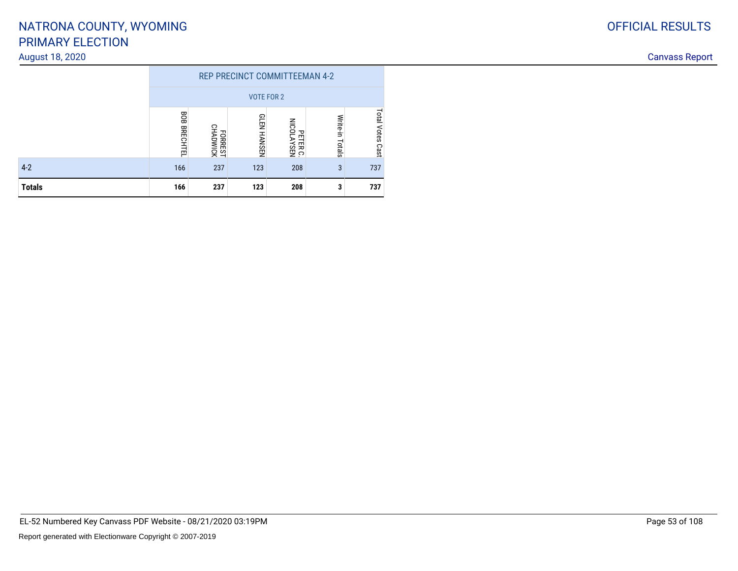#### August 18, 2020

|               |                        |                                              | REP PRECINCT COMMITTEEMAN 4-2 |     |   |     |
|---------------|------------------------|----------------------------------------------|-------------------------------|-----|---|-----|
|               |                        |                                              | <b>VOTE FOR 2</b>             |     |   |     |
|               | 80B<br><b>BRECHTEL</b> | Write-in<br>PETER C.<br>NICOLAYSEN<br>Totals | <b>Total Votes</b><br>Cast    |     |   |     |
| $4-2$         | 166                    | FORREST<br>CHADWICK<br>237                   | 123                           | 208 | 3 | 737 |
| <b>Totals</b> | 166                    | 237                                          | 123                           | 208 | 3 | 737 |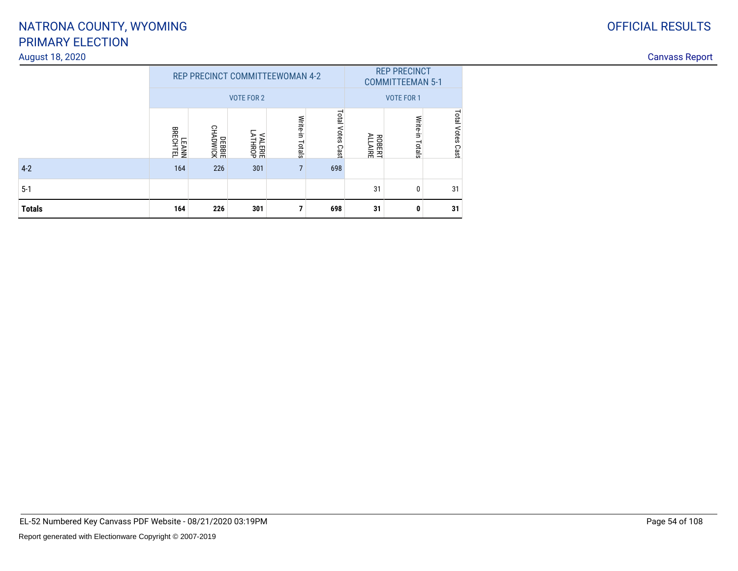#### August 18, 2020

|               |                                 | REP PRECINCT COMMITTEEWOMAN 4-2 | <b>VOTE FOR 2</b> | <b>REP PRECINCT</b><br><b>COMMITTEEMAN 5-1</b><br><b>VOTE FOR 1</b> |                     |                          |                    |                  |
|---------------|---------------------------------|---------------------------------|-------------------|---------------------------------------------------------------------|---------------------|--------------------------|--------------------|------------------|
|               | <b>BRECHTEL</b><br><b>LEANN</b> | DEBBIE<br>CHADWICK              | VALERIE<br>ATHROP | Write-in<br>Totals                                                  | Total Votes<br>Cast | <b>ROBERT</b><br>ALLAIRE | Write-in<br>Totals | Total Votes Cast |
| $4-2$         | 164                             | 226                             | 301               | 7                                                                   | 698                 |                          |                    |                  |
| $5-1$         |                                 |                                 |                   |                                                                     |                     | 31                       | 0                  | 31               |
| <b>Totals</b> | 164                             | 226                             | 301               | 7                                                                   | 698                 | 31                       | 0                  | 31               |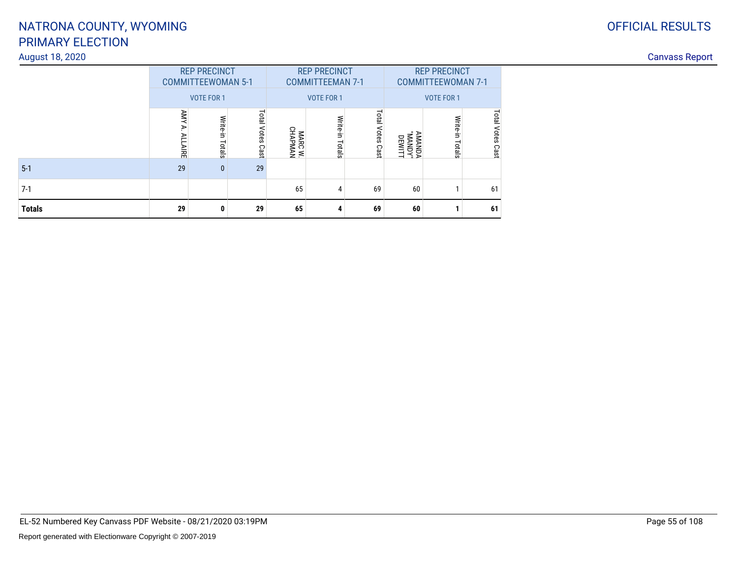#### August 18, 2020

| <b>OFFICIAL RESULTS</b> |
|-------------------------|
|                         |

|               | <b>REP PRECINCT</b><br><b>COMMITTEEWOMAN 5-1</b> |                    |                                     |                    | <b>REP PRECINCT</b><br><b>COMMITTEEMAN 7-1</b> |                            | <b>REP PRECINCT</b><br><b>COMMITTEEWOMAN 7-1</b> |                    |                  |
|---------------|--------------------------------------------------|--------------------|-------------------------------------|--------------------|------------------------------------------------|----------------------------|--------------------------------------------------|--------------------|------------------|
|               |                                                  | <b>VOTE FOR 1</b>  |                                     |                    | <b>VOTE FOR 1</b>                              |                            | <b>VOTE FOR 1</b>                                |                    |                  |
|               | AMA<br>AIRE                                      | Write-in<br>Totals | Total <sup>1</sup><br>Votes<br>Cast | MARC W.<br>CHAPMAN | Write-in<br>Totals                             | <b>Fotal Votes</b><br>Cast | "YQNANDA"<br>"ANANDA<br><b>DEWITT</b>            | Write-in<br>Totals | Total Votes Cast |
| $5-1$         | 29                                               | $\mathbf{0}$       | 29                                  |                    |                                                |                            |                                                  |                    |                  |
| $7-1$         |                                                  |                    |                                     | 65                 | 4                                              | 69                         | 60                                               |                    | 61               |
| <b>Totals</b> | 29                                               | 0                  | 29                                  | 65                 | 4                                              | 69                         | 60                                               |                    | 61               |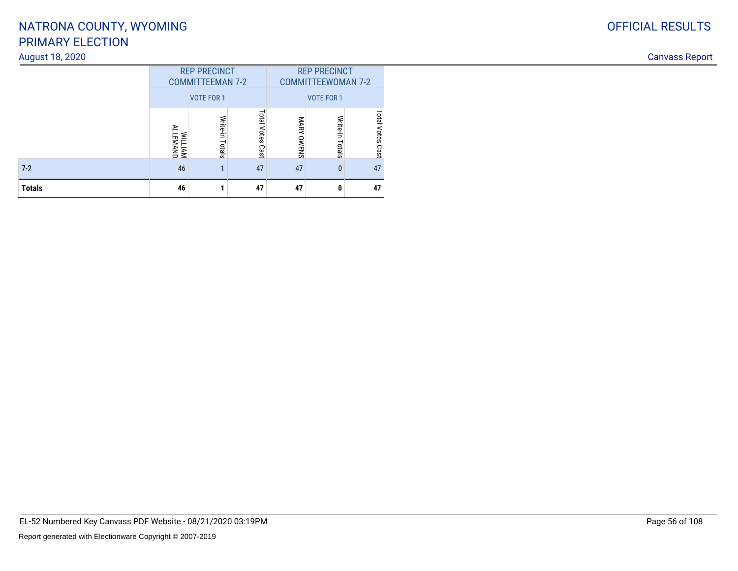#### August 18, 2020

| <b>Totals</b>   | 46                                             |                  | 47                     | 47                                               | 0                    | 47                     |
|-----------------|------------------------------------------------|------------------|------------------------|--------------------------------------------------|----------------------|------------------------|
| $7-2$           | 46                                             |                  | 47                     | 47                                               | $\mathbf{0}$         | 47                     |
|                 | WILLIAM<br>ALLEMAND                            | 큹<br>Ė.<br>otals | Total<br>Votes<br>Cast | MARY<br>OWENS                                    | Write<br>È.<br>otals | latal<br>Votes<br>Cast |
|                 |                                                | VOTE FOR 1       |                        |                                                  | VOTE FOR 1           |                        |
|                 | <b>REP PRECINCT</b><br><b>COMMITTEEMAN 7-2</b> |                  |                        | <b>REP PRECINCT</b><br><b>COMMITTEEWOMAN 7-2</b> |                      |                        |
| August 18, 2020 |                                                |                  |                        |                                                  |                      |                        |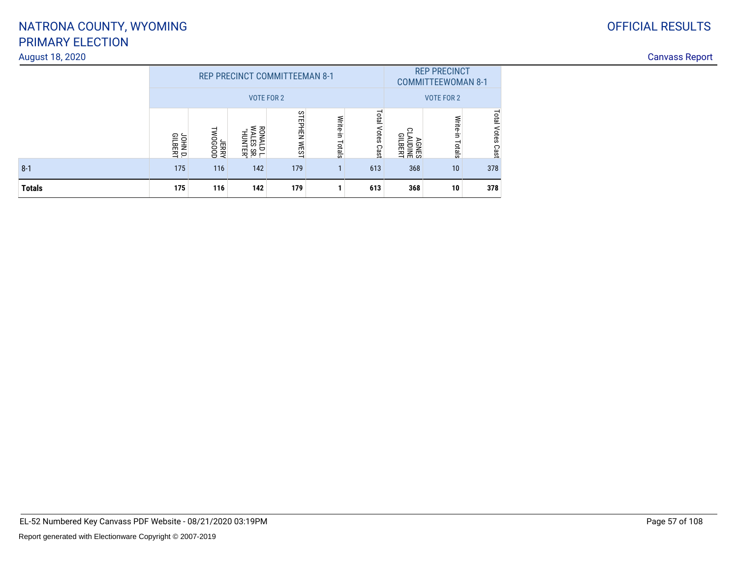## PRIMARY ELECTIONNATRONA COUNTY, WYOMING

#### August 18, 2020

|               |                    |                   | <b>REP PRECINCT COMMITTEEMAN 8-1</b>                               |                                | <b>REP PRECINCT</b><br><b>COMMITTEEWOMAN 8-1</b> |                        |                                     |                    |                        |
|---------------|--------------------|-------------------|--------------------------------------------------------------------|--------------------------------|--------------------------------------------------|------------------------|-------------------------------------|--------------------|------------------------|
|               |                    |                   | <b>VOTE FOR 2</b>                                                  | <b>VOTE FOR 2</b>              |                                                  |                        |                                     |                    |                        |
|               | JOHN D.<br>GILBERT | TWOGOOD<br>YARISL | <b>WALES</b><br><b>RONALI</b><br>ONALD L.<br>/ALES SR.<br>'HUNTER" | <b>STEPHEN</b><br><b>IWEST</b> | Write-in<br>Totals                               | Total<br>Votes<br>Cast | ∘<br><b>GILBERT</b><br><b>AGNES</b> | Write-in<br>Totals | Total<br>Votes<br>Cast |
| $8 - 1$       | 175                | 116               | 142                                                                | 179                            |                                                  | 613                    | 368                                 | 10                 | 378                    |
| <b>Totals</b> | 175                | 116               | 142                                                                | 179                            |                                                  | 613                    | 368                                 | 10                 | 378                    |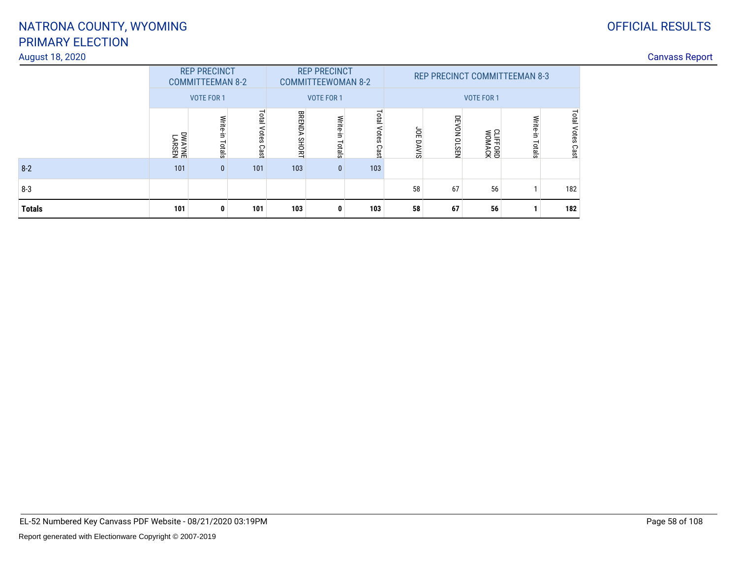#### August 18, 2020

| <b>OFFICIAL RESULTS</b> |
|-------------------------|
|                         |

|               |                         | <b>REP PRECINCT</b><br><b>COMMITTEEMAN 8-2</b> |                     |                        | <b>REP PRECINCT</b><br><b>COMMITTEEWOMAN 8-2</b> |                        |            |             |                           | <b>REP PRECINCT COMMITTEEMAN 8-3</b> |                     |
|---------------|-------------------------|------------------------------------------------|---------------------|------------------------|--------------------------------------------------|------------------------|------------|-------------|---------------------------|--------------------------------------|---------------------|
|               |                         | <b>VOTE FOR 1</b>                              |                     |                        | <b>VOTE FOR 1</b>                                |                        |            |             | <b>VOTE FOR 1</b>         |                                      |                     |
|               | <b>LARSEN</b><br>LARSEN | Write-in<br>Totals                             | Total Votes<br>Cast | <b>BRENDA</b><br>SHORT | Write-in<br>Totals                               | Total<br>Votes<br>Cast | ă<br>DAVIS | DEVON OLSEN | <b>CLIFFORD</b><br>WOMACK | Write-in<br>Totals                   | Total Votes<br>Cast |
| $8 - 2$       | 101                     | $\mathbf{0}$                                   | 101                 | 103                    | $\mathbf{0}$                                     | 103                    |            |             |                           |                                      |                     |
| $8 - 3$       |                         |                                                |                     |                        |                                                  |                        | 58         | 67          | 56                        |                                      | 182                 |
| <b>Totals</b> | 101                     | 0                                              | 101                 | 103                    | 0                                                | 103                    | 58         | 67          | 56                        |                                      | 182                 |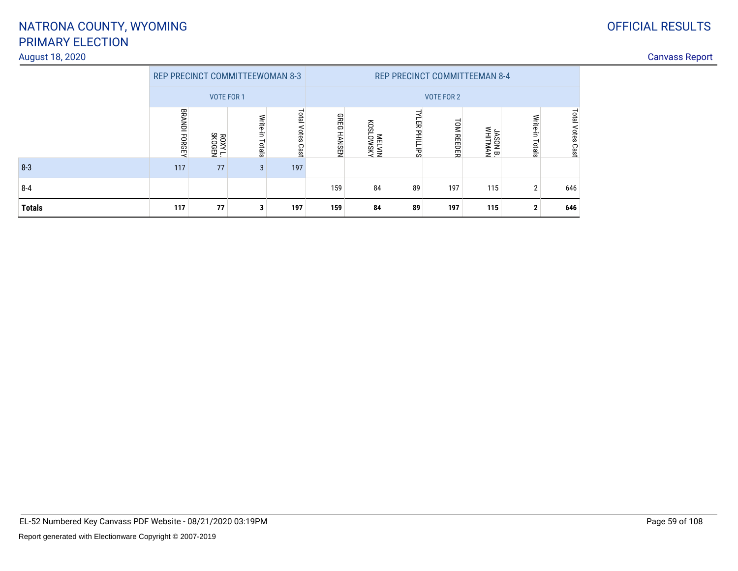#### August 18, 2020

|               | <b>REP PRECINCT COMMITTEEWOMAN 8-3</b> |                   |                 |                               | <b>REP PRECINCT COMMITTEEMAN 8-4</b> |                    |               |                   |                     |                    |                         |  |
|---------------|----------------------------------------|-------------------|-----------------|-------------------------------|--------------------------------------|--------------------|---------------|-------------------|---------------------|--------------------|-------------------------|--|
|               |                                        | <b>VOTE FOR 1</b> |                 |                               |                                      |                    |               | <b>VOTE FOR 2</b> |                     |                    |                         |  |
|               | BRANDI FORGEY                          | ROXY L.<br>SKOGEN | Write-in Totals | Total<br><b>Votes</b><br>Cast | <b>GREG</b><br><b>HANSEN</b>         | NSMOTSON<br>NIATEM | YLER PHILLIPS | <b>TOM REEDER</b> | JASON B.<br>WHITMAN | Write-in<br>Totals | <b>Total Votes Cast</b> |  |
| $8 - 3$       | 117                                    | 77                | 3               | 197                           |                                      |                    |               |                   |                     |                    |                         |  |
| $8 - 4$       |                                        |                   |                 |                               | 159                                  | 84                 | 89            | 197               | 115                 | 2                  | 646                     |  |
| <b>Totals</b> | 117                                    | 77                | 3               | 197                           | 159                                  | 84                 | 89            | 197               | 115                 | $\mathbf{2}$       | 646                     |  |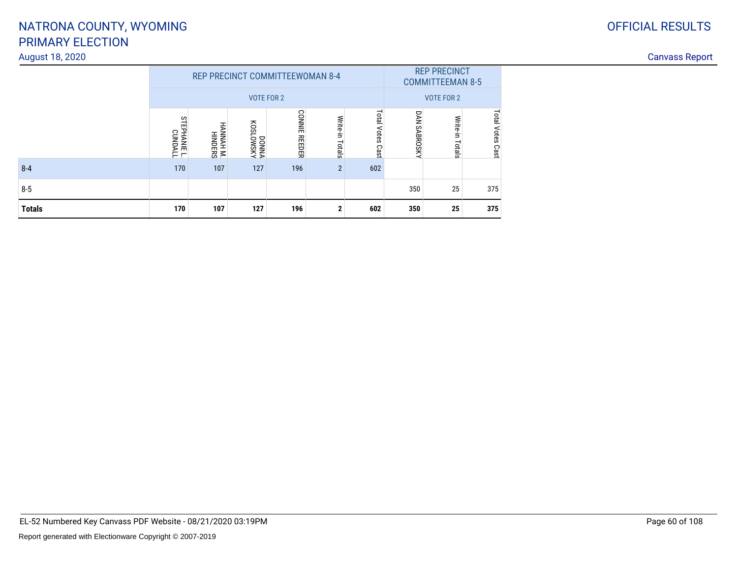## PRIMARY ELECTIONNATRONA COUNTY, WYOMING

#### August 18, 2020

| Canvass<br>, Rebor<br><u>----------</u> |
|-----------------------------------------|
|-----------------------------------------|

|               |                                         |                                     | <b>REP PRECINCT COMMITTEEWOMAN 8-4</b> |                               |                    |                        |              | <b>REP PRECINCT</b><br><b>COMMITTEEMAN 8-5</b> |                     |
|---------------|-----------------------------------------|-------------------------------------|----------------------------------------|-------------------------------|--------------------|------------------------|--------------|------------------------------------------------|---------------------|
|               |                                         |                                     |                                        | <b>VOTE FOR 2</b>             |                    |                        |              | <b>VOTE FOR 2</b>                              |                     |
|               | <b>STEPHANIE</b><br>PHANE L.<br>CUNDALL | <b>HANNAH</b><br>NNAH M.<br>HINDERS | <b>AJSMOTSON</b><br>VNNOD              | <b>CONNIE</b><br><b>REDER</b> | Write-in<br>Totals | Total<br>Votes<br>Cast | DAN SABROSKY | Write-in<br>Totals                             | Total Votes<br>Cast |
| $8 - 4$       | 170                                     | 107                                 | 127                                    | 196                           | $\overline{2}$     | 602                    |              |                                                |                     |
| $8 - 5$       |                                         |                                     |                                        |                               |                    |                        | 350          | 25                                             | 375                 |
| <b>Totals</b> | 170                                     | 107                                 | 127                                    | 196                           | $\mathbf{2}$       | 602                    | 350          | 25                                             | 375                 |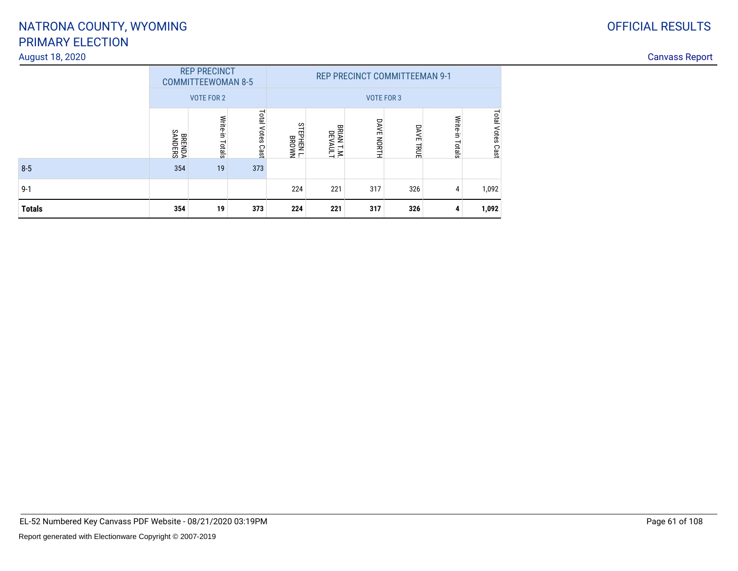#### August 18, 2020

|               |                          | <b>REP PRECINCT</b><br><b>COMMITTEEWOMAN 8-5</b><br><b>VOTE FOR 2</b> |                        |                                    |                                      | <b>REP PRECINCT COMMITTEEMAN 9-1</b><br><b>VOTE FOR 3</b> |                            |                    |                     |
|---------------|--------------------------|-----------------------------------------------------------------------|------------------------|------------------------------------|--------------------------------------|-----------------------------------------------------------|----------------------------|--------------------|---------------------|
|               | <b>BRENDA</b><br>SANDERS | Write-in<br>Totals                                                    | Total<br>Votes<br>Cast | <b>STEPHEN</b><br>PHEN L.<br>BROWN | <b>BRIAN</b><br>RIAN T.M.<br>DEVAULT | <b>DAVE NORTH</b>                                         | <b>DAVE</b><br><b>HRUE</b> | Write-in<br>Totals | Total Votes<br>Cast |
| $8 - 5$       | 354                      | 19                                                                    | 373                    |                                    |                                      |                                                           |                            |                    |                     |
| $9 - 1$       |                          |                                                                       |                        | 224                                | 221                                  | 317                                                       | 326                        | 4                  | 1,092               |
| <b>Totals</b> | 354                      | 19                                                                    | 373                    | 224                                | 221                                  | 317                                                       | 326                        | 4                  | 1,092               |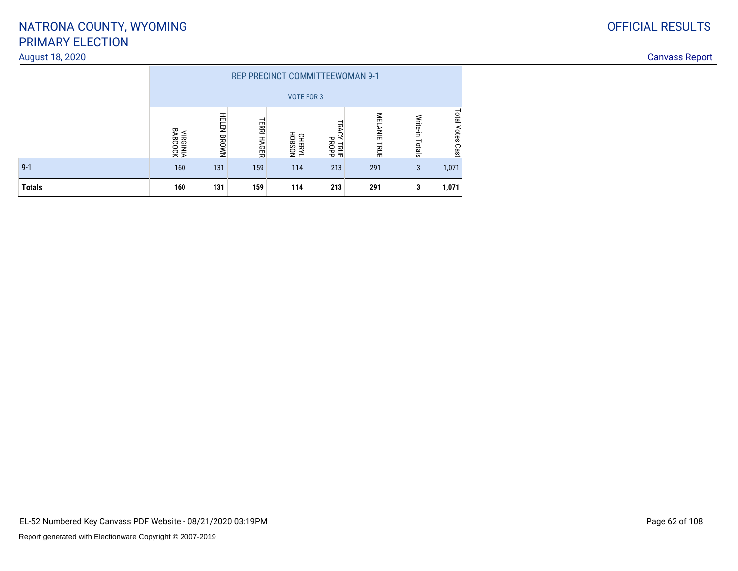#### August 18, 2020

|               |                            |                    |                              |                         | <b>REP PRECINCT COMMITTEEWOMAN 9-1</b> |                                   |                    |                               |
|---------------|----------------------------|--------------------|------------------------------|-------------------------|----------------------------------------|-----------------------------------|--------------------|-------------------------------|
|               |                            |                    |                              |                         | <b>VOTE FOR 3</b>                      |                                   |                    |                               |
|               | <b>VIRGINIA</b><br>BABCOCK | <b>HELEN BROWN</b> | <b>TERRI</b><br><b>HAGER</b> | NOS8OH<br><b>CHERYL</b> | 词<br>Ğ<br><b>TRUE</b><br>PROPP         | MEL<br><b>ANIE</b><br><b>TRUE</b> | Write-in<br>Totals | <b>Total</b><br>Votes<br>Cast |
| $9 - 1$       | 160                        | 131                | 159                          | 114                     | 213                                    | 291                               | 3                  | 1,071                         |
| <b>Totals</b> | 160                        | 131                | 159                          | 114                     | 213                                    | 291                               | 3                  | 1,071                         |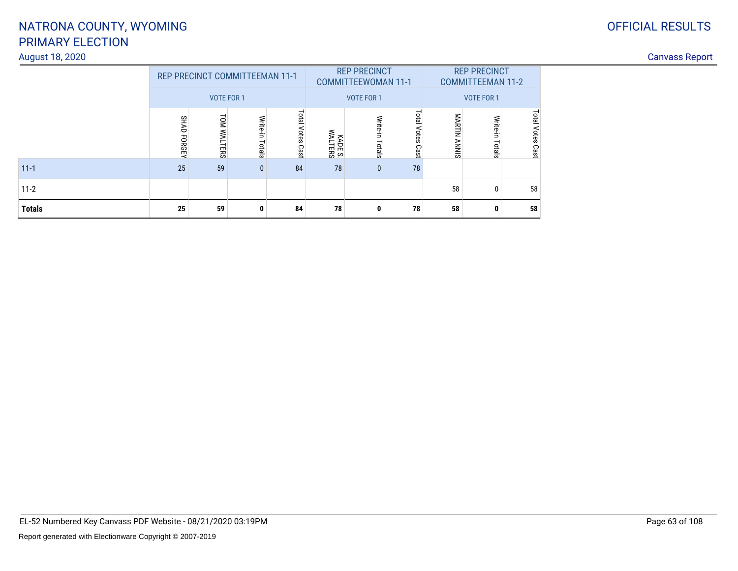# PRIMARY ELECTIONNATRONA COUNTY, WYOMING

#### August 18, 2020

| anvass:<br>.<br>\\\\J\JI |
|--------------------------|
|--------------------------|

|               |             | <b>REP PRECINCT COMMITTEEMAN 11-1</b> |                 |                     |                    | <b>REP PRECINCT</b><br><b>COMMITTEEWOMAN 11-1</b> |                     |              | <b>REP PRECINCT</b><br><b>COMMITTEEMAN 11-2</b> |                     |
|---------------|-------------|---------------------------------------|-----------------|---------------------|--------------------|---------------------------------------------------|---------------------|--------------|-------------------------------------------------|---------------------|
|               |             | <b>VOTE FOR 1</b>                     |                 |                     |                    | <b>VOTE FOR 1</b>                                 |                     |              | <b>VOTE FOR 1</b>                               |                     |
|               | SHAD FORGEY | <b>TOM WALTERS</b>                    | Write-in Totals | Total Votes<br>Cast | KADE S.<br>WALTERS | Write-in<br>Totals                                | Total Votes<br>Cast | MARTIN ANNIS | Write-in<br>Totals                              | Total Votes<br>Cast |
| $11 - 1$      | 25          | 59                                    | $\mathbf{0}$    | 84                  | 78                 | $\mathbf{0}$                                      | 78                  |              |                                                 |                     |
| $11-2$        |             |                                       |                 |                     |                    |                                                   |                     | 58           | 0                                               | 58                  |
| <b>Totals</b> | 25          | 59                                    | 0               | 84                  | 78                 | 0                                                 | 78                  | 58           | 0                                               | 58                  |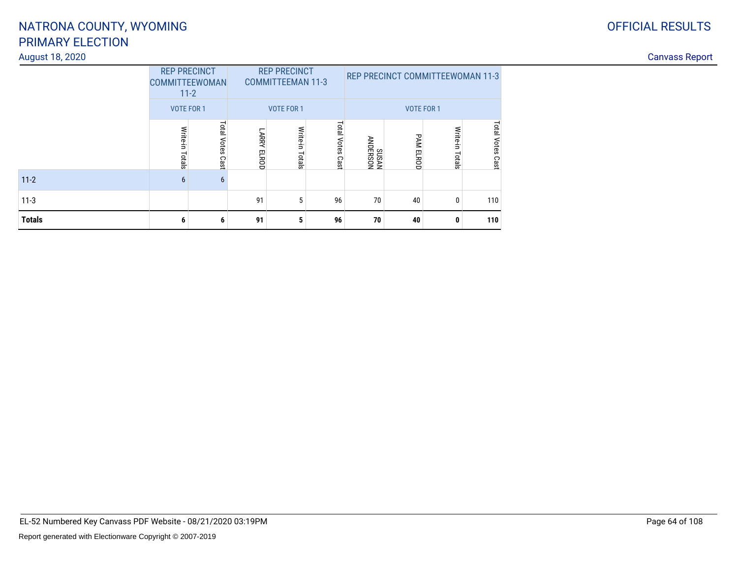### PRIMARY ELECTIONNATRONA COUNTY, WYOMING

#### August 18, 2020

|               | <b>REP PRECINCT</b><br><b>COMMITTEEWOMAN</b><br>$11 - 2$<br><b>VOTE FOR 1</b> |                     |                              | <b>REP PRECINCT</b><br><b>COMMITTEEMAN 11-3</b><br><b>VOTE FOR 1</b> |                     |                  | <b>REP PRECINCT COMMITTEEWOMAN 11-3</b><br><b>VOTE FOR 1</b> |                    |                  |
|---------------|-------------------------------------------------------------------------------|---------------------|------------------------------|----------------------------------------------------------------------|---------------------|------------------|--------------------------------------------------------------|--------------------|------------------|
|               | Write-in<br>Totals                                                            | Total Votes<br>Cast | <b>LARRY</b><br><b>ELROD</b> | Write-in<br>Totals                                                   | Total Votes<br>Cast | NOSH3NV<br>NVSNS | <b>PAM</b><br><b>ELROD</b>                                   | Write-in<br>Totals | Total Votes Cast |
| $11 - 2$      | 6                                                                             | 6                   |                              |                                                                      |                     |                  |                                                              |                    |                  |
| $11-3$        |                                                                               |                     | 91                           | 5                                                                    | 96                  | 70               | 40                                                           | 0                  | 110              |
| <b>Totals</b> | 6                                                                             | 6                   | 91                           | 5                                                                    | 96                  | 70               | 40                                                           | 0                  | 110              |

EL-52 Numbered Key Canvass PDF Website - 08/21/2020 03:19PM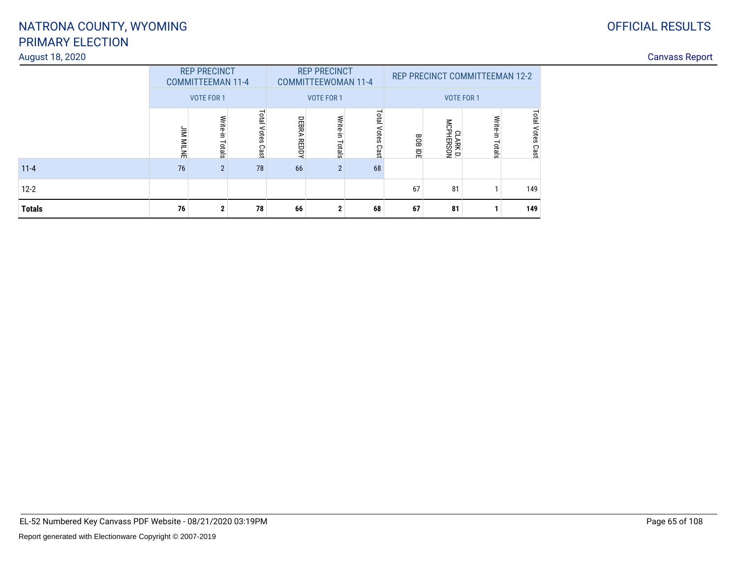#### August 18, 2020

### OFFICIAL RESULTS

|               |                                         | <b>REP PRECINCT</b><br><b>COMMITTEEMAN 11-4</b> |                            |                    | <b>REP PRECINCT</b><br><b>COMMITTEEWOMAN 11-4</b> |                        |                | REP PRECINCT COMMITTEEMAN 12-2 |                    |                            |
|---------------|-----------------------------------------|-------------------------------------------------|----------------------------|--------------------|---------------------------------------------------|------------------------|----------------|--------------------------------|--------------------|----------------------------|
|               |                                         | <b>VOTE FOR 1</b>                               |                            |                    | <b>VOTE FOR 1</b>                                 |                        |                | <b>VOTE FOR 1</b>              |                    |                            |
|               | $\overline{\mathbf{z}}$<br><b>MILNE</b> | Write-in Totals                                 | <b>Total Votes</b><br>Cast | <b>DEBRA REDDY</b> | Write-in<br>Totals                                | Total<br>Votes<br>Cast | <b>BOB IDE</b> | CLARK D.<br>MCPHERSON          | Write-in<br>Totals | <b>Total Votes</b><br>Cast |
| $11 - 4$      | 76                                      | $\overline{2}$                                  | 78                         | 66                 | $\overline{2}$                                    | 68                     |                |                                |                    |                            |
| $12-2$        |                                         |                                                 |                            |                    |                                                   |                        | 67             | 81                             |                    | 149                        |
| <b>Totals</b> | 76                                      | $\mathbf{2}$                                    | 78                         | 66                 | 2                                                 | 68                     | 67             | 81                             |                    | 149                        |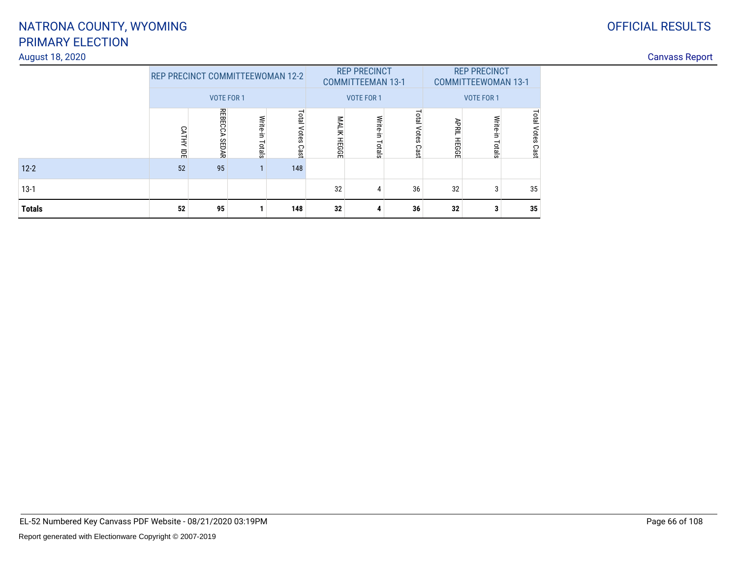# PRIMARY ELECTIONNATRONA COUNTY, WYOMING

#### August 18, 2020

| anvass:<br>.<br>\\\\J\JI |
|--------------------------|
|--------------------------|

| <b>Totals</b> | 52                | 95                                      |                    | 148                 | 32                                            | А                  | 36                  | 32                                              | 3                  | 35                  |  |
|---------------|-------------------|-----------------------------------------|--------------------|---------------------|-----------------------------------------------|--------------------|---------------------|-------------------------------------------------|--------------------|---------------------|--|
| $13-1$        |                   |                                         |                    |                     | 32                                            |                    | 36                  | 32                                              | 3                  | 35                  |  |
| $12 - 2$      | 52                | 95                                      |                    | 148                 |                                               |                    |                     |                                                 |                    |                     |  |
|               | CATHY<br>휴        | <b>REBECCA</b><br>SEDAR                 | Write-in<br>Totals | Total Votes<br>Cast | MALIK HEGGE                                   | Write-in<br>Totals | Total Votes<br>Cast | <b>APRIL</b><br>- HEGGE                         | Write-in<br>Totals | Total Votes<br>Cast |  |
|               | <b>VOTE FOR 1</b> |                                         |                    |                     | <b>COMMITTEEMAN 13-1</b><br><b>VOTE FOR 1</b> |                    |                     | <b>COMMITTEEWOMAN 13-1</b><br><b>VOTE FOR 1</b> |                    |                     |  |
|               |                   | <b>REP PRECINCT COMMITTEEWOMAN 12-2</b> |                    |                     | <b>REP PRECINCT</b>                           |                    |                     | <b>REP PRECINCT</b>                             |                    |                     |  |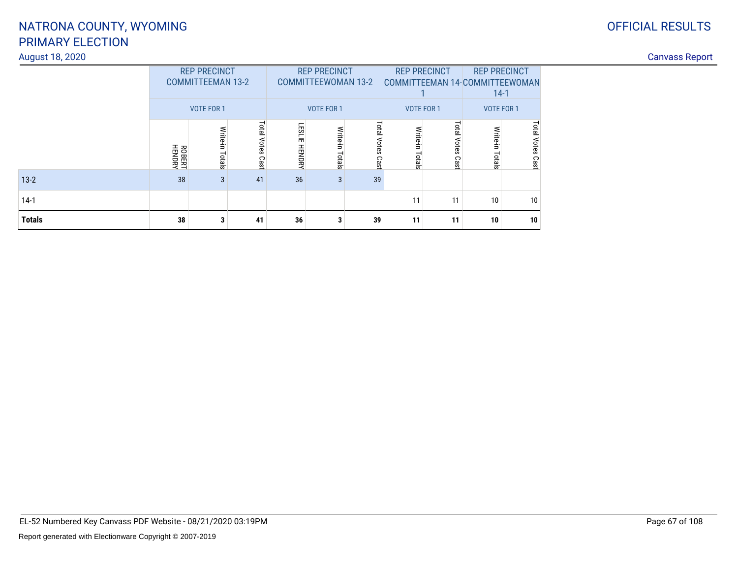### PRIMARY ELECTIONNATRONA COUNTY, WYOMING

#### August 18, 2020

| <b>Canvass Repo</b> |  |
|---------------------|--|

| <b>Totals</b>   | 38                      | 3                                                             | 41                          | 36            | 3                                                               | 39          | 11                                | 11 | 10                                                                            | 10   |  |                       |
|-----------------|-------------------------|---------------------------------------------------------------|-----------------------------|---------------|-----------------------------------------------------------------|-------------|-----------------------------------|----|-------------------------------------------------------------------------------|------|--|-----------------------|
| $14-1$          |                         |                                                               |                             |               |                                                                 |             | 11                                | 11 | 10                                                                            | 10   |  |                       |
| $13-2$          | 38                      |                                                               | 41                          | 36            | 3                                                               | 39          |                                   |    |                                                                               |      |  |                       |
|                 | <b>ROBERT</b><br>HENDRY | Write-in<br>Totals                                            | Tota<br><b>Otes</b><br>Cast | LESLIE HENDRY | Write<br>otals                                                  | ota<br>Cast | చే<br>$\overline{a}$              |    |                                                                               | Cast |  |                       |
|                 |                         | <b>REP PRECINCT</b><br><b>COMMITTEEMAN 13-2</b><br>VOTE FOR 1 |                             |               | <b>REP PRECINCT</b><br><b>COMMITTEEWOMAN 13-2</b><br>VOTE FOR 1 |             | <b>REP PRECINCT</b><br>VOTE FOR 1 |    | <b>REP PRECINCT</b><br>COMMITTEEMAN 14-COMMITTEEWOMAN<br>$14-1$<br>VOTE FOR 1 |      |  |                       |
| August 18, 2020 |                         |                                                               |                             |               |                                                                 |             |                                   |    |                                                                               |      |  | <b>Canvass Report</b> |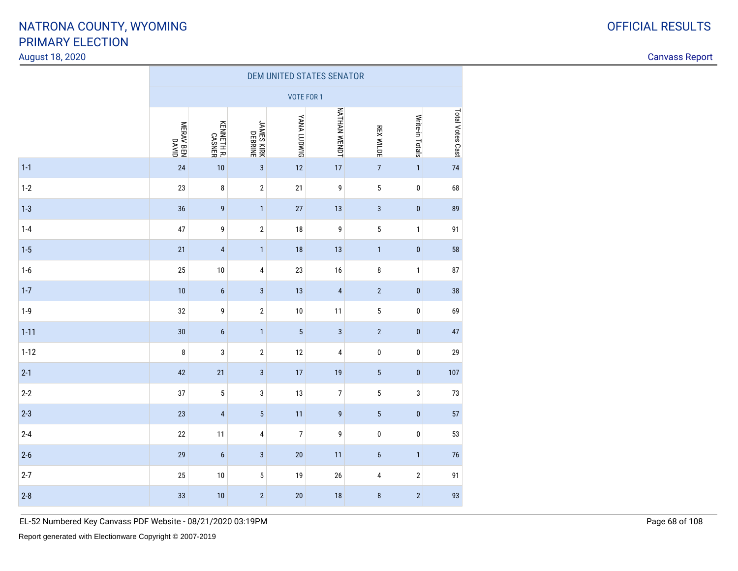August 18, 2020

Canvass Report

|          | DEM UNITED STATES SENATOR |                      |                         |                    |                         |                         |                 |                  |  |  |
|----------|---------------------------|----------------------|-------------------------|--------------------|-------------------------|-------------------------|-----------------|------------------|--|--|
|          |                           |                      |                         | <b>VOTE FOR 1</b>  |                         |                         |                 |                  |  |  |
|          | MERAV BEN<br>DAVID        | KENNETH R.<br>CASNER | JAMES KIRK<br>DEBRINE   | <b>YANA LUDWIG</b> | <b>NATHAN WENDT</b>     | <b>REX WILDE</b>        | Write-in Totals | Total Votes Cast |  |  |
| $1 - 1$  | 24                        | 10                   | $\overline{3}$          | 12                 | $17$                    | $\overline{7}$          | $\mathbf{1}$    | 74               |  |  |
| $1-2$    | 23                        | $\bf 8$              | $\sqrt{2}$              | 21                 | 9                       | $\sqrt{5}$              | $\pmb{0}$       | 68               |  |  |
| $1 - 3$  | 36                        | 9                    | $\mathbf{1}$            | 27                 | 13                      | $\mathbf{3}$            | $\pmb{0}$       | 89               |  |  |
| $1-4$    | 47                        | 9                    | $\sqrt{2}$              | 18                 | 9                       | 5                       | $\mathbf{1}$    | 91               |  |  |
| $1 - 5$  | 21                        | $\pmb{4}$            | $\mathbf{1}$            | 18                 | 13                      | $\mathbf{1}$            | $\pmb{0}$       | 58               |  |  |
| $1-6$    | 25                        | 10                   | $\overline{\mathbf{4}}$ | 23                 | 16                      | 8                       | $\mathbf{1}$    | 87               |  |  |
| $1-7$    | 10                        | $\boldsymbol{6}$     | $\mathsf 3$             | 13                 | $\overline{\mathbf{4}}$ | $\overline{2}$          | $\pmb{0}$       | 38               |  |  |
| $1-9$    | 32                        | 9                    | $\sqrt{2}$              | 10                 | 11                      | 5                       | $\pmb{0}$       | 69               |  |  |
| $1 - 11$ | 30                        | $\boldsymbol{6}$     | $\mathbf{1}$            | $\overline{5}$     | $\sqrt{3}$              | $\overline{2}$          | $\pmb{0}$       | 47               |  |  |
| $1 - 12$ | $\bf 8$                   | $\mathsf 3$          | $\sqrt{2}$              | 12                 | 4                       | $\pmb{0}$               | $\pmb{0}$       | 29               |  |  |
| $2-1$    | 42                        | 21                   | $\mathsf 3$             | 17                 | 19                      | 5                       | $\pmb{0}$       | 107              |  |  |
| $2 - 2$  | 37                        | 5                    | $\sqrt{3}$              | 13                 | $\overline{7}$          | 5                       | 3               | 73               |  |  |
| $2 - 3$  | 23                        | $\pmb{4}$            | $\sqrt{5}$              | 11                 | 9                       | $\overline{5}$          | $\pmb{0}$       | 57               |  |  |
| $2 - 4$  | 22                        | 11                   | 4                       | $\overline{7}$     | 9                       | $\pmb{0}$               | $\pmb{0}$       | 53               |  |  |
| $2 - 6$  | 29                        | $\boldsymbol{6}$     | $\overline{3}$          | 20                 | 11                      | $\boldsymbol{6}$        | $\mathbf{1}$    | 76               |  |  |
| $2 - 7$  | 25                        | $10\,$               | $\overline{5}$          | 19                 | 26                      | $\overline{\mathbf{4}}$ | $\sqrt{2}$      | 91               |  |  |
| $2 - 8$  | 33                        | 10                   | $\sqrt{2}$              | 20                 | 18                      | $\bf 8$                 | $\sqrt{2}$      | 93               |  |  |

EL-52 Numbered Key Canvass PDF Website - 08/21/2020 03:19PM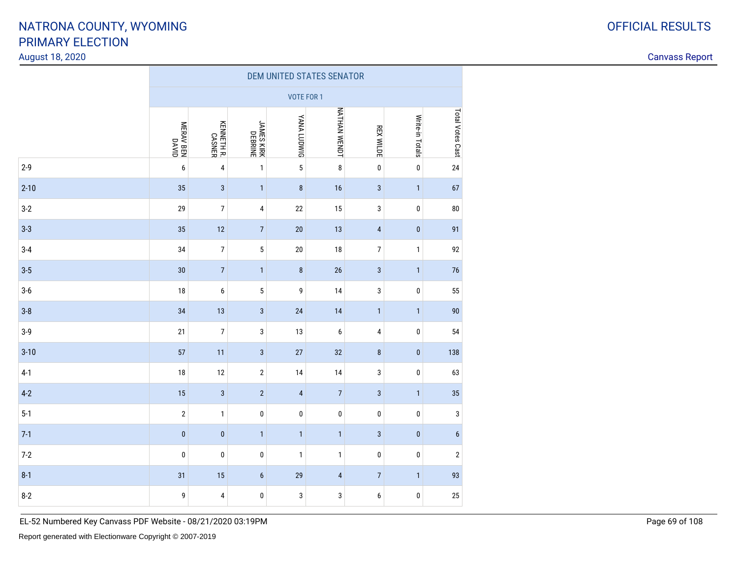#### August 18, 2020

Canvass Report

|          | DEM UNITED STATES SENATOR |                         |                       |                    |                  |                         |                 |                  |  |  |  |
|----------|---------------------------|-------------------------|-----------------------|--------------------|------------------|-------------------------|-----------------|------------------|--|--|--|
|          |                           | <b>VOTE FOR 1</b>       |                       |                    |                  |                         |                 |                  |  |  |  |
|          | NERAV BEN<br>MERAV BEN    | KENNETH R.<br>CASNER    | JAMES KIRK<br>DEBRINE | <b>YANA LUDWIG</b> | NATHAN WENDT     | <b>REX WILDE</b>        | Write-in Totals | Total Votes Cast |  |  |  |
| $2 - 9$  | $\boldsymbol{6}$          | $\pmb{4}$               | $\mathbf{1}$          | $\sqrt{5}$         | $\bf 8$          | $\pmb{0}$               | $\pmb{0}$       | 24               |  |  |  |
| $2 - 10$ | 35                        | $\overline{3}$          | $\mathbf{1}$          | $\boldsymbol{8}$   | 16               | $\sqrt{3}$              | $\mathbf{1}$    | 67               |  |  |  |
| $3-2$    | 29                        | $\boldsymbol{7}$        | 4                     | 22                 | 15               | 3                       | $\pmb{0}$       | ${\bf 80}$       |  |  |  |
| $3-3$    | 35                        | 12                      | $\overline{7}$        | 20                 | 13               | $\pmb{4}$               | $\pmb{0}$       | 91               |  |  |  |
| $3 - 4$  | 34                        | $\boldsymbol{7}$        | 5                     | 20                 | 18               | $\boldsymbol{7}$        | $\mathbf 1$     | 92               |  |  |  |
| $3 - 5$  | 30                        | $\overline{7}$          | $\mathbf{1}$          | $\bf 8$            | 26               | $\mathbf{3}$            | $\mathbf{1}$    | 76               |  |  |  |
| $3-6$    | $18\,$                    | $\boldsymbol{6}$        | 5                     | 9                  | 14               | 3                       | $\pmb{0}$       | 55               |  |  |  |
| $3-8$    | 34                        | 13                      | $\sqrt{3}$            | 24                 | 14               | $\mathbf{1}$            | $\mathbf{1}$    | 90               |  |  |  |
| $3-9$    | 21                        | $\boldsymbol{7}$        | $\mathsf 3$           | 13                 | $\boldsymbol{6}$ | $\overline{\mathbf{4}}$ | $\pmb{0}$       | 54               |  |  |  |
| $3 - 10$ | 57                        | 11                      | $\mathsf 3$           | 27                 | 32               | $\bf 8$                 | $\pmb{0}$       | 138              |  |  |  |
| $4-1$    | $18\,$                    | $12\,$                  | $\sqrt{2}$            | 14                 | 14               | 3                       | $\pmb{0}$       | 63               |  |  |  |
| $4-2$    | 15                        | $\mathbf{3}$            | $\overline{2}$        | $\sqrt{4}$         | $\sqrt{ }$       | $\mathsf 3$             | $\mathbf{1}$    | 35               |  |  |  |
| $5 - 1$  | $\sqrt{2}$                | $\mathbf{1}$            | $\pmb{0}$             | $\pmb{0}$          | $\pmb{0}$        | $\pmb{0}$               | $\pmb{0}$       | $\mathsf 3$      |  |  |  |
| $7-1$    | $\pmb{0}$                 | $\pmb{0}$               | $\mathbf{1}$          | $\mathbf{1}$       | $\mathbf{1}$     | $\mathsf 3$             | $\pmb{0}$       | $\boldsymbol{6}$ |  |  |  |
| $7-2$    | $\pmb{0}$                 | $\pmb{0}$               | $\pmb{0}$             | $\mathbf{1}$       | $\mathbf 1$      | $\pmb{0}$               | $\pmb{0}$       | $\sqrt{2}$       |  |  |  |
| $8 - 1$  | 31                        | 15                      | $\boldsymbol{6}$      | 29                 | $\pmb{4}$        | $\sqrt{7}$              | $\mathbf{1}$    | 93               |  |  |  |
| $8 - 2$  | 9                         | $\overline{\mathbf{4}}$ | $\pmb{0}$             | $\mathsf 3$        | 3                | 6                       | $\pmb{0}$       | 25               |  |  |  |

EL-52 Numbered Key Canvass PDF Website - 08/21/2020 03:19PM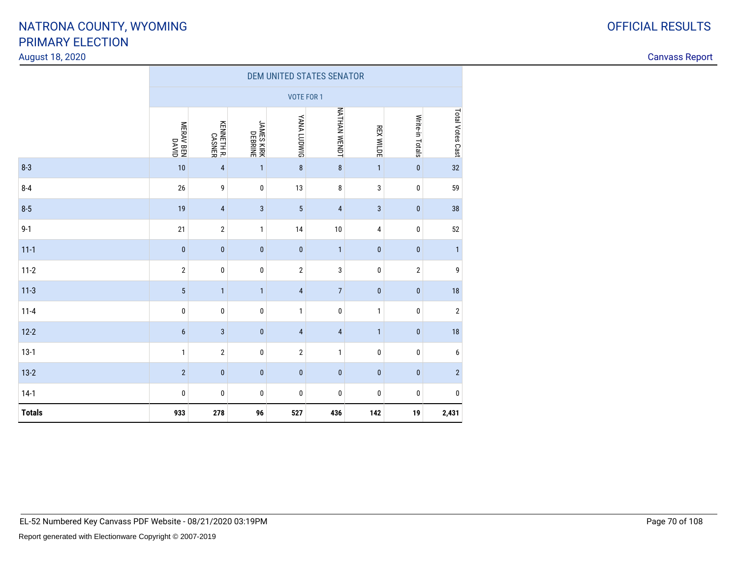#### August 18, 2020

| ⌒<br>O | <b>OFFICIAL RESULTS</b> |
|--------|-------------------------|
|        |                         |

|               | DEM UNITED STATES SENATOR |                      |                       |                         |                     |                  |                 |                  |  |  |  |
|---------------|---------------------------|----------------------|-----------------------|-------------------------|---------------------|------------------|-----------------|------------------|--|--|--|
|               |                           | <b>VOTE FOR 1</b>    |                       |                         |                     |                  |                 |                  |  |  |  |
|               | MERAV BEN<br>MERAV BEN    | KENNETH R.<br>CASNER | JAMES KIRK<br>DEBRINE | YANA LUDWIG             | <b>NATHAN WENDT</b> | <b>REX WILDE</b> | Write-in Totals | Total Votes Cast |  |  |  |
| $8 - 3$       | 10                        | $\pmb{4}$            | $\mathbf{1}$          | $\bf 8$                 | $\bf 8$             | $\mathbf{1}$     | $\pmb{0}$       | 32               |  |  |  |
| $8 - 4$       | 26                        | 9                    | $\bf{0}$              | 13                      | 8                   | 3                | 0               | 59               |  |  |  |
| $8 - 5$       | 19                        | $\pmb{4}$            | $\mathbf{3}$          | $\overline{5}$          | $\overline{a}$      | $\sqrt{3}$       | $\pmb{0}$       | 38               |  |  |  |
| $9 - 1$       | 21                        | $\sqrt{2}$           | $\mathbf{1}$          | 14                      | 10                  | 4                | $\pmb{0}$       | 52               |  |  |  |
| $11 - 1$      | $\pmb{0}$                 | $\pmb{0}$            | $\pmb{0}$             | $\pmb{0}$               | $\mathbf{1}$        | $\pmb{0}$        | $\pmb{0}$       | $\mathbf{1}$     |  |  |  |
| $11 - 2$      | $\sqrt{2}$                | $\pmb{0}$            | $\pmb{0}$             | $\overline{2}$          | 3                   | 0                | $\sqrt{2}$      | 9                |  |  |  |
| $11-3$        | 5                         | $\mathbf{1}$         | $\mathbf{1}$          | $\overline{4}$          | $\overline{7}$      | $\pmb{0}$        | $\pmb{0}$       | 18               |  |  |  |
| $11 - 4$      | 0                         | $\pmb{0}$            | $\bf{0}$              | 1                       | 0                   | 1                | $\bf{0}$        | $\sqrt{2}$       |  |  |  |
| $12 - 2$      | $6\phantom{1}6$           | $\sqrt{3}$           | $\pmb{0}$             | $\overline{\mathbf{4}}$ | $\overline{4}$      | $\mathbf{1}$     | $\pmb{0}$       | 18               |  |  |  |
| $13-1$        | $\mathbf{1}$              | $\sqrt{2}$           | $\pmb{0}$             | $\overline{2}$          | $\mathbf{1}$        | $\pmb{0}$        | $\pmb{0}$       | 6                |  |  |  |
| $13-2$        | $\overline{2}$            | $\pmb{0}$            | $\pmb{0}$             | $\pmb{0}$               | $\pmb{0}$           | $\pmb{0}$        | $\pmb{0}$       | $\overline{2}$   |  |  |  |
| $14-1$        | $\pmb{0}$                 | 0                    | $\pmb{0}$             | 0                       | 0                   | 0                | 0               | 0                |  |  |  |
| <b>Totals</b> | 933                       | 278                  | 96                    | 527                     | 436                 | 142              | 19              | 2,431            |  |  |  |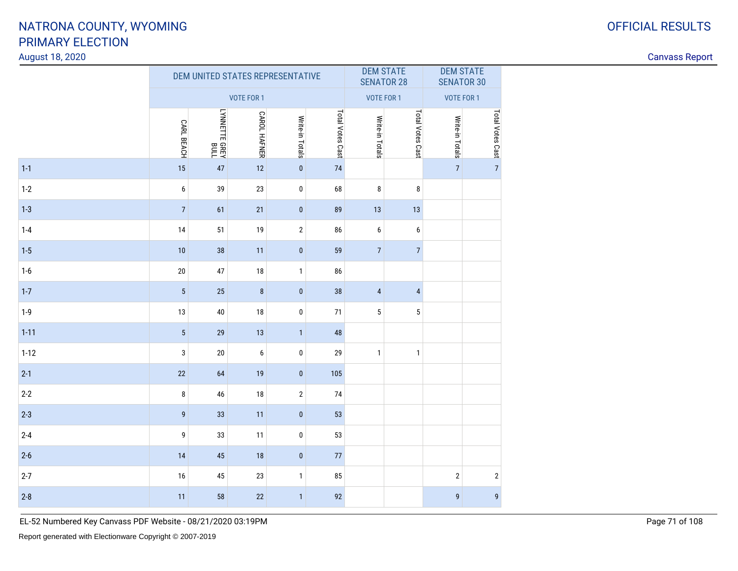#### August 18, 2020

Canvass Report

|          |                |               | DEM UNITED STATES REPRESENTATIVE |                 |                  | <b>DEM STATE</b><br><b>SENATOR 28</b> |                  | <b>DEM STATE</b><br><b>SENATOR 30</b> |                  |
|----------|----------------|---------------|----------------------------------|-----------------|------------------|---------------------------------------|------------------|---------------------------------------|------------------|
|          |                |               | VOTE FOR 1                       |                 |                  | <b>VOTE FOR 1</b>                     |                  | <b>VOTE FOR 1</b>                     |                  |
|          | CARL BEACH     | LYNNETTE GREY | <b>CAROL HAFNER</b>              | Write-in Totals | Total Votes Cast | Write-in Totals                       | Total Votes Cast | Write-in Totals                       | Total Votes Cast |
| $1 - 1$  | 15             | 47            | 12                               | $\pmb{0}$       | 74               |                                       |                  | $\overline{7}$                        | $\overline{7}$   |
| $1-2$    | 6              | 39            | 23                               | 0               | 68               | 8                                     | 8                |                                       |                  |
| $1 - 3$  | $\overline{7}$ | 61            | 21                               | $\pmb{0}$       | 89               | 13                                    | 13               |                                       |                  |
| $1 - 4$  | $14$           | 51            | 19                               | $\overline{2}$  | 86               | $\boldsymbol{6}$                      | 6                |                                       |                  |
| $1-5$    | 10             | 38            | 11                               | $\pmb{0}$       | 59               | $\overline{7}$                        | $\overline{7}$   |                                       |                  |
| $1-6$    | $20\,$         | 47            | $18\,$                           | $\mathbf{1}$    | 86               |                                       |                  |                                       |                  |
| $1-7$    | $\overline{5}$ | 25            | $\bf 8$                          | $\pmb{0}$       | 38               | $\sqrt{4}$                            | $\overline{4}$   |                                       |                  |
| $1 - 9$  | 13             | 40            | 18                               | $\pmb{0}$       | 71               | $5\phantom{.0}$                       | 5                |                                       |                  |
| $1 - 11$ | $\overline{5}$ | 29            | 13                               | $\mathbf{1}$    | 48               |                                       |                  |                                       |                  |
| $1 - 12$ | 3              | $20\,$        | 6                                | $\pmb{0}$       | 29               | $\mathbf{1}$                          | $\mathbf{1}$     |                                       |                  |
| $2 - 1$  | 22             | 64            | 19                               | $\pmb{0}$       | 105              |                                       |                  |                                       |                  |
| $2 - 2$  | 8              | 46            | 18                               | $\overline{2}$  | 74               |                                       |                  |                                       |                  |
| $2 - 3$  | $\mathsf g$    | 33            | 11                               | $\pmb{0}$       | 53               |                                       |                  |                                       |                  |
| $2 - 4$  | 9              | 33            | 11                               | $\pmb{0}$       | 53               |                                       |                  |                                       |                  |
| $2 - 6$  | 14             | 45            | 18                               | $\pmb{0}$       | $77\,$           |                                       |                  |                                       |                  |
| $2 - 7$  | 16             | 45            | 23                               | $\mathbf{1}$    | 85               |                                       |                  | $\sqrt{2}$                            | $\mathbf{2}$     |
| $2 - 8$  | 11             | 58            | 22                               | $\mathbf{1}$    | 92               |                                       |                  | $\boldsymbol{9}$                      | $\boldsymbol{9}$ |

EL-52 Numbered Key Canvass PDF Website - 08/21/2020 03:19PM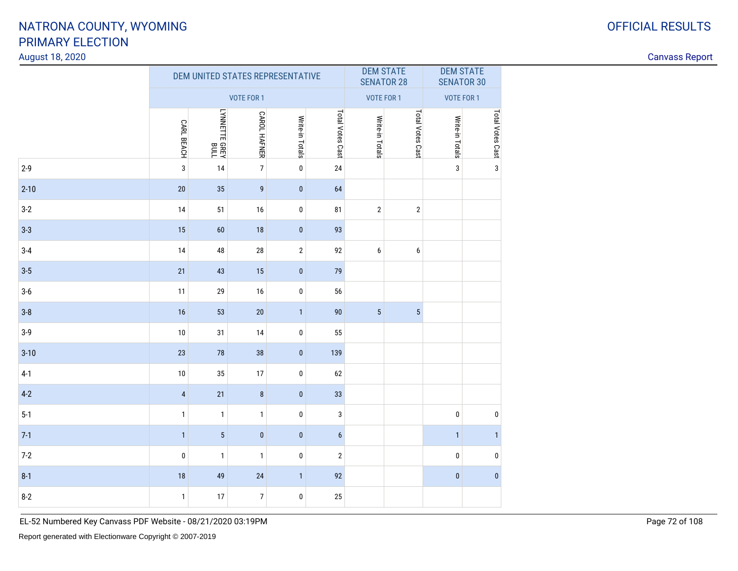#### August 18, 2020

Canvass Report

|          |                   | DEM UNITED STATES REPRESENTATIVE |                     |                 |                  | <b>DEM STATE</b><br><b>SENATOR 28</b> |                  | <b>DEM STATE</b><br><b>SENATOR 30</b> |                  |
|----------|-------------------|----------------------------------|---------------------|-----------------|------------------|---------------------------------------|------------------|---------------------------------------|------------------|
|          |                   |                                  | VOTE FOR 1          |                 |                  | <b>VOTE FOR 1</b>                     |                  | VOTE FOR 1                            |                  |
|          | <b>CARL BEACH</b> | LYNNETTE GREY<br>LYNNETTE GREY   | <b>CAROL HAFNER</b> | Write-in Totals | Total Votes Cast | Write-in Totals                       | Total Votes Cast | Write-in Totals                       | Total Votes Cast |
| $2 - 9$  | $\mathbf{3}$      | 14                               | $\overline{7}$      | $\pmb{0}$       | 24               |                                       |                  | 3                                     | $\mathbf{3}$     |
| $2 - 10$ | 20                | 35                               | $\boldsymbol{9}$    | $\pmb{0}$       | 64               |                                       |                  |                                       |                  |
| $3-2$    | 14                | 51                               | 16                  | $\pmb{0}$       | 81               | $\overline{2}$                        | $\sqrt{2}$       |                                       |                  |
| $3 - 3$  | 15                | 60                               | 18                  | $\mathbf{0}$    | 93               |                                       |                  |                                       |                  |
| $3 - 4$  | 14                | 48                               | 28                  | $\sqrt{2}$      | 92               | 6                                     | 6                |                                       |                  |
| $3 - 5$  | 21                | 43                               | 15                  | $\pmb{0}$       | 79               |                                       |                  |                                       |                  |
| $3-6$    | 11                | 29                               | $16\,$              | $\pmb{0}$       | 56               |                                       |                  |                                       |                  |
| $3 - 8$  | 16                | 53                               | $20\,$              | $\mathbf{1}$    | 90               | $5\phantom{.0}$                       | $5\phantom{.0}$  |                                       |                  |
| $3-9$    | 10                | 31                               | 14                  | $\pmb{0}$       | 55               |                                       |                  |                                       |                  |
| $3 - 10$ | 23                | 78                               | 38                  | $\pmb{0}$       | 139              |                                       |                  |                                       |                  |
| $4-1$    | 10                | 35                               | 17                  | $\pmb{0}$       | 62               |                                       |                  |                                       |                  |
| $4-2$    | $\sqrt{4}$        | 21                               | $\bf 8$             | $\pmb{0}$       | 33               |                                       |                  |                                       |                  |
| $5 - 1$  | $\mathbf{1}$      | $\mathbf{1}$                     | $\mathbf{1}$        | $\pmb{0}$       | 3                |                                       |                  | $\mathbf 0$                           | $\pmb{0}$        |
| $7-1$    | $\mathbf{1}$      | $5\phantom{.0}$                  | $\pmb{0}$           | $\pmb{0}$       | $6\phantom{a}$   |                                       |                  | $\mathbf{1}$                          | $\mathbf{1}$     |
| $7 - 2$  | $\pmb{0}$         | $\mathbf{1}$                     | $\mathbf{1}$        | $\pmb{0}$       | $\overline{2}$   |                                       |                  | $\pmb{0}$                             | $\pmb{0}$        |
| $8-1$    | 18                | 49                               | 24                  | $\mathbf{1}$    | 92               |                                       |                  | $\pmb{0}$                             | $\pmb{0}$        |
| $8 - 2$  | $\mathbf{1}$      | 17                               | $\overline{7}$      | $\pmb{0}$       | 25               |                                       |                  |                                       |                  |

EL-52 Numbered Key Canvass PDF Website - 08/21/2020 03:19PM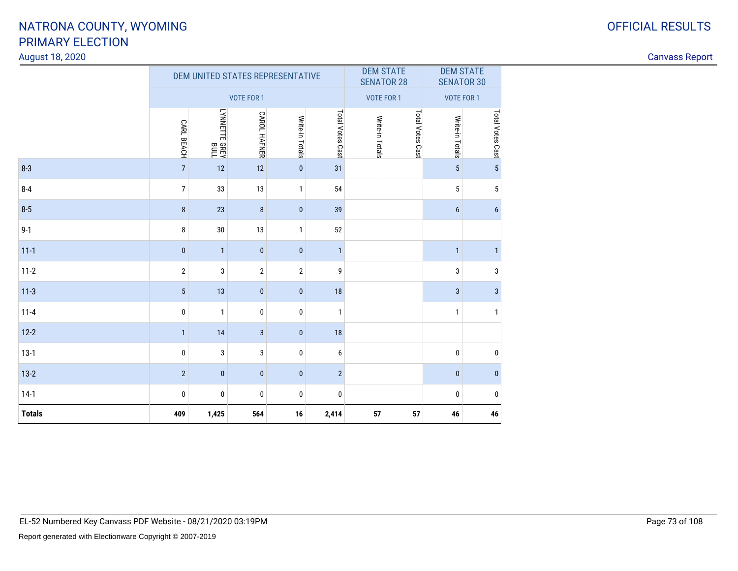### August 18, 2020

|               |                   |               | DEM UNITED STATES REPRESENTATIVE |                 |                  | <b>DEM STATE</b><br><b>SENATOR 28</b> |                  | <b>DEM STATE</b><br><b>SENATOR 30</b> |                  |
|---------------|-------------------|---------------|----------------------------------|-----------------|------------------|---------------------------------------|------------------|---------------------------------------|------------------|
|               |                   |               | <b>VOTE FOR 1</b>                |                 |                  | <b>VOTE FOR 1</b>                     |                  | <b>VOTE FOR 1</b>                     |                  |
|               | <b>CARL BEACH</b> | LYNNETTE GREY | <b>CAROL HAFNER</b>              | Write-in Totals | Total Votes Cast | Write-in Totals                       | Total Votes Cast | Write-in Totals                       | Total Votes Cast |
| $8 - 3$       | $\overline{7}$    | 12            | 12                               | $\pmb{0}$       | 31               |                                       |                  | $5\phantom{.0}$                       | $\overline{5}$   |
| $8 - 4$       | $\overline{7}$    | 33            | 13                               | $\mathbf{1}$    | 54               |                                       |                  | $\sqrt{5}$                            | $\overline{5}$   |
| $8 - 5$       | $\bf 8$           | 23            | 8                                | $\pmb{0}$       | 39               |                                       |                  | $6\phantom{1}$                        | $\boldsymbol{6}$ |
| $9 - 1$       | 8                 | 30            | 13                               | $\mathbf{1}$    | 52               |                                       |                  |                                       |                  |
| $11 - 1$      | $\mathbf{0}$      | $\mathbf{1}$  | $\mathbf{0}$                     | $\mathbf{0}$    | $\mathbf{1}$     |                                       |                  | $\mathbf{1}$                          | $\mathbf{1}$     |
| $11-2$        | $\mathbf{2}$      | 3             | $\overline{2}$                   | $\overline{2}$  | 9                |                                       |                  | 3                                     | $\sqrt{3}$       |
| $11-3$        | $5\phantom{.0}$   | 13            | $\mathbf{0}$                     | $\mathbf{0}$    | 18               |                                       |                  | $\mathbf{3}$                          | $\sqrt{3}$       |
| $11 - 4$      | 0                 | $\mathbf{1}$  | $\mathbf 0$                      | $\mathbf 0$     | $\mathbf{1}$     |                                       |                  | $\mathbf{1}$                          | $\mathbf{1}$     |
| $12 - 2$      | $\mathbf{1}$      | 14            | $\mathbf{3}$                     | $\pmb{0}$       | 18               |                                       |                  |                                       |                  |
| $13-1$        | 0                 | 3             | 3                                | $\bf{0}$        | 6                |                                       |                  | $\pmb{0}$                             | $\pmb{0}$        |
| $13-2$        | $\overline{2}$    | $\pmb{0}$     | $\pmb{0}$                        | $\pmb{0}$       | $\overline{2}$   |                                       |                  | $\pmb{0}$                             | $\mathbf 0$      |
| $14-1$        | 0                 | 0             | 0                                | 0               | 0                |                                       |                  | $\bf{0}$                              | $\pmb{0}$        |
| <b>Totals</b> | 409               | 1,425         | 564                              | 16              | 2,414            | 57                                    | 57               | 46                                    | 46               |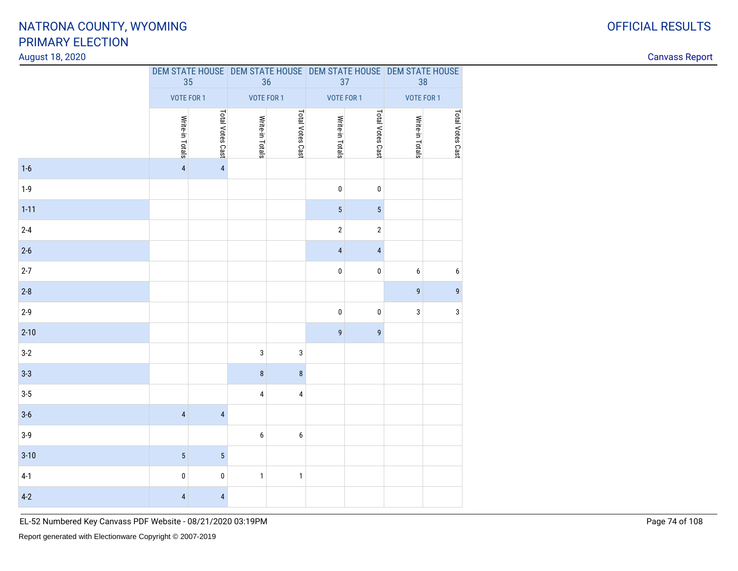### August 18, 2020

Canvass Report

|          | 35                      |                         | 36              |                  | DEM STATE HOUSE DEM STATE HOUSE DEM STATE HOUSE DEM STATE HOUSE<br>37 |                         | 38              |                  |
|----------|-------------------------|-------------------------|-----------------|------------------|-----------------------------------------------------------------------|-------------------------|-----------------|------------------|
|          | VOTE FOR 1              |                         | VOTE FOR 1      |                  | VOTE FOR 1                                                            |                         | VOTE FOR 1      |                  |
|          | Write-in Totals         | Total Votes Cast        | Write-in Totals | Total Votes Cast | Write-in Totals                                                       | Total Votes Cast        | Write-in Totals | Total Votes Cast |
| $1-6$    | $\overline{\mathbf{4}}$ | $\overline{\mathbf{4}}$ |                 |                  |                                                                       |                         |                 |                  |
| $1-9$    |                         |                         |                 |                  | $\pmb{0}$                                                             | $\pmb{0}$               |                 |                  |
| $1 - 11$ |                         |                         |                 |                  | $\overline{5}$                                                        | $\overline{5}$          |                 |                  |
| $2 - 4$  |                         |                         |                 |                  | $\sqrt{2}$                                                            | $\sqrt{2}$              |                 |                  |
| $2-6$    |                         |                         |                 |                  | $\overline{4}$                                                        | $\overline{\mathbf{4}}$ |                 |                  |
| $2 - 7$  |                         |                         |                 |                  | $\pmb{0}$                                                             | $\pmb{0}$               | 6               | $\boldsymbol{6}$ |
| $2-8$    |                         |                         |                 |                  |                                                                       |                         | 9               | $\mathsf g$      |
| $2-9$    |                         |                         |                 |                  | $\pmb{0}$                                                             | $\pmb{0}$               | 3               | $\sqrt{3}$       |
| $2 - 10$ |                         |                         |                 |                  | $\boldsymbol{9}$                                                      | 9                       |                 |                  |
| $3-2$    |                         |                         | 3               | $\sqrt{3}$       |                                                                       |                         |                 |                  |
| $3 - 3$  |                         |                         | $\bf 8$         | $\bf 8$          |                                                                       |                         |                 |                  |
| $3-5$    |                         |                         | 4               | $\pmb{4}$        |                                                                       |                         |                 |                  |
| $3-6$    | $\sqrt{4}$              | $\overline{\mathbf{4}}$ |                 |                  |                                                                       |                         |                 |                  |
| $3-9$    |                         |                         | 6               | $\boldsymbol{6}$ |                                                                       |                         |                 |                  |
| $3 - 10$ | $\overline{5}$          | $\overline{5}$          |                 |                  |                                                                       |                         |                 |                  |
| $4-1$    | $\pmb{0}$               | 0                       | $\mathbf{1}$    | $\mathbf{1}$     |                                                                       |                         |                 |                  |
| $4-2$    | $\overline{\mathbf{4}}$ | $\overline{\mathbf{4}}$ |                 |                  |                                                                       |                         |                 |                  |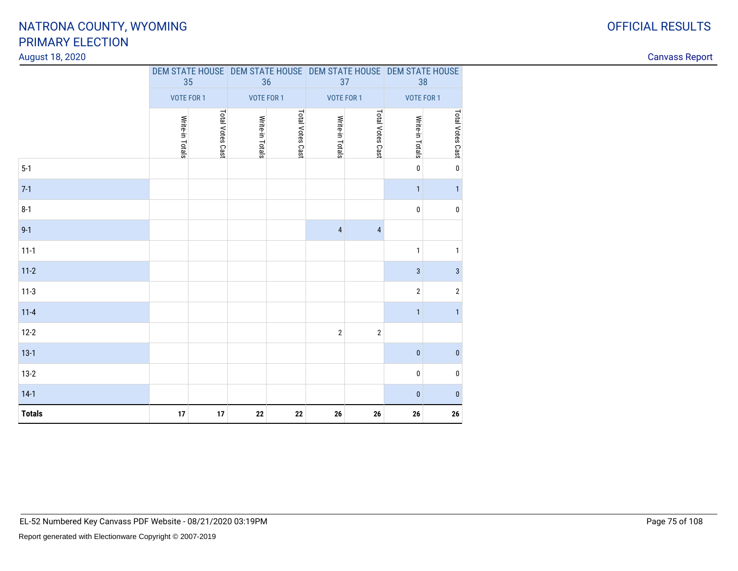### August 18, 2020

7-1

| <b>Totals</b> | $17$                                | $17\,$ | ${\bf 22}$      | ${\bf 22}$       | 26              | 26               | 26                                                                    | 26               |
|---------------|-------------------------------------|--------|-----------------|------------------|-----------------|------------------|-----------------------------------------------------------------------|------------------|
| $14-1$        |                                     |        |                 |                  |                 |                  | $\mathbf{0}$                                                          | $\pmb{0}$        |
| $13-2$        |                                     |        |                 |                  |                 |                  | $\mathbf 0$                                                           | $\pmb{0}$        |
| $13-1$        |                                     |        |                 |                  |                 |                  | $\bf{0}$                                                              | $\pmb{0}$        |
| $12-2$        |                                     |        |                 |                  | $\overline{2}$  | $\sqrt{2}$       |                                                                       |                  |
| $11 - 4$      |                                     |        |                 |                  |                 |                  | $\mathbf{1}$                                                          | $\mathbf{1}$     |
| $11-3$        |                                     |        |                 |                  |                 |                  | $\overline{2}$                                                        | $\sqrt{2}$       |
| $11-2$        |                                     |        |                 |                  |                 |                  | 3                                                                     | $\mathbf{3}$     |
| $11-1$        |                                     |        |                 |                  |                 |                  | 1                                                                     | $\mathbf{1}$     |
| $9-1$         |                                     |        |                 |                  | $\overline{4}$  | $\overline{4}$   |                                                                       |                  |
| $8-1$         |                                     |        |                 |                  |                 |                  | 0                                                                     | $\pmb{0}$        |
| $7-1$         |                                     |        |                 |                  |                 |                  | $\mathbf{1}$                                                          | $\mathbf{1}$     |
| $5-1$         |                                     |        |                 |                  |                 |                  | $\mathbf 0$                                                           | $\pmb{0}$        |
|               | Total Votes Cast<br>Write-in Totals |        | Write-in Totals | Total Votes Cast | Write-in Totals | Total Votes Cast | Write-in Totals                                                       | Total Votes Cast |
|               | VOTE FOR 1                          |        | VOTE FOR 1      |                  | VOTE FOR 1      |                  | <b>VOTE FOR 1</b>                                                     |                  |
|               | 35                                  |        | 36              |                  | 37              |                  | DEM STATE HOUSE DEM STATE HOUSE DEM STATE HOUSE DEM STATE HOUSE<br>38 |                  |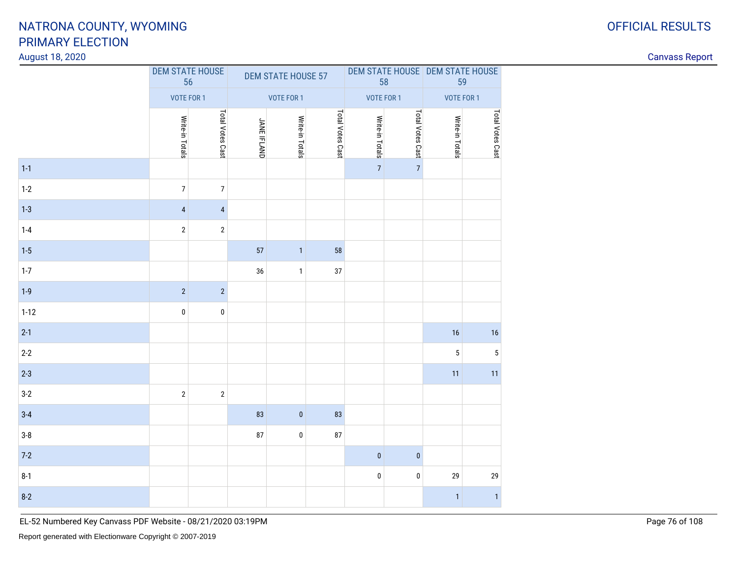<sup>2</sup> <sup>2</sup>

2 0 0 0

2  $2$  2 2

<sup>83</sup> <sup>0</sup> <sup>83</sup>

8 0 87

<sup>0</sup> <sup>0</sup>

 $16$  and  $16$  and  $16$  and  $16$  and  $16$  and  $16$  and  $16$ 

2  $\sim$  5  $\sim$ 

<sup>11</sup> <sup>11</sup>

 $\begin{array}{ccccccccccccccccccccc} 1 & & & & & & & & & 0 & & & 0 & & & 29 & & & 29 \end{array}$ 

<sup>1</sup> <sup>1</sup>

### August 18, 2020

1-1

 $1-2$ 

1-3

 $1 - 4$ 

1-5

 $1-7$ 

 $1-9$ 

1-12

2-1

2-2

2-3

 $3-2$ 

3-4

3-8

7-2

8-1

8-2

| <b>RIMARY ELECTION</b><br>gust 18, 2020 |                    |                              |                    |                           |                  |                 |                  |                                 |                |
|-----------------------------------------|--------------------|------------------------------|--------------------|---------------------------|------------------|-----------------|------------------|---------------------------------|----------------|
|                                         |                    | <b>DEM STATE HOUSE</b><br>56 |                    | <b>DEM STATE HOUSE 57</b> |                  |                 | 58               | DEM STATE HOUSE DEM STATE HOUSE | 59             |
|                                         |                    | VOTE FOR 1                   |                    | VOTE FOR 1                |                  |                 | VOTE FOR 1       | VOTE FOR 1                      |                |
|                                         | Write-in<br>Totals | Total<br>Votes<br>Cas        | <b>JANE IFLAND</b> | Write-in<br>Totals        | Total Votes Cast | Write-in Totals | Total Votes Cast | Write-in<br>Totals              | otal Votes Cas |
|                                         |                    |                              |                    |                           |                  | $\overline{7}$  | $\overline{7}$   |                                 |                |
| 2                                       |                    |                              |                    |                           |                  |                 |                  |                                 |                |
| 3                                       |                    |                              |                    |                           |                  |                 |                  |                                 |                |
| 4                                       | $\overline{2}$     | $\overline{2}$               |                    |                           |                  |                 |                  |                                 |                |
| 5                                       |                    |                              | 57                 |                           | 58               |                 |                  |                                 |                |
|                                         |                    |                              | 36                 |                           | 37               |                 |                  |                                 |                |
|                                         |                    |                              |                    |                           |                  |                 |                  |                                 |                |

| <b>OFFICIAL RESULTS</b> |
|-------------------------|
|                         |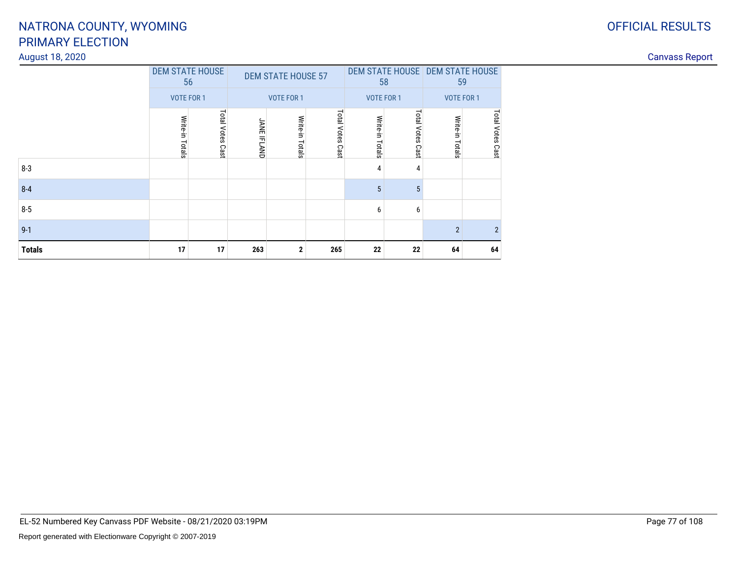### OFFICIAL RESULTS

## PRIMARY ELECTIONNATRONA COUNTY, WYOMING

### August 18, 2020

| S<br>Rebor<br>duvdSS<br>------------ |
|--------------------------------------|
|--------------------------------------|

|               | <b>DEM STATE HOUSE</b> | 56                  |                    | <b>DEM STATE HOUSE 57</b> |                     | 58                 | DEM STATE HOUSE DEM STATE HOUSE |                    | 59               |
|---------------|------------------------|---------------------|--------------------|---------------------------|---------------------|--------------------|---------------------------------|--------------------|------------------|
|               | <b>VOTE FOR 1</b>      |                     |                    | <b>VOTE FOR 1</b>         |                     | <b>VOTE FOR 1</b>  |                                 | <b>VOTE FOR 1</b>  |                  |
|               | Write-in Totals        | Total Votes<br>Cast | <b>JANE IFLAND</b> | Write-in<br>Totals        | Total Votes<br>Cast | Write-in<br>Totals | Total Votes<br>Cast             | Write-in<br>Totals | Total Votes Cast |
| $8-3$         |                        |                     |                    |                           |                     | 4                  | 4                               |                    |                  |
| $8 - 4$       |                        |                     |                    |                           |                     | 5                  | 5                               |                    |                  |
| $8-5$         |                        |                     |                    |                           |                     | 6                  | 6                               |                    |                  |
| $9 - 1$       |                        |                     |                    |                           |                     |                    |                                 | $\overline{2}$     | $\overline{2}$   |
| <b>Totals</b> | 17                     | 17                  | 263                | $\mathbf{2}$              | 265                 | 22                 | 22                              | 64                 | 64               |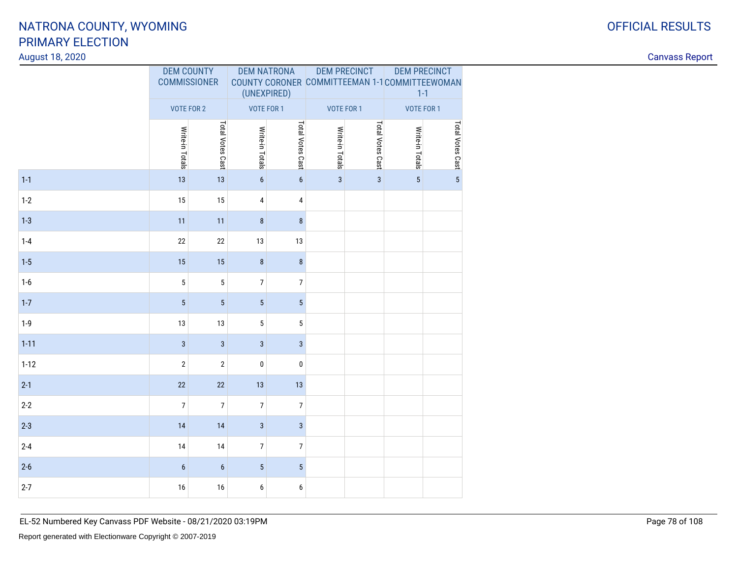### August 18, 2020

| ⌒<br>U | <b>OFFICIAL RESULTS</b> |
|--------|-------------------------|
|        |                         |

|          | <b>DEM COUNTY</b><br><b>COMMISSIONER</b> |                  | <b>DEM NATRONA</b><br>(UNEXPIRED) |                  | <b>DEM PRECINCT</b> |                  | <b>DEM PRECINCT</b><br>COUNTY CORONER COMMITTEEMAN 1-1 COMMITTEEWOMAN<br>$1 - 1$ |                     |
|----------|------------------------------------------|------------------|-----------------------------------|------------------|---------------------|------------------|----------------------------------------------------------------------------------|---------------------|
|          | <b>VOTE FOR 2</b>                        |                  | <b>VOTE FOR 1</b>                 |                  | <b>VOTE FOR 1</b>   |                  | <b>VOTE FOR 1</b>                                                                |                     |
|          | Write-in Totals                          | Total Votes Cast | Write-in Totals                   | Total Votes Cast | Write-in Totals     | Total Votes Cast | Write-in Totals                                                                  | Total Votes Cast co |
| $1 - 1$  | 13                                       | 13               | $\boldsymbol{6}$                  | $\boldsymbol{6}$ | $\mathbf{3}$        | $\mathbf{3}$     | $\overline{5}$                                                                   |                     |
| $1-2$    | 15                                       | 15               | 4                                 | 4                |                     |                  |                                                                                  |                     |
| $1 - 3$  | 11                                       | 11               | $\bf 8$                           | $\bf 8$          |                     |                  |                                                                                  |                     |
| $1 - 4$  | 22                                       | 22               | 13                                | 13               |                     |                  |                                                                                  |                     |
| $1-5$    | 15                                       | 15               | $\bf 8$                           | $\bf 8$          |                     |                  |                                                                                  |                     |
| $1-6$    | 5                                        | 5                | 7                                 | $\overline{7}$   |                     |                  |                                                                                  |                     |
| $1 - 7$  | $\overline{5}$                           | $\overline{5}$   | $\overline{5}$                    | $\overline{5}$   |                     |                  |                                                                                  |                     |
| $1-9$    | 13                                       | 13               | $\sqrt{5}$                        | $\sqrt{5}$       |                     |                  |                                                                                  |                     |
| $1 - 11$ | $\overline{3}$                           | $\mathbf{3}$     | $\sqrt{3}$                        | $\mathbf{3}$     |                     |                  |                                                                                  |                     |
| $1 - 12$ | $\overline{2}$                           | $\sqrt{2}$       | $\mathbf 0$                       | $\pmb{0}$        |                     |                  |                                                                                  |                     |
| $2-1$    | 22                                       | 22               | 13                                | 13               |                     |                  |                                                                                  |                     |
| $2 - 2$  | $\overline{7}$                           | $\overline{7}$   | $\overline{7}$                    | $\overline{7}$   |                     |                  |                                                                                  |                     |
| $2 - 3$  | 14                                       | 14               | $\sqrt{3}$                        | $\sqrt{3}$       |                     |                  |                                                                                  |                     |
| $2 - 4$  | 14                                       | 14               | $\overline{7}$                    | $\overline{7}$   |                     |                  |                                                                                  |                     |
| $2-6$    | $6\phantom{1}$                           | $\boldsymbol{6}$ | $\overline{5}$                    | $\overline{5}$   |                     |                  |                                                                                  |                     |
| $2 - 7$  | 16                                       | 16               | 6                                 | $\boldsymbol{6}$ |                     |                  |                                                                                  |                     |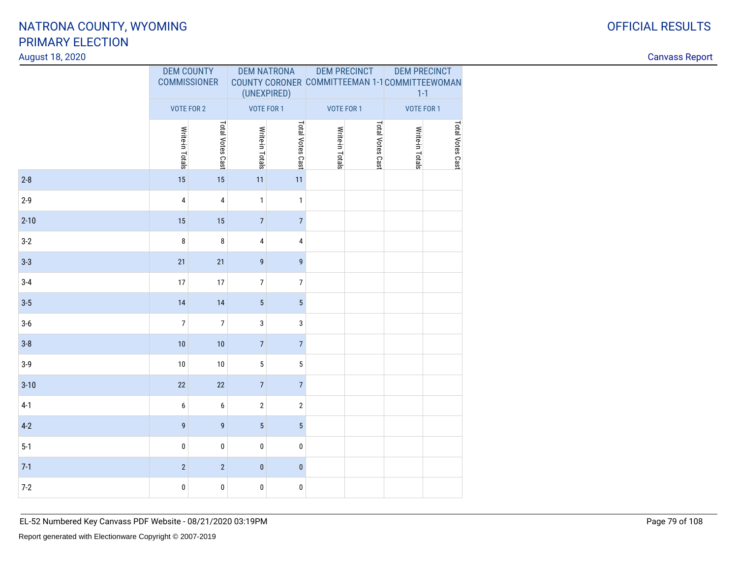### August 18, 2020

|          | <b>DEM COUNTY</b><br><b>COMMISSIONER</b> |                  | <b>DEM NATRONA</b><br>(UNEXPIRED) |                  | <b>DEM PRECINCT</b> |                  | <b>DEM PRECINCT</b><br>COUNTY CORONER COMMITTEEMAN 1-1 COMMITTEEWOMAN<br>$1 - 1$ |                  |
|----------|------------------------------------------|------------------|-----------------------------------|------------------|---------------------|------------------|----------------------------------------------------------------------------------|------------------|
|          | <b>VOTE FOR 2</b>                        |                  | VOTE FOR 1                        |                  | <b>VOTE FOR 1</b>   |                  | VOTE FOR 1                                                                       |                  |
|          | Write-in Totals                          | Total Votes Cast | Write-in Totals                   | Total Votes Cast | Write-in Totals     | Total Votes Cast | Write-in Totals                                                                  | Total Votes Cast |
| $2 - 8$  | 15                                       | 15               | 11                                | 11               |                     |                  |                                                                                  |                  |
| $2 - 9$  | 4                                        | 4                | $\mathbf{1}$                      | $\mathbf{1}$     |                     |                  |                                                                                  |                  |
| $2 - 10$ | 15                                       | 15               | $\sqrt{ }$                        | $\overline{7}$   |                     |                  |                                                                                  |                  |
| $3-2$    | 8                                        | 8                | 4                                 | 4                |                     |                  |                                                                                  |                  |
| $3 - 3$  | 21                                       | 21               | 9                                 | 9                |                     |                  |                                                                                  |                  |
| $3-4$    | 17                                       | 17               | 7                                 | $\overline{7}$   |                     |                  |                                                                                  |                  |
| $3 - 5$  | 14                                       | 14               | $\overline{5}$                    | $5\phantom{.0}$  |                     |                  |                                                                                  |                  |
| $3-6$    | $\overline{7}$                           | $\overline{7}$   | 3                                 | 3                |                     |                  |                                                                                  |                  |
| $3-8$    | 10                                       | 10               | $\overline{7}$                    | $\overline{7}$   |                     |                  |                                                                                  |                  |
| $3-9$    | 10                                       | $10$             | $5\phantom{.0}$                   | $\overline{5}$   |                     |                  |                                                                                  |                  |
| $3 - 10$ | 22                                       | 22               | $\overline{7}$                    | $\overline{7}$   |                     |                  |                                                                                  |                  |
| $4-1$    | $\boldsymbol{6}$                         | 6                | $\overline{2}$                    | $\sqrt{2}$       |                     |                  |                                                                                  |                  |
| $4 - 2$  | 9                                        | 9                | $\overline{5}$                    | $\overline{5}$   |                     |                  |                                                                                  |                  |
| $5-1$    | $\pmb{0}$                                | 0                | $\pmb{0}$                         | $\pmb{0}$        |                     |                  |                                                                                  |                  |
| $7-1$    | $\sqrt{2}$                               | $\overline{2}$   | $\pmb{0}$                         | $\pmb{0}$        |                     |                  |                                                                                  |                  |
| $7-2$    | $\pmb{0}$                                | 0                | $\pmb{0}$                         | $\pmb{0}$        |                     |                  |                                                                                  |                  |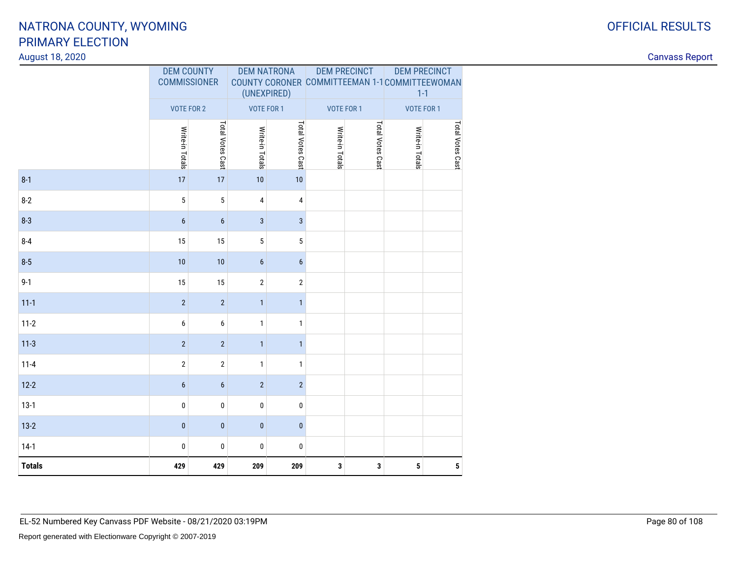### August 18, 2020

| ⌒ | <b>OFFICIAL RESULTS</b> |
|---|-------------------------|
|   |                         |

|               | <b>DEM COUNTY</b><br><b>COMMISSIONER</b> |                  | <b>DEM NATRONA</b><br>(UNEXPIRED) |                  | <b>DEM PRECINCT</b> |                  | <b>DEM PRECINCT</b><br>COUNTY CORONER COMMITTEEMAN 1-1 COMMITTEEWOMAN<br>$1 - 1$ |                  |
|---------------|------------------------------------------|------------------|-----------------------------------|------------------|---------------------|------------------|----------------------------------------------------------------------------------|------------------|
|               | <b>VOTE FOR 2</b>                        |                  | VOTE FOR 1                        |                  | <b>VOTE FOR 1</b>   |                  | <b>VOTE FOR 1</b>                                                                |                  |
|               | Write-in Totals                          | Total Votes Cast | Write-in Totals                   | Total Votes Cast | Write-in Totals     | Total Votes Cast | Write-in Totals                                                                  | Total Votes Cast |
| $8 - 1$       | 17                                       | $17\,$           | 10                                | $10$             |                     |                  |                                                                                  |                  |
| $8 - 2$       | 5                                        | 5                | 4                                 | 4                |                     |                  |                                                                                  |                  |
| $8 - 3$       | $6\phantom{1}6$                          | $\boldsymbol{6}$ | $\mathbf{3}$                      | $\mathbf{3}$     |                     |                  |                                                                                  |                  |
| $8 - 4$       | 15                                       | 15               | 5                                 | $\sqrt{5}$       |                     |                  |                                                                                  |                  |
| $8 - 5$       | 10                                       | $10$             | $6\,$                             | $\boldsymbol{6}$ |                     |                  |                                                                                  |                  |
| $9 - 1$       | 15                                       | 15               | $\mathbf{2}$                      | $\sqrt{2}$       |                     |                  |                                                                                  |                  |
| $11 - 1$      | $\sqrt{2}$                               | $\sqrt{2}$       | $\mathbf{1}$                      | $\mathbf{1}$     |                     |                  |                                                                                  |                  |
| $11 - 2$      | 6                                        | 6                | $\mathbf{1}$                      | $\mathbf{1}$     |                     |                  |                                                                                  |                  |
| $11-3$        | $\overline{2}$                           | $\sqrt{2}$       | $\mathbf{1}$                      | $\mathbf{1}$     |                     |                  |                                                                                  |                  |
| $11 - 4$      | $\sqrt{2}$                               | $\sqrt{2}$       | $\mathbf{1}$                      | $\mathbf{1}$     |                     |                  |                                                                                  |                  |
| $12 - 2$      | $\boldsymbol{6}$                         | $\boldsymbol{6}$ | $\overline{2}$                    | $\overline{2}$   |                     |                  |                                                                                  |                  |
| $13-1$        | $\pmb{0}$                                | $\pmb{0}$        | 0                                 | 0                |                     |                  |                                                                                  |                  |
| $13-2$        | $\pmb{0}$                                | $\pmb{0}$        | $\pmb{0}$                         | $\pmb{0}$        |                     |                  |                                                                                  |                  |
| $14-1$        | 0                                        | 0                | 0                                 | 0                |                     |                  |                                                                                  |                  |
| <b>Totals</b> | 429                                      | 429              | 209                               | 209              | $\mathbf 3$         | 3                | $\overline{\mathbf{5}}$                                                          | ${\bf 5}$        |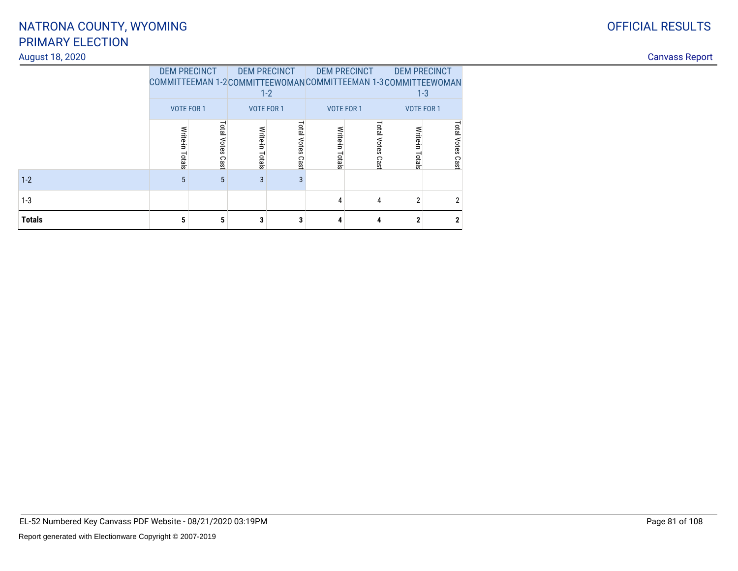### August 18, 2020

| <b>OFFICIAL RESULTS</b> |
|-------------------------|
|                         |

|               | <b>DEM PRECINCT</b> |                  | <b>DEM PRECINCT</b> | $1 - 2$             | <b>DEM PRECINCT</b> |                        | <b>DEM PRECINCT</b><br>COMMITTEEMAN 1-2COMMITTEEWOMANCOMMITTEEMAN 1-3COMMITTEEWOMAN<br>$1 - 3$ |                  |  |
|---------------|---------------------|------------------|---------------------|---------------------|---------------------|------------------------|------------------------------------------------------------------------------------------------|------------------|--|
|               | <b>VOTE FOR 1</b>   |                  | <b>VOTE FOR 1</b>   |                     | <b>VOTE FOR 1</b>   |                        | <b>VOTE FOR 1</b>                                                                              |                  |  |
|               | Write-in<br>Totals  | Total Votes Cast | Write-in Totals     | Total Votes<br>Cast | Write-in<br>Totals  | Total<br>Votes<br>Cast | Write-in<br>Totals                                                                             | Total Votes Cast |  |
| $1 - 2$       | 5                   | 5                | 3                   | 3                   |                     |                        |                                                                                                |                  |  |
| $1-3$         |                     |                  |                     |                     | 4                   | 4                      | $\overline{2}$                                                                                 | 2                |  |
| <b>Totals</b> | 5                   | 5                | 3                   | 3                   | 4                   | 4                      | 2                                                                                              | $\mathbf{2}$     |  |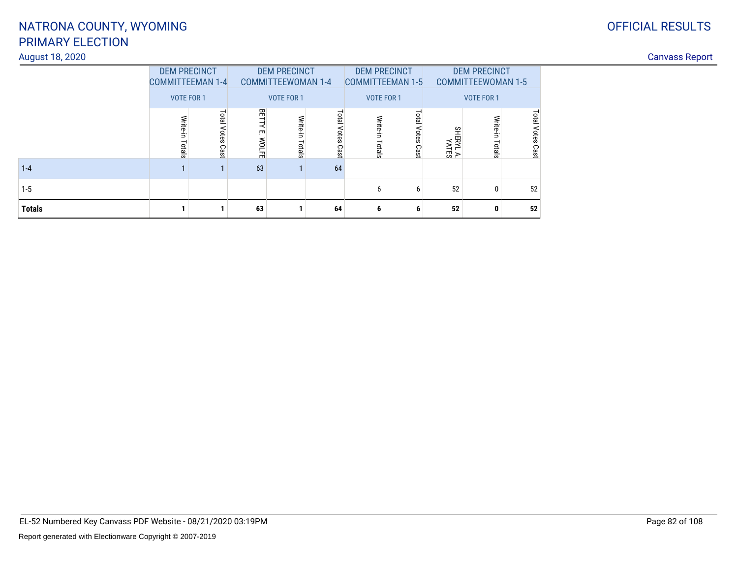### August 18, 2020

## OFFICIAL RESULTS

|               | <b>DEM PRECINCT</b><br><b>COMMITTEEMAN 1-4</b> |                        |                              | <b>DEM PRECINCT</b><br><b>COMMITTEEWOMAN 1-4</b> |                            |                    | <b>DEM PRECINCT</b><br><b>COMMITTEEMAN 1-5</b> | <b>DEM PRECINCT</b><br><b>COMMITTEEWOMAN 1-5</b> |                    |                     |
|---------------|------------------------------------------------|------------------------|------------------------------|--------------------------------------------------|----------------------------|--------------------|------------------------------------------------|--------------------------------------------------|--------------------|---------------------|
|               | <b>VOTE FOR 1</b>                              |                        | <b>VOTE FOR 1</b>            |                                                  |                            | <b>VOTE FOR 1</b>  |                                                | <b>VOTE FOR 1</b>                                |                    |                     |
|               | Write-in<br>Totals                             | Total<br>Votes<br>Cast | 田<br>₹<br>ŗm<br><b>WOLFE</b> | Write-in<br>Totals                               | <b>Total Votes</b><br>Cast | Write-in<br>Totals | Total Votes<br>Cast                            | SHERYL A.<br>YATES                               | Write-in<br>Totals | Total Votes<br>Cast |
| $1 - 4$       |                                                |                        | 63                           |                                                  | 64                         |                    |                                                |                                                  |                    |                     |
| $1 - 5$       |                                                |                        |                              |                                                  |                            | 6                  | 6                                              | 52                                               | 0                  | 52                  |
| <b>Totals</b> |                                                |                        | 63                           |                                                  | 64                         | 6                  | 6                                              | 52                                               | 0                  | 52                  |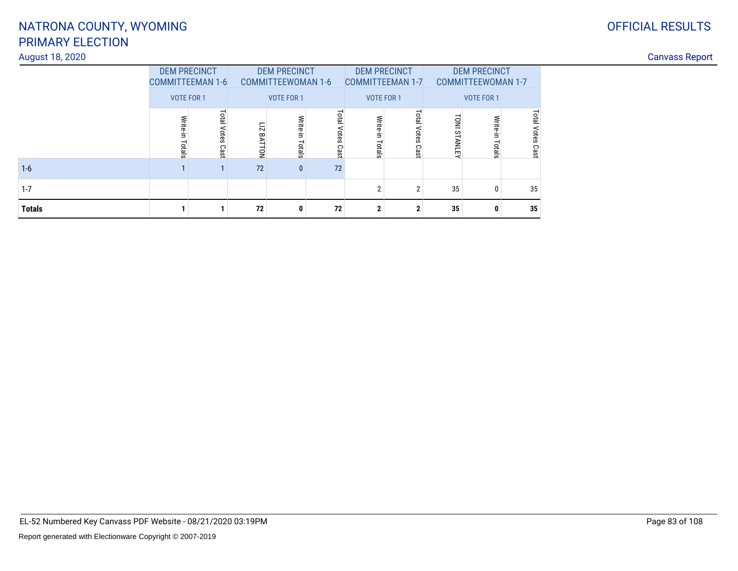### August 18, 2020

## OFFICIAL RESULTS

|               | <b>DEM PRECINCT</b><br><b>COMMITTEEMAN 1-6</b> |                     |                   | <b>DEM PRECINCT</b><br><b>COMMITTEEWOMAN 1-6</b> |                     | <b>COMMITTEEMAN 1-7</b> | <b>DEM PRECINCT</b>        | <b>DEM PRECINCT</b><br><b>COMMITTEEWOMAN 1-7</b> |                    |                            |  |
|---------------|------------------------------------------------|---------------------|-------------------|--------------------------------------------------|---------------------|-------------------------|----------------------------|--------------------------------------------------|--------------------|----------------------------|--|
|               | <b>VOTE FOR 1</b>                              |                     | <b>VOTE FOR 1</b> |                                                  |                     | <b>VOTE FOR 1</b>       |                            |                                                  | <b>VOTE FOR 1</b>  |                            |  |
|               | Write-in<br>Totals                             | Total Votes<br>Cast | LIZ BATTON        | Write-in Totals                                  | Total Votes<br>Cast | Write-in<br>Totals      | <b>Total Votes</b><br>Cast | <b>TONI STANLEY</b>                              | Write-in<br>Totals | <b>Total Votes</b><br>Cast |  |
| $1 - 6$       |                                                |                     | 72                | $\mathbf{0}$                                     | 72                  |                         |                            |                                                  |                    |                            |  |
| $1 - 7$       |                                                |                     |                   |                                                  |                     | າ                       | $\overline{2}$             | 35                                               | 0                  | 35                         |  |
| <b>Totals</b> |                                                |                     | 72                | 0                                                | 72                  | $\mathbf{2}$            | າ                          | 35                                               | 0                  | 35                         |  |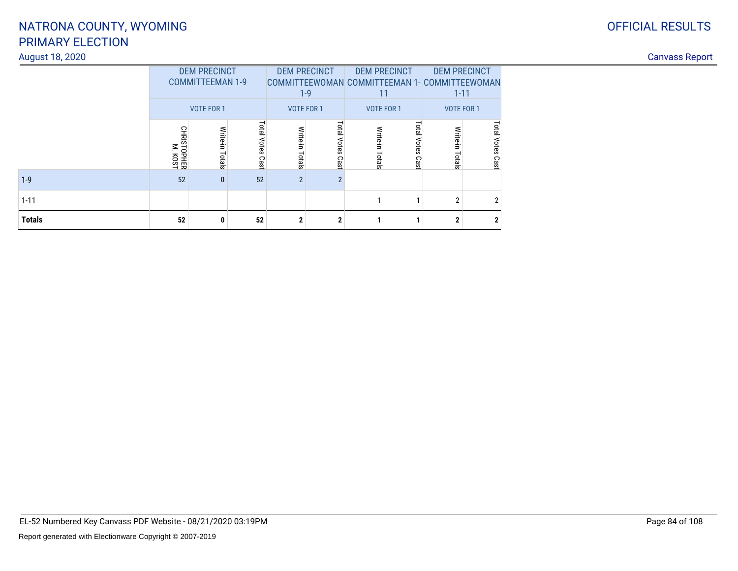### OFFICIAL RESULTS

## PRIMARY ELECTIONNATRONA COUNTY, WYOMING

### August 18, 2020

| <b>Totals</b>   | 52                                           |                                                | 52                    |                              | $\boldsymbol{\eta}$    |                  |                      |                                               |                     |  |  |
|-----------------|----------------------------------------------|------------------------------------------------|-----------------------|------------------------------|------------------------|------------------|----------------------|-----------------------------------------------|---------------------|--|--|
| $1 - 11$        |                                              |                                                |                       |                              |                        |                  |                      |                                               |                     |  |  |
| $1-9$           | 52                                           |                                                | 52                    | $\overline{2}$               | $\overline{2}$         |                  |                      |                                               |                     |  |  |
|                 | 움<br>ळ<br>$\leq$<br><b>TOPHER</b><br>M. KOST | ਛੋਂ<br>otals                                   | Tota<br>Votes<br>Cast | <b>Mrite</b><br>÷,<br>Totals | Total<br>Votes<br>Cast | ਛੋਂ<br>otals     | Lata<br>otes<br>Cast | $\omega$                                      | Votes<br>Cast       |  |  |
|                 |                                              | VOTE FOR 1                                     |                       |                              | $1 - 9$<br>VOTE FOR 1  | 11<br>VOTE FOR 1 |                      | $1 - 11$<br>VOTE FOR 1                        |                     |  |  |
|                 |                                              | <b>DEM PRECINCT</b><br><b>COMMITTEEMAN 1-9</b> |                       |                              | <b>DEM PRECINCT</b>    |                  | <b>DEM PRECINCT</b>  | COMMITTEEWOMAN COMMITTEEMAN 1- COMMITTEEWOMAN | <b>DEM PRECINCT</b> |  |  |
| August 18, 2020 |                                              |                                                |                       |                              |                        |                  |                      |                                               |                     |  |  |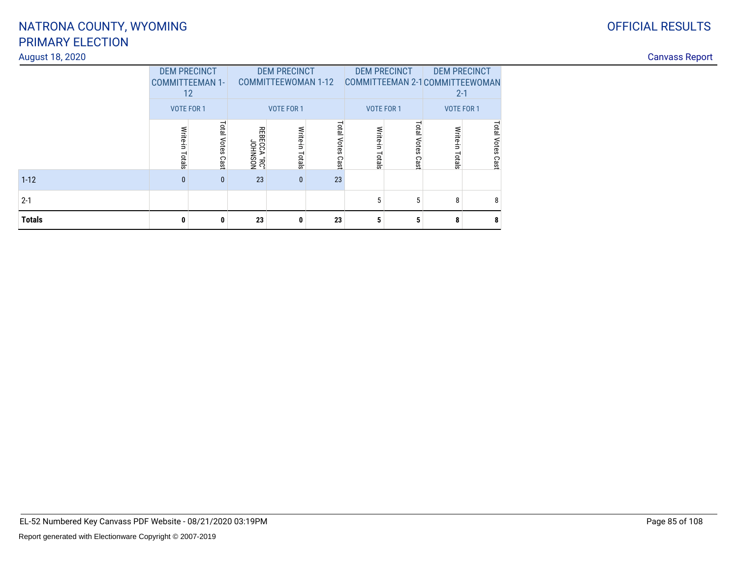### OFFICIAL RESULTS

## PRIMARY ELECTIONNATRONA COUNTY, WYOMING

### August 18, 2020

| <b>Totals</b>   |                                                                    | 23                    |                                                                 | 23                      |                |                           |                                                                                 |                       |
|-----------------|--------------------------------------------------------------------|-----------------------|-----------------------------------------------------------------|-------------------------|----------------|---------------------------|---------------------------------------------------------------------------------|-----------------------|
| $2 - 1$         |                                                                    |                       |                                                                 |                         |                |                           |                                                                                 |                       |
| $1 - 12$        |                                                                    | 23                    | $\mathbf{0}$                                                    | 23                      |                |                           |                                                                                 |                       |
|                 | ota<br>pies<br>Cast                                                | NOSNHOL<br>"3R" ACCA" | Write<br>Ě.<br>Totals                                           | <b>Total Votes Cast</b> | Write<br>otals | Lota<br>ЭŔ<br>Ö<br>ω<br>፵ | Votes<br>Cast                                                                   |                       |
|                 | <b>DEM PRECINCT</b><br><b>COMMITTEEMAN 1-</b><br>12.<br>VOTE FOR 1 |                       | <b>DEM PRECINCT</b><br><b>COMMITTEEWOMAN 1-12</b><br>VOTE FOR 1 |                         | VOTE FOR 1     | <b>DEM PRECINCT</b>       | <b>DEM PRECINCT</b><br>COMMITTEEMAN 2-1 COMMITTEEWOMAN<br>$2 - 1$<br>VOTE FOR 1 |                       |
| August 18, 2020 |                                                                    |                       |                                                                 |                         |                |                           |                                                                                 | <b>Canvass Report</b> |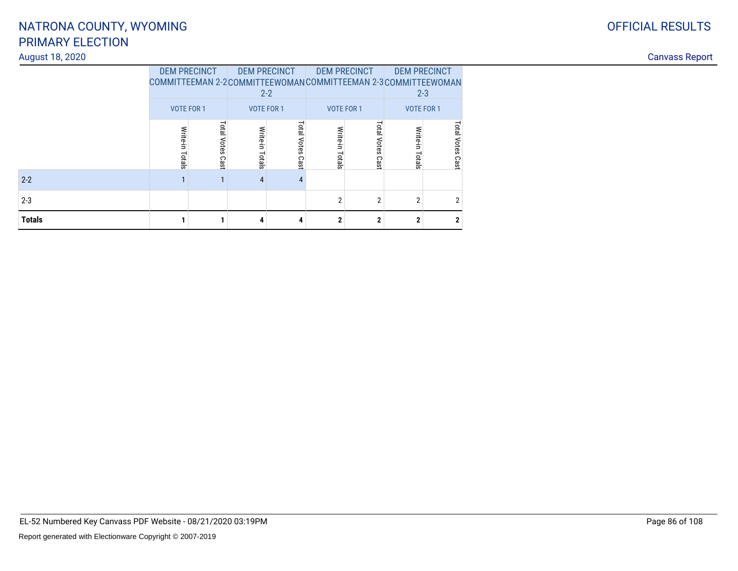# August 18, 2020

| <b>OFFICIAL RESULTS</b> |
|-------------------------|
|                         |

|        | <b>DEM PRECINCT</b><br>COMMITTEEMAN 2-2COMMITTEEWOMANCOMMITTEEMAN 2-3COMMITTEEWOMAN<br><b>VOTE FOR 1</b> |                     | <b>DEM PRECINCT</b><br>$2 - 2$<br><b>VOTE FOR 1</b> |                     | <b>DEM PRECINCT</b><br><b>VOTE FOR 1</b> |                     | <b>DEM PRECINCT</b><br>$2 - 3$<br><b>VOTE FOR 1</b> |                  |  |
|--------|----------------------------------------------------------------------------------------------------------|---------------------|-----------------------------------------------------|---------------------|------------------------------------------|---------------------|-----------------------------------------------------|------------------|--|
|        | Write-in<br>Totals                                                                                       | Total Votes<br>Cast | Write-in Totals                                     | Total Votes<br>Cast | Write-in<br>Totals                       | Total Votes<br>Cast | Write-in<br>Totals                                  | Total Votes Cast |  |
| $2-2$  |                                                                                                          |                     | $\overline{4}$                                      | 4                   |                                          |                     |                                                     |                  |  |
| $2-3$  |                                                                                                          |                     |                                                     |                     | $\overline{2}$                           | $\overline{2}$      | $\overline{2}$                                      | 2                |  |
| Totals |                                                                                                          |                     | 4                                                   | 4                   | $\mathbf{2}$                             | $\mathbf{2}$        | $\mathbf{2}$                                        | $\mathbf{2}$     |  |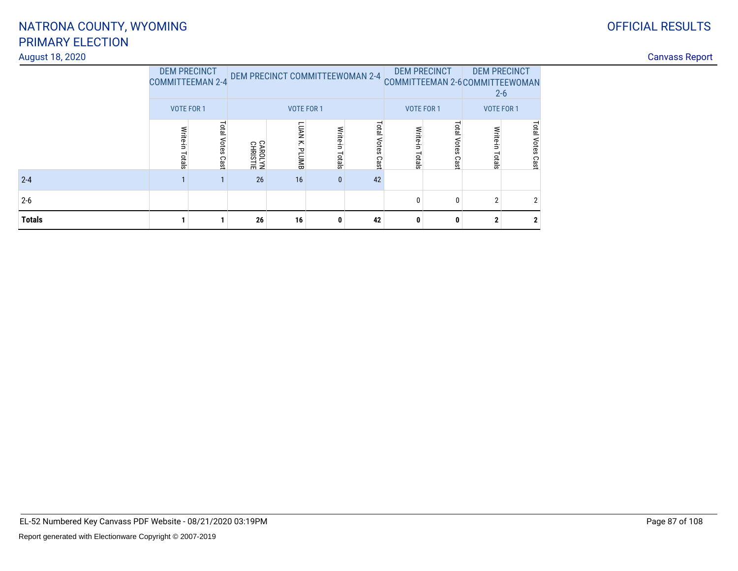### OFFICIAL RESULTS

# PRIMARY ELECTIONNATRONA COUNTY, WYOMING

### August 18, 2020

| August 18, 2020 |       |                                                |                            |                   |                    |                        |        |            |   |                                                                            |  | <b>Canvass Report</b> |  |
|-----------------|-------|------------------------------------------------|----------------------------|-------------------|--------------------|------------------------|--------|------------|---|----------------------------------------------------------------------------|--|-----------------------|--|
|                 |       | <b>DEM PRECINCT</b><br><b>COMMITTEEMAN 2-4</b> |                            |                   |                    |                        |        |            |   | DEM PRECINCT COMMITTEEWOMAN 2-4 COMMITTEEMAN 2-6 COMMITTEEWOMAN<br>$2 - 6$ |  |                       |  |
|                 |       | VOTE FOR 1                                     |                            | <b>VOTE FOR 1</b> |                    |                        |        | VOTE FOR 1 |   | VOTE FOR 1                                                                 |  |                       |  |
|                 | otals | Total<br>Votes<br>Cast                         | <b>CAROLYN</b><br>CHRISTIE | LUAN K. PLUMB     | Write-in<br>Totals | latel<br>Votes<br>Cast | $\sim$ | Cas        | 능 | Votes<br>Cas                                                               |  |                       |  |
| $2 - 4$         |       |                                                | 26                         | 16                | $\mathbf{0}$       | 42                     |        |            |   |                                                                            |  |                       |  |
| $2 - 6$         |       |                                                |                            |                   |                    |                        |        |            | n |                                                                            |  |                       |  |
| <b>Totals</b>   |       |                                                | 26                         | 16                |                    | 42                     |        |            |   |                                                                            |  |                       |  |

EL-52 Numbered Key Canvass PDF Website - 08/21/2020 03:19PM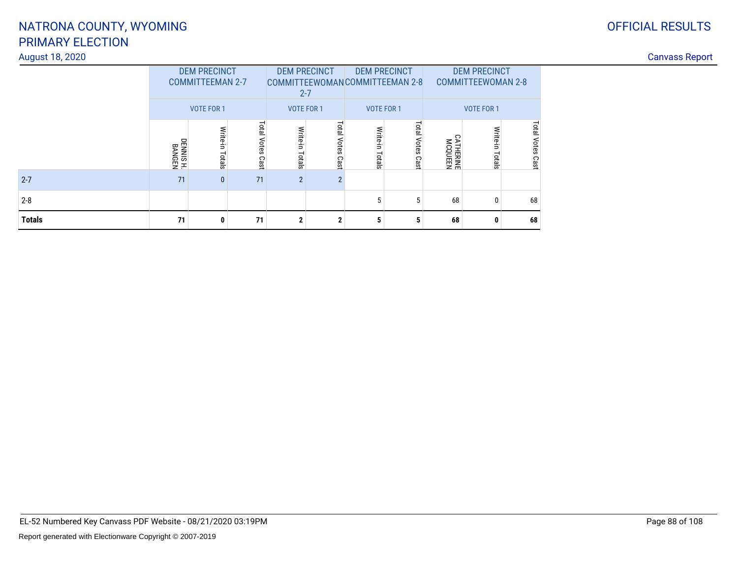### August 18, 2020

| August 18, 2020 |                                                |             |                     |                                                                                                                      |                         |                |                          |                            |            |                      |  | <b>Canvass Report</b> |
|-----------------|------------------------------------------------|-------------|---------------------|----------------------------------------------------------------------------------------------------------------------|-------------------------|----------------|--------------------------|----------------------------|------------|----------------------|--|-----------------------|
|                 | <b>DEM PRECINCT</b><br><b>COMMITTEEMAN 2-7</b> |             |                     | <b>DEM PRECINCT</b><br><b>DEM PRECINCT</b><br>COMMITTEEWOMANCOMMITTEEMAN 2-8<br><b>COMMITTEEWOMAN 2-8</b><br>$2 - 7$ |                         |                |                          |                            |            |                      |  |                       |
|                 |                                                | VOTE FOR 1  |                     | VOTE FOR 1                                                                                                           |                         |                | VOTE FOR 1               |                            | VOTE FOR 1 |                      |  |                       |
|                 | DENNIS H.<br>BANGEN                            | Ė<br>Totals | Total<br>Votes Cast | Write-in<br>Totals                                                                                                   | ota<br>ote<br>Ö<br>Cast | Write<br>otals | <b>DTB</b><br>ca<br>Cast | <b>ATHERINE</b><br>MCQUEEN |            | ota<br>Votes<br>Cast |  |                       |
| $2 - 7$         | 71                                             | $\bf{0}$    | 71                  | $\overline{2}$                                                                                                       |                         |                |                          |                            |            |                      |  |                       |
| $2-8$           |                                                |             |                     |                                                                                                                      |                         |                |                          | 68                         |            | 68                   |  |                       |
| <b>Totals</b>   | 71                                             |             | 71                  | $\overline{2}$                                                                                                       |                         |                |                          | 68                         |            | 68                   |  |                       |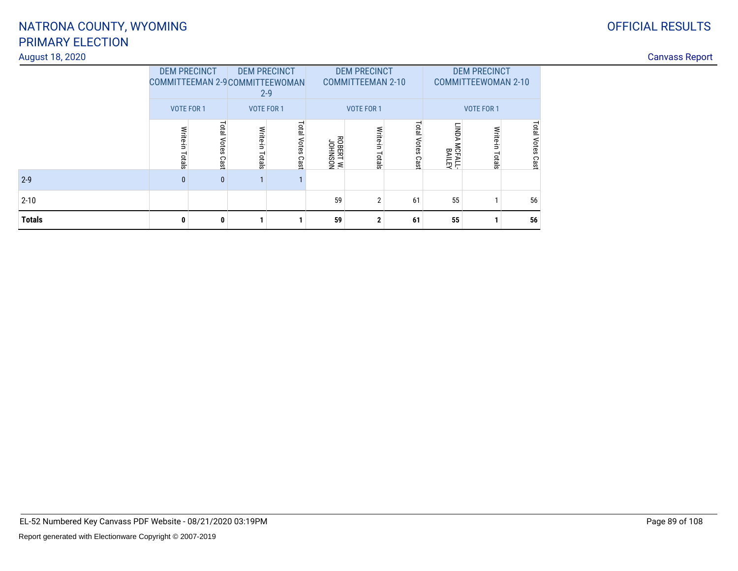### August 18, 2020

## OFFICIAL RESULTS

| August 18, 2020 |                                                        |                                |                   |                                                                                   |                     |                                 |          |                                    |                                                   |                      |  |  |  |
|-----------------|--------------------------------------------------------|--------------------------------|-------------------|-----------------------------------------------------------------------------------|---------------------|---------------------------------|----------|------------------------------------|---------------------------------------------------|----------------------|--|--|--|
|                 | <b>DEM PRECINCT</b><br>COMMITTEEMAN 2-9 COMMITTEEWOMAN |                                |                   | <b>DEM PRECINCT</b><br><b>DEM PRECINCT</b><br><b>COMMITTEEMAN 2-10</b><br>$2 - 9$ |                     |                                 |          |                                    | <b>DEM PRECINCT</b><br><b>COMMITTEEWOMAN 2-10</b> |                      |  |  |  |
|                 |                                                        | VOTE FOR 1                     |                   | <b>VOTE FOR 1</b>                                                                 |                     | <b>VOTE FOR 1</b><br>VOTE FOR 1 |          |                                    |                                                   |                      |  |  |  |
|                 | Write-in<br>Totals                                     | ai<br>a<br><b>Otes</b><br>Cast | Write-in<br>otals | Total<br>Votes<br>Cast                                                            | MOSNHOL<br>WIRENTW. | Write<br>Ė<br>otals             | Q<br>Cas | .<br>N<br><b>ICFALL-</b><br>BAILEY | 9IG<br>$\bar{z}$                                  | ota<br>Votes<br>Cast |  |  |  |
| $2-9$           | $\bf{0}$                                               |                                |                   |                                                                                   |                     |                                 |          |                                    |                                                   |                      |  |  |  |
| $2 - 10$        |                                                        |                                |                   |                                                                                   | 59                  | $\sim$                          | 61       | 55                                 |                                                   | 56                   |  |  |  |
| <b>Totals</b>   | 0                                                      |                                |                   |                                                                                   | 59                  | л                               | 61       | 55                                 |                                                   | 56                   |  |  |  |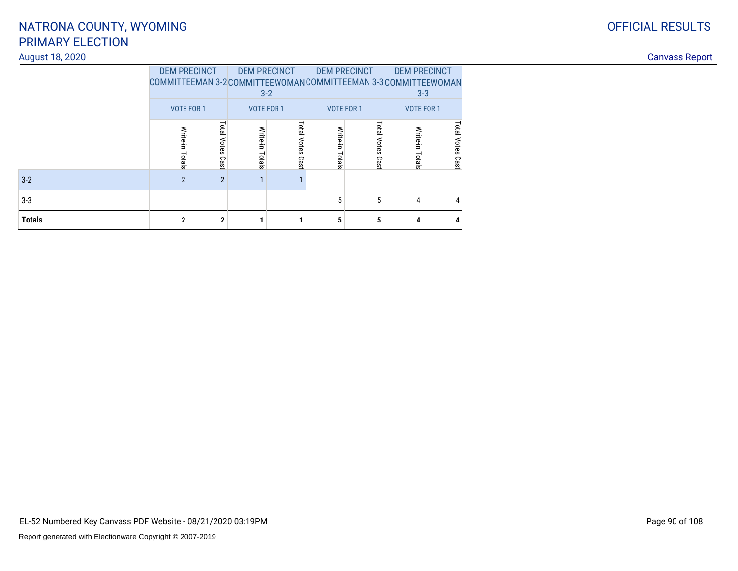# August 18, 2020

|  | <b>OFFICIAL RESULTS</b> |
|--|-------------------------|
|  |                         |

|        | <b>DEM PRECINCT</b><br>COMMITTEEMAN 3-2COMMITTEEWOMANCOMMITTEEMAN 3-3COMMITTEEWOMAN<br><b>VOTE FOR 1</b> |                     | <b>DEM PRECINCT</b><br>$3 - 2$<br><b>VOTE FOR 1</b> |                     | <b>DEM PRECINCT</b><br><b>VOTE FOR 1</b> |                     | <b>DEM PRECINCT</b><br>$3 - 3$<br><b>VOTE FOR 1</b> |                  |  |
|--------|----------------------------------------------------------------------------------------------------------|---------------------|-----------------------------------------------------|---------------------|------------------------------------------|---------------------|-----------------------------------------------------|------------------|--|
|        | Write-in<br>Totals                                                                                       | Total Votes<br>Cast | Write-in Totals                                     | Total Votes<br>Cast | Write-in<br>Totals                       | Total Votes<br>Cast | Write-in<br>Totals                                  | Total Votes Cast |  |
| $3-2$  | $\overline{2}$                                                                                           | $\overline{2}$      | ٠                                                   |                     |                                          |                     |                                                     |                  |  |
| $3-3$  |                                                                                                          |                     |                                                     |                     | 5                                        | 5                   | 4                                                   | 4                |  |
| Totals | $\mathbf{2}$                                                                                             | $\mathbf{2}$        |                                                     |                     | 5                                        | 5                   | 4                                                   | 4                |  |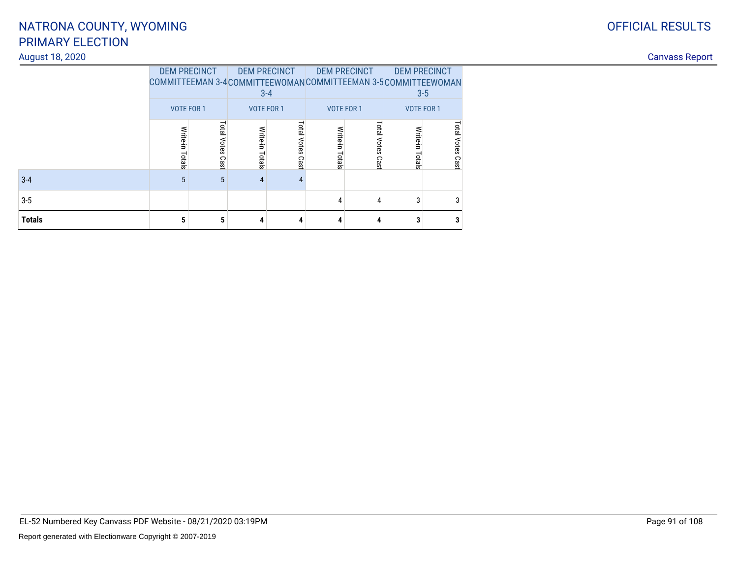### August 18, 2020

| <b>OFFICIAL RESULTS</b> |
|-------------------------|
|                         |

|               | <b>DEM PRECINCT</b><br>COMMITTEEMAN 3-4COMMITTEEWOMANCOMMITTEEMAN 3-5COMMITTEEWOMAN<br><b>VOTE FOR 1</b> |                  | <b>DEM PRECINCT</b>                     | $3 - 4$             | <b>DEM PRECINCT</b>                     |                     | <b>DEM PRECINCT</b><br>$3 - 5$<br><b>VOTE FOR 1</b> |                     |
|---------------|----------------------------------------------------------------------------------------------------------|------------------|-----------------------------------------|---------------------|-----------------------------------------|---------------------|-----------------------------------------------------|---------------------|
|               | Write-in<br>Totals                                                                                       | Total Votes Cast | <b>VOTE FOR 1</b><br>Write-in<br>Totals | Total Votes<br>Cast | <b>VOTE FOR 1</b><br>Write-in<br>Totals | Total Votes<br>Cast | Write-in<br>Totals                                  | Total Votes<br>Cast |
| $3 - 4$       | 5                                                                                                        | 5                | $\overline{4}$                          | 4                   |                                         |                     |                                                     |                     |
| $3 - 5$       |                                                                                                          |                  |                                         |                     | 4                                       | 4                   | 3                                                   | 3                   |
| <b>Totals</b> | 5                                                                                                        | 5                | 4                                       | 4                   | 4                                       | 4                   | 3                                                   | 3                   |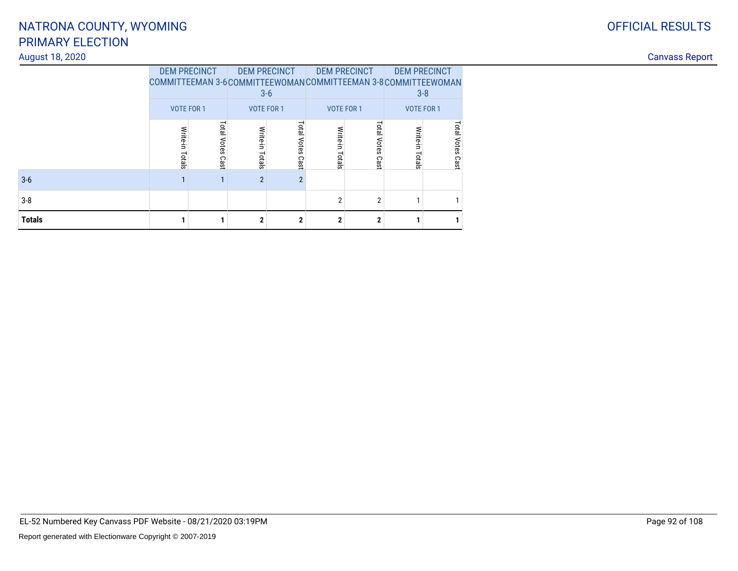# August 18, 2020

| ⌒ | <b>OFFICIAL RESULTS</b> |
|---|-------------------------|
| U |                         |
|   |                         |

|        | <b>DEM PRECINCT</b><br>COMMITTEEMAN 3-6COMMITTEEWOMANCOMMITTEEMAN 3-8COMMITTEEWOMAN<br><b>VOTE FOR 1</b> |                     | <b>DEM PRECINCT</b><br>$3-6$<br><b>VOTE FOR 1</b> |                     | <b>DEM PRECINCT</b><br><b>VOTE FOR 1</b> |                     | <b>DEM PRECINCT</b><br>$3 - 8$<br><b>VOTE FOR 1</b> |                  |  |
|--------|----------------------------------------------------------------------------------------------------------|---------------------|---------------------------------------------------|---------------------|------------------------------------------|---------------------|-----------------------------------------------------|------------------|--|
|        | Write-in<br>Totals                                                                                       | Total Votes<br>Cast | Write-in Totals                                   | Total Votes<br>Cast | Write-in<br>Totals                       | Total Votes<br>Cast | Write-in<br>Totals                                  | Total Votes Cast |  |
| 3-6    |                                                                                                          |                     | $\overline{2}$                                    | $\overline{2}$      |                                          |                     |                                                     |                  |  |
| 3-8    |                                                                                                          |                     |                                                   |                     | $\overline{2}$                           | $\overline{2}$      |                                                     |                  |  |
| Totals |                                                                                                          |                     | $\mathbf{2}$                                      | $\mathbf{2}$        | $\mathbf{2}$                             | $\mathbf{2}$        |                                                     |                  |  |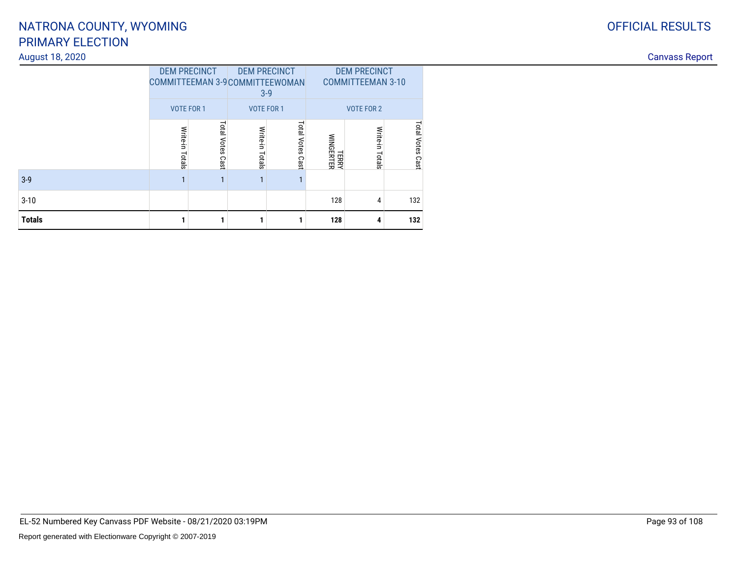### August 18, 2020

| <b>Totals</b>   |                      |                        |                           | $\mathbf 1$                                                     | 128                       |                                                 | 132                   |  |
|-----------------|----------------------|------------------------|---------------------------|-----------------------------------------------------------------|---------------------------|-------------------------------------------------|-----------------------|--|
| $3-10$          |                      |                        |                           |                                                                 | 128                       | 4                                               | 132                   |  |
| $3-9$           |                      |                        |                           |                                                                 |                           |                                                 |                       |  |
|                 | Write<br>∍<br>Totals | Total<br>Votes<br>Cast | Write<br>÷.<br>⊣<br>otals | <b>Total Votes Cast</b>                                         | <b>TERRY</b><br>WINGERTER | Write-<br>Ė.<br>otals                           | ptal<br>Votes<br>Cast |  |
|                 |                      | VOTE FOR 1             |                           | VOTE FOR 1                                                      |                           | VOTE FOR 2                                      |                       |  |
|                 |                      | <b>DEM PRECINCT</b>    |                           | <b>DEM PRECINCT</b><br>COMMITTEEMAN 3-9 COMMITTEEWOMAN<br>$3-9$ |                           | <b>DEM PRECINCT</b><br><b>COMMITTEEMAN 3-10</b> |                       |  |
| August 18, 2020 |                      |                        |                           |                                                                 |                           |                                                 |                       |  |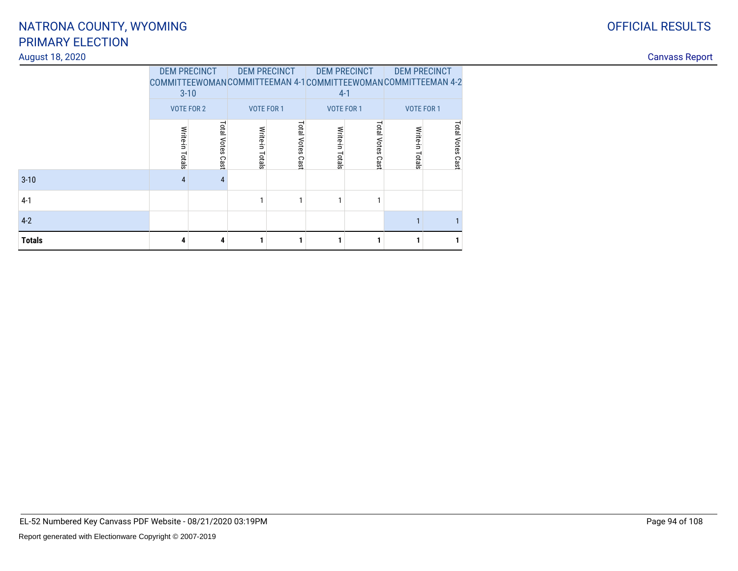### August 18, 2020

|               | <b>DEM PRECINCT</b> |             | <b>DEM PRECINCT</b> |             | <b>DEM PRECINCT</b>                                          |                   | <b>DEM PRECINCT</b> |                  |
|---------------|---------------------|-------------|---------------------|-------------|--------------------------------------------------------------|-------------------|---------------------|------------------|
|               |                     |             |                     |             | COMMITTEEWOMANCOMMITTEEMAN 4-1COMMITTEEWOMANCOMMITTEEMAN 4-2 |                   |                     |                  |
|               | $3 - 10$            |             |                     |             |                                                              | $4-1$             |                     |                  |
|               | <b>VOTE FOR 2</b>   |             | <b>VOTE FOR 1</b>   |             |                                                              | <b>VOTE FOR 1</b> | <b>VOTE FOR 1</b>   |                  |
|               |                     |             |                     |             |                                                              | Total             |                     |                  |
|               | Write-in Totals     | Total Votes | Write-in            | Total Votes | Write-in Totals                                              | Votes             | Write-in            | Total Votes Cast |
|               |                     |             |                     |             |                                                              |                   |                     |                  |
|               |                     | Cast        | Totals              | Cast        |                                                              | Cast              | Totals              |                  |
| $3 - 10$      | 4                   | 4           |                     |             |                                                              |                   |                     |                  |
| $4-1$         |                     |             |                     |             | 1                                                            |                   |                     |                  |
| $4-2$         |                     |             |                     |             |                                                              |                   |                     |                  |
| <b>Totals</b> | 4                   | 4           |                     |             |                                                              |                   |                     | 1                |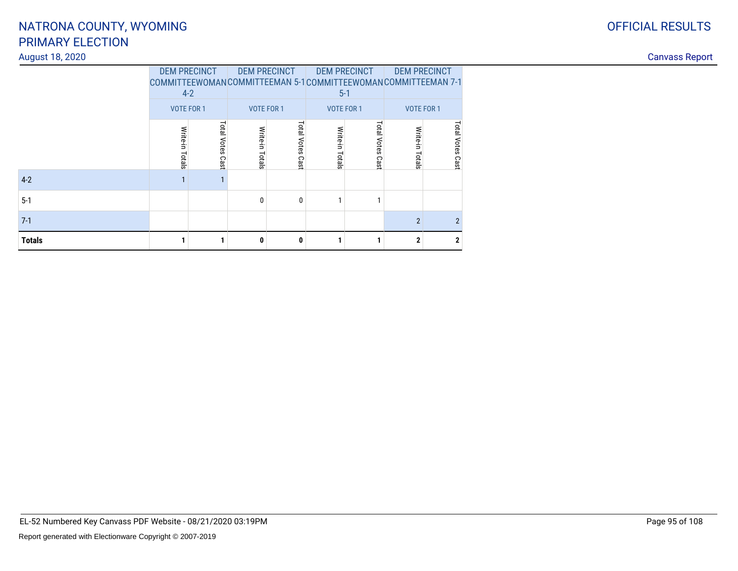### August 18, 2020

|               | <b>DEM PRECINCT</b><br>COMMITTEEWOMANCOMMITTEEMAN 5-1COMMITTEEWOMANCOMMITTEEMAN 7-1<br>$4-2$ |                  |                   | <b>DEM PRECINCT</b> |                 | <b>DEM PRECINCT</b><br>$5 - 1$ | <b>DEM PRECINCT</b> |                  |
|---------------|----------------------------------------------------------------------------------------------|------------------|-------------------|---------------------|-----------------|--------------------------------|---------------------|------------------|
|               | <b>VOTE FOR 1</b>                                                                            |                  | <b>VOTE FOR 1</b> |                     |                 | <b>VOTE FOR 1</b>              | <b>VOTE FOR 1</b>   |                  |
|               |                                                                                              |                  |                   | Total Votes         |                 | Total Votes                    |                     |                  |
|               | Write-in Totals                                                                              | Total Votes Cast | Write-in Totals   | Cast                | Write-in Totals | Cast                           | Write-in Totals     | Total Votes Cast |
| $4-2$         | $\mathbf{1}$                                                                                 | 1                |                   |                     |                 |                                |                     |                  |
| $5-1$         |                                                                                              |                  | 0                 | $\mathbf{0}$        |                 |                                |                     |                  |
| $7-1$         |                                                                                              |                  |                   |                     |                 |                                | $\overline{2}$      | $\overline{2}$   |
| <b>Totals</b> |                                                                                              |                  | 0                 | 0                   |                 |                                | $\mathbf{2}$        | $\mathbf{2}$     |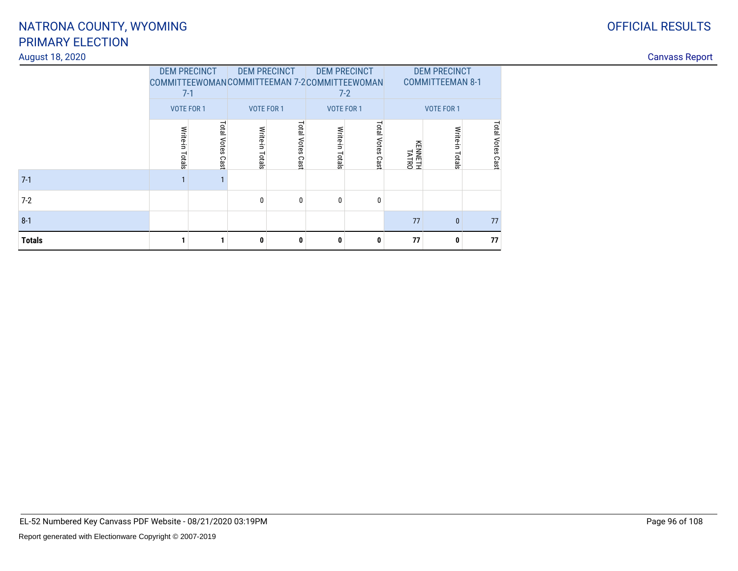### August 18, 2020

|               | <b>DEM PRECINCT</b><br>COMMITTEEWOMANCOMMITTEEMAN 7-2COMMITTEEWOMAN<br>$7-1$ |                     |                    | <b>DEM PRECINCT</b> | <b>DEM PRECINCT</b> | $7 - 2$             | <b>DEM PRECINCT</b><br><b>COMMITTEEMAN 8-1</b> |                 |                         |
|---------------|------------------------------------------------------------------------------|---------------------|--------------------|---------------------|---------------------|---------------------|------------------------------------------------|-----------------|-------------------------|
|               | <b>VOTE FOR 1</b>                                                            |                     |                    | <b>VOTE FOR 1</b>   | <b>VOTE FOR 1</b>   |                     | <b>VOTE FOR 1</b>                              |                 |                         |
|               | Write-in<br>Totals                                                           | Total Votes<br>Cast | Write-in<br>Totals | Total Votes<br>Cast | Write-in Totals     | Total Votes<br>Cast | KENNETH<br>TATRO                               | Write-in Totals | <b>Total Votes Cast</b> |
| $7-1$         |                                                                              |                     |                    |                     |                     |                     |                                                |                 |                         |
| $7-2$         |                                                                              |                     | $\mathbf{0}$       | 0                   | 0                   | 0                   |                                                |                 |                         |
| $8 - 1$       |                                                                              |                     |                    |                     |                     |                     | 77                                             | $\mathbf{0}$    | 77                      |
| <b>Totals</b> |                                                                              |                     | 0                  | 0                   | 0                   | 0                   | 77                                             | 0               | 77                      |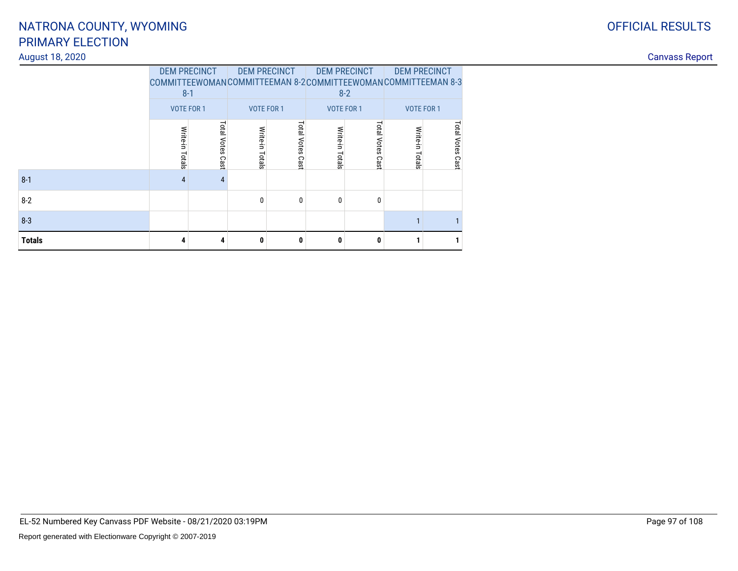### August 18, 2020

|               | <b>DEM PRECINCT</b>          |                     |                   | <b>DEM PRECINCT</b> |                 | <b>DEM PRECINCT</b><br>$8 - 2$ | <b>DEM PRECINCT</b><br>COMMITTEEWOMANCOMMITTEEMAN 8-2COMMITTEEWOMANCOMMITTEEMAN 8-3 |                            |
|---------------|------------------------------|---------------------|-------------------|---------------------|-----------------|--------------------------------|-------------------------------------------------------------------------------------|----------------------------|
|               | $8 - 1$<br><b>VOTE FOR 1</b> |                     | <b>VOTE FOR 1</b> |                     |                 | <b>VOTE FOR 1</b>              | <b>VOTE FOR 1</b>                                                                   |                            |
|               | Write-in Totals              | Total Votes<br>Cast | Write-in Totals   | Total Votes<br>Cast | Write-in Totals | Total Votes<br>Cast            | Write-in<br>Totals                                                                  | <b>Total Votes</b><br>Cast |
| $8 - 1$       | $\overline{4}$               | 4                   |                   |                     |                 |                                |                                                                                     |                            |
| $8 - 2$       |                              |                     | 0                 | $\mathbf{0}$        | 0               | $\mathbf{0}$                   |                                                                                     |                            |
| $8 - 3$       |                              |                     |                   |                     |                 |                                |                                                                                     |                            |
| <b>Totals</b> | 4                            | 4                   | 0                 | 0                   | 0               | 0                              |                                                                                     |                            |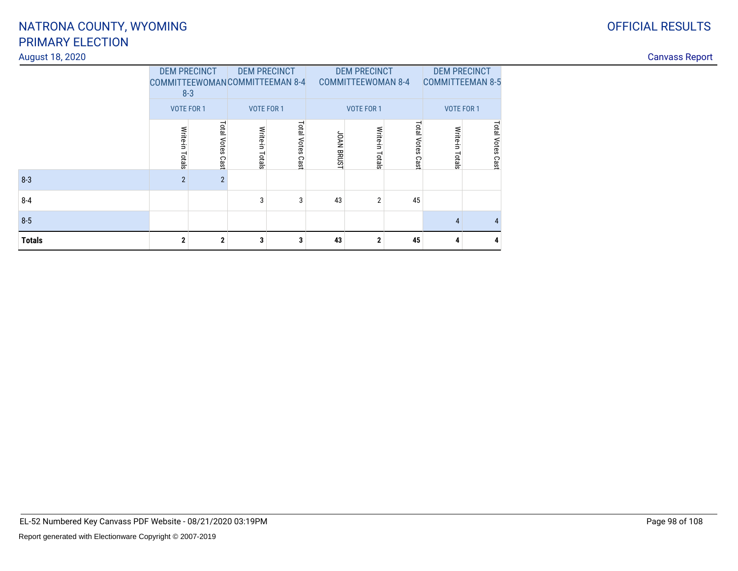### August 18, 2020

|               |                                                  | <b>DEM PRECINCT</b> | <b>DEM PRECINCT</b> |             |                   | <b>DEM PRECINCT</b>       |             | <b>DEM PRECINCT</b>     |                  |  |
|---------------|--------------------------------------------------|---------------------|---------------------|-------------|-------------------|---------------------------|-------------|-------------------------|------------------|--|
|               | <b>COMMITTEEWOMANCOMMITTEEMAN 8-4</b><br>$8 - 3$ |                     |                     |             |                   | <b>COMMITTEEWOMAN 8-4</b> |             | <b>COMMITTEEMAN 8-5</b> |                  |  |
|               | <b>VOTE FOR 1</b>                                |                     | <b>VOTE FOR 1</b>   |             |                   | <b>VOTE FOR 1</b>         |             | <b>VOTE FOR 1</b>       |                  |  |
|               | Write-in                                         | Total Votes         | Write-in            | Total Votes |                   | Write-in                  | Total Votes | Write-in                |                  |  |
|               | Totals                                           |                     | Totals              |             | <b>JOAN BRUST</b> | Totals                    |             | Totals                  | Total Votes Cast |  |
|               |                                                  | Cast                |                     | Cast        |                   |                           | Cast        |                         |                  |  |
| $8 - 3$       | $\overline{2}$                                   | $\overline{2}$      |                     |             |                   |                           |             |                         |                  |  |
| $8 - 4$       |                                                  |                     | 3                   | 3           | 43                | $\overline{2}$            | 45          |                         |                  |  |
| $8 - 5$       |                                                  |                     |                     |             |                   |                           |             | 4                       | $\overline{4}$   |  |
| <b>Totals</b> | $\mathbf{2}$                                     | $\overline{2}$      | 3                   | 3           | 43                | $\mathbf{2}$              | 45          | 4                       | 4                |  |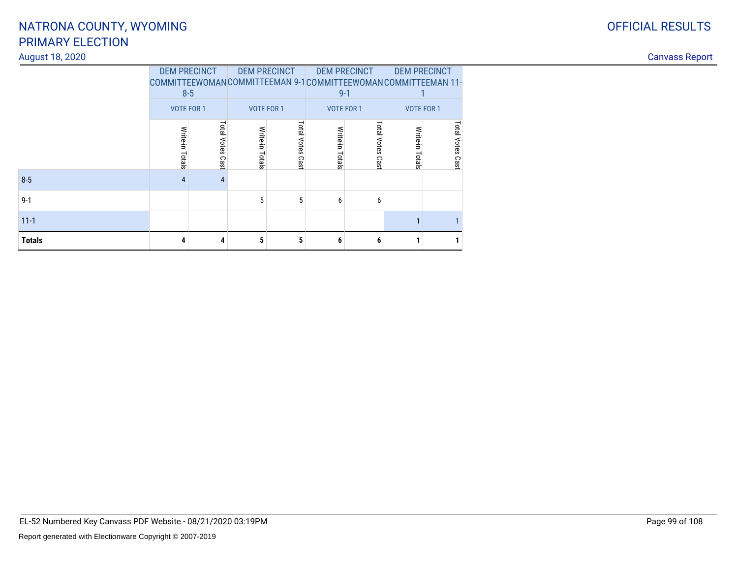### August 18, 2020

|               | <b>DEM PRECINCT</b> | $8 - 5$             |                   | <b>DEM PRECINCT</b> |                   | <b>DEM PRECINCT</b><br>$9 - 1$ | COMMITTEEWOMANCOMMITTEEMAN 9-1COMMITTEEWOMANCOMMITTEEMAN 11- | <b>DEM PRECINCT</b>     |
|---------------|---------------------|---------------------|-------------------|---------------------|-------------------|--------------------------------|--------------------------------------------------------------|-------------------------|
|               | <b>VOTE FOR 1</b>   |                     | <b>VOTE FOR 1</b> |                     | <b>VOTE FOR 1</b> |                                | <b>VOTE FOR 1</b>                                            |                         |
|               | Write-in Totals     | Total Votes<br>Cast | Write-in Totals   | Total Votes<br>Cast | Write-in Totals   | Total<br><b>Votes</b><br>Cast  | Write-in Totals                                              | <b>Total Votes Cast</b> |
| $8 - 5$       | 4                   | $\overline{4}$      |                   |                     |                   |                                |                                                              |                         |
| $9 - 1$       |                     |                     | 5                 | 5                   | 6                 | 6                              |                                                              |                         |
| $11 - 1$      |                     |                     |                   |                     |                   |                                |                                                              |                         |
| <b>Totals</b> | 4                   | 4                   | 5                 | 5                   | 6                 | 6                              |                                                              | 1                       |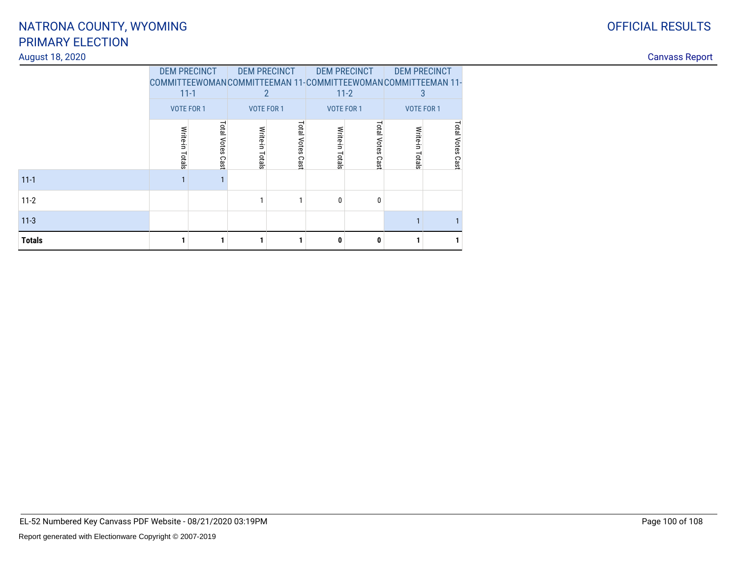### August 18, 2020

|               | <b>DEM PRECINCT</b><br>COMMITTEEWOMANCOMMITTEEMAN 11-COMMITTEEWOMANCOMMITTEEMAN 11- |                   | <b>DEM PRECINCT</b> |                   | <b>DEM PRECINCT</b> |                    | <b>DEM PRECINCT</b> |                         |
|---------------|-------------------------------------------------------------------------------------|-------------------|---------------------|-------------------|---------------------|--------------------|---------------------|-------------------------|
|               | $11 - 1$                                                                            |                   |                     |                   | $11 - 2$            |                    | 3                   |                         |
|               |                                                                                     | <b>VOTE FOR 1</b> |                     | <b>VOTE FOR 1</b> |                     | <b>VOTE FOR 1</b>  |                     | <b>VOTE FOR 1</b>       |
|               | Write-in Totals                                                                     | Total Votes Cast  | Write-in Totals     | Total Votes       | Write-in Totals     | <b>Total Votes</b> | Write-in Totals     | <b>Total Votes Cast</b> |
|               |                                                                                     |                   |                     | Cast              |                     | Cast               |                     |                         |
| $11 - 1$      |                                                                                     | 1                 |                     |                   |                     |                    |                     |                         |
| $11-2$        |                                                                                     |                   |                     |                   | 0                   | $\theta$           |                     |                         |
| $11 - 3$      |                                                                                     |                   |                     |                   |                     |                    |                     |                         |
| <b>Totals</b> |                                                                                     |                   |                     |                   | 0                   | $\bf{0}$           |                     | 1                       |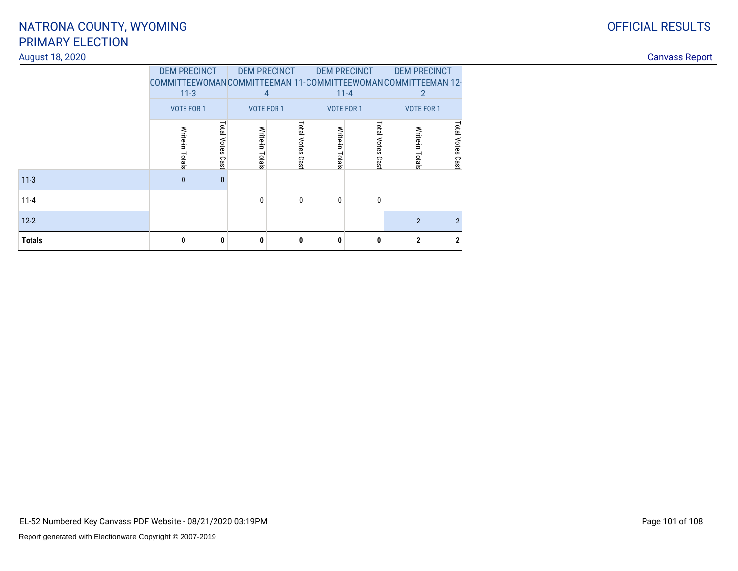### August 18, 2020

|               | <b>DEM PRECINCT</b> |                                                                        | <b>DEM PRECINCT</b> |                   | <b>DEM PRECINCT</b> |                   | <b>DEM PRECINCT</b> |                   |
|---------------|---------------------|------------------------------------------------------------------------|---------------------|-------------------|---------------------|-------------------|---------------------|-------------------|
|               |                     | COMMITTEEWOMANCOMMITTEEMAN 11-COMMITTEEWOMANCOMMITTEEMAN 12-<br>$11-3$ |                     | 4                 |                     | $11 - 4$          |                     |                   |
|               |                     | <b>VOTE FOR 1</b>                                                      |                     | <b>VOTE FOR 1</b> |                     | <b>VOTE FOR 1</b> |                     | <b>VOTE FOR 1</b> |
|               |                     | Total Votes                                                            |                     | Total Votes       |                     | Total Votes       |                     | Total Votes       |
|               | Write-in Totals     |                                                                        | Write-in Totals     |                   | Write-in Totals     |                   | Write-in            |                   |
|               |                     | Cast                                                                   |                     | Cast              |                     | Cast              | Totals              | Cast              |
| $11 - 3$      | $\mathbf{0}$        | $\mathbf{0}$                                                           |                     |                   |                     |                   |                     |                   |
| $11 - 4$      |                     |                                                                        | 0                   | 0                 | 0                   | $\mathbf{0}$      |                     |                   |
| $12 - 2$      |                     |                                                                        |                     |                   |                     |                   | $\overline{2}$      | $\overline{2}$    |
| <b>Totals</b> | 0                   | 0                                                                      | 0                   | 0                 | 0                   | 0                 | $\mathbf{2}$        | $\mathbf{2}$      |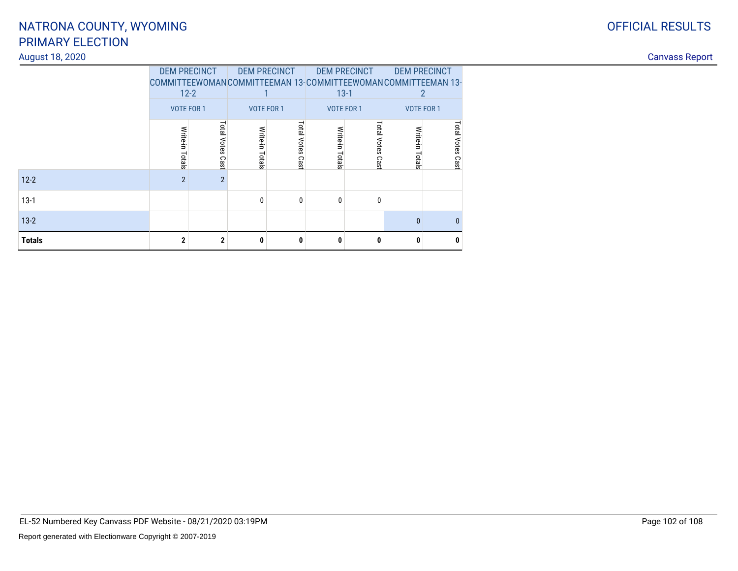### August 18, 2020

|               | <b>DEM PRECINCT</b>                                          |                   | <b>DEM PRECINCT</b> |                   | <b>DEM PRECINCT</b> |                    | <b>DEM PRECINCT</b> |              |
|---------------|--------------------------------------------------------------|-------------------|---------------------|-------------------|---------------------|--------------------|---------------------|--------------|
|               | COMMITTEEWOMANCOMMITTEEMAN 13-COMMITTEEWOMANCOMMITTEEMAN 13- |                   |                     |                   |                     |                    |                     |              |
|               |                                                              | $12 - 2$          |                     |                   |                     | $13-1$             |                     |              |
|               |                                                              | <b>VOTE FOR 1</b> |                     | <b>VOTE FOR 1</b> |                     | <b>VOTE FOR 1</b>  | <b>VOTE FOR 1</b>   |              |
|               |                                                              |                   |                     |                   |                     |                    |                     |              |
|               | Write-in Totals                                              | Total Votes       | Write-in Totals     | Total Votes       | Write-in Totals     | <b>Total Votes</b> | Write-in            | Total Votes  |
|               |                                                              |                   |                     |                   |                     |                    | Totals              |              |
|               |                                                              | Cast              |                     | Cast              |                     | Cast               |                     | Cast         |
| $12 - 2$      | $\overline{2}$                                               | $\overline{2}$    |                     |                   |                     |                    |                     |              |
| $13-1$        |                                                              |                   | 0                   | 0                 | 0                   | 0                  |                     |              |
| $13-2$        |                                                              |                   |                     |                   |                     |                    | $\mathbf{0}$        | $\mathbf{0}$ |
| <b>Totals</b> | $\mathbf{2}$                                                 | $\mathbf{2}$      | 0                   | 0                 | 0                   | $\mathbf{0}$       | $\mathbf{0}$        | 0            |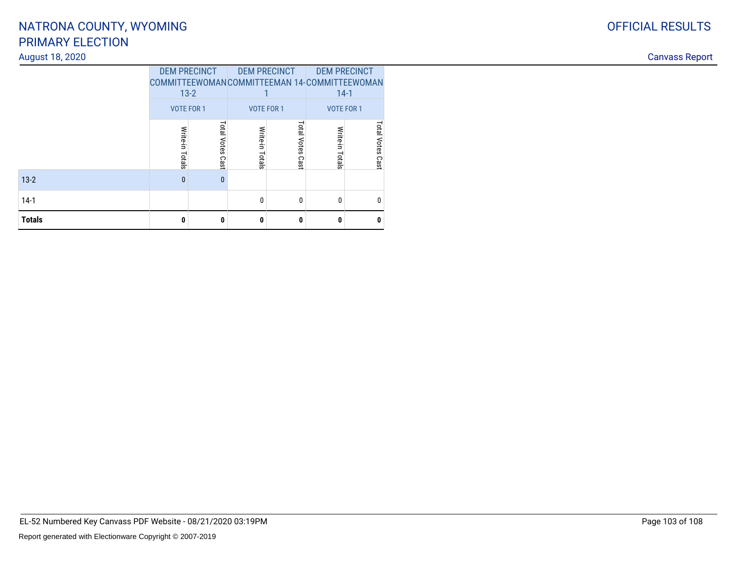### August 18, 2020

|               | <b>DEM PRECINCT</b><br>COMMITTEEWOMANCOMMITTEEMAN 14-COMMITTEEWOMAN<br>$13 - 2$<br><b>VOTE FOR 1</b> |              | <b>DEM PRECINCT</b><br><b>VOTE FOR 1</b> |                     | <b>DEM PRECINCT</b><br>$14-1$<br><b>VOTE FOR 1</b> |                     |  |
|---------------|------------------------------------------------------------------------------------------------------|--------------|------------------------------------------|---------------------|----------------------------------------------------|---------------------|--|
|               | <b>Total Votes</b><br>Write-in<br>Totals<br>Cast                                                     |              | Write-in<br>Totals                       | Total Votes<br>Cast | Write-in<br>Totals                                 | Total Votes<br>Cast |  |
| $13 - 2$      | $\mathbf{0}$                                                                                         | $\mathbf{0}$ |                                          |                     |                                                    |                     |  |
| $14-1$        |                                                                                                      |              | 0                                        | 0                   | $\Omega$                                           | n                   |  |
| <b>Totals</b> | $\mathbf{0}$<br>0                                                                                    |              | 0                                        | 0                   | n                                                  | n                   |  |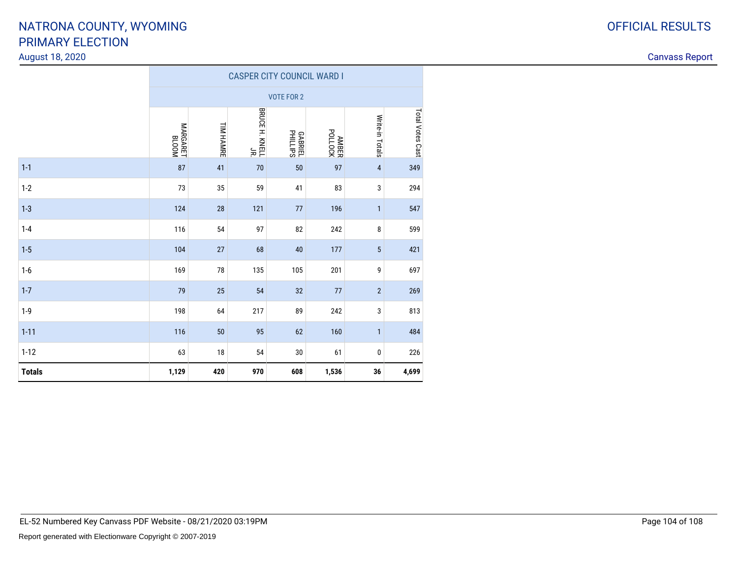### August 18, 2020

|               | <b>CASPER CITY COUNCIL WARD I</b> |                  |                                  |                            |                     |                 |                  |  |  |  |  |  |
|---------------|-----------------------------------|------------------|----------------------------------|----------------------------|---------------------|-----------------|------------------|--|--|--|--|--|
|               |                                   |                  |                                  | <b>VOTE FOR 2</b>          |                     |                 |                  |  |  |  |  |  |
|               | MOOTB<br>ELOOM                    | <b>TIM HAMRE</b> | BRUCE H. KNELL<br>BRUCE H. KNELL | <b>GABRIEL</b><br>PHILLIPS | ANDOLOCK<br>POLLOCK | Write-in Totals | Total Votes Cast |  |  |  |  |  |
| $1 - 1$       | 87                                | 41               | 70                               | 50                         | 97                  | $\sqrt{4}$      | 349              |  |  |  |  |  |
| $1-2$         | 73                                | 35               | 59                               | 41                         | 83                  | 3               | 294              |  |  |  |  |  |
| $1 - 3$       | 124                               | 28               | 121                              | 77                         | 196                 | $\mathbf{1}$    | 547              |  |  |  |  |  |
| $1 - 4$       | 116                               | 54               | 97                               | 82                         | 242                 | 8               | 599              |  |  |  |  |  |
| $1 - 5$       | 104                               | 27               | 68                               | 40                         | 177                 | $\sqrt{5}$      | 421              |  |  |  |  |  |
| $1-6$         | 169                               | 78               | 135                              | 105                        | 201                 | 9               | 697              |  |  |  |  |  |
| $1 - 7$       | 79                                | 25               | 54                               | 32                         | 77                  | $\sqrt{2}$      | 269              |  |  |  |  |  |
| $1-9$         | 198                               | 64               | 217                              | 89                         | 242                 | 3               | 813              |  |  |  |  |  |
| $1 - 11$      | 116                               | 50               | 95                               | 62                         | 160                 | $\mathbf{1}$    | 484              |  |  |  |  |  |
| $1 - 12$      | 63                                | $18\,$           | 54                               | 30                         | 61                  | 0               | 226              |  |  |  |  |  |
| <b>Totals</b> | 1,129                             | 420              | 970                              | 608                        | 1,536               | 36              | 4,699            |  |  |  |  |  |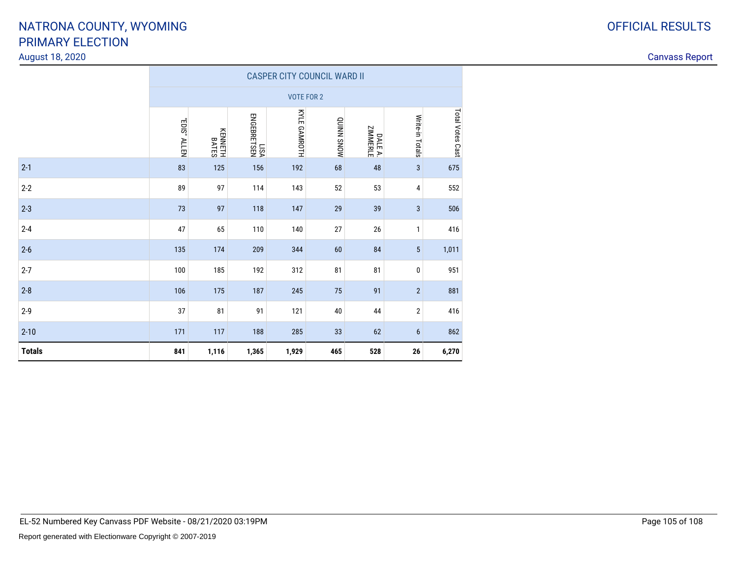| <b>OFFICIAL RESULTS</b> |
|-------------------------|
|                         |

|               | <b>CASPER CITY COUNCIL WARD II</b> |                  |                     |                   |            |                     |                  |                  |  |  |  |  |
|---------------|------------------------------------|------------------|---------------------|-------------------|------------|---------------------|------------------|------------------|--|--|--|--|
|               |                                    |                  |                     | <b>VOTE FOR 2</b> |            |                     |                  |                  |  |  |  |  |
|               | "EDIS" ALLEN                       | KENNETH<br>BATES | LISA<br>ENGEBRETSEN | KYLE GAMROTH      | MONS NNINO | DALE A.<br>ZIMMERLE | Write-in Totals  | Total Votes Cast |  |  |  |  |
| $2 - 1$       | 83                                 | 125              | 156                 | 192               | 68         | 48                  | $\mathbf{3}$     | 675              |  |  |  |  |
| $2 - 2$       | 89                                 | 97               | 114                 | 143               | 52         | 53                  | 4                | 552              |  |  |  |  |
| $2 - 3$       | 73                                 | 97               | 118                 | 147               | 29         | 39                  | 3                | 506              |  |  |  |  |
| $2 - 4$       | 47                                 | 65               | 110                 | 140               | 27         | 26                  | $\mathbf{1}$     | 416              |  |  |  |  |
| $2-6$         | 135                                | 174              | 209                 | 344               | 60         | 84                  | $\sqrt{5}$       | 1,011            |  |  |  |  |
| $2 - 7$       | 100                                | 185              | 192                 | 312               | 81         | 81                  | $\pmb{0}$        | 951              |  |  |  |  |
| $2 - 8$       | 106                                | 175              | 187                 | 245               | 75         | 91                  | $\sqrt{2}$       | 881              |  |  |  |  |
| $2 - 9$       | 37                                 | 81               | 91                  | 121               | 40         | 44                  | $\boldsymbol{2}$ | 416              |  |  |  |  |
| $2 - 10$      | 171                                | 117              | 188                 | 285               | 33         | 62                  | $6\phantom{1}$   | 862              |  |  |  |  |
| <b>Totals</b> | 841                                | 1,116            | 1,365               | 1,929             | 465        | 528                 | 26               | 6,270            |  |  |  |  |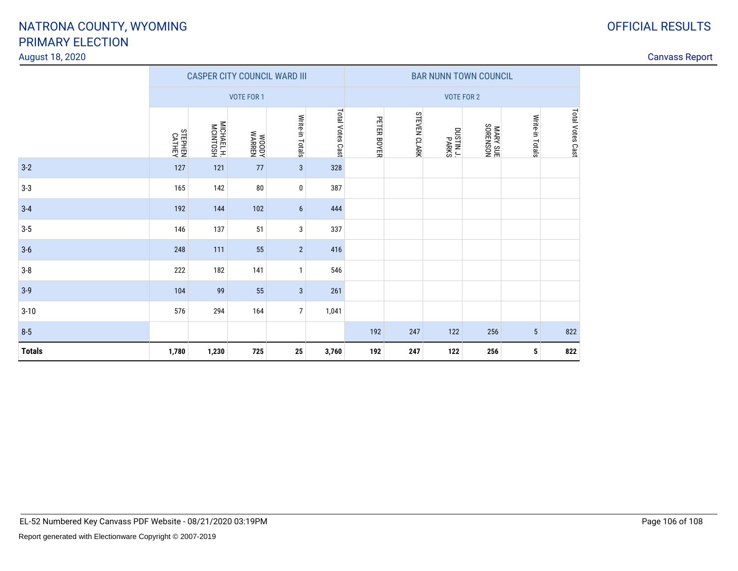### August 18, 2020

|               | <b>CASPER CITY COUNCIL WARD III</b> |                        |                 |                 |                  |                   | <b>BAR NUNN TOWN COUNCIL</b> |                           |          |                 |                  |
|---------------|-------------------------------------|------------------------|-----------------|-----------------|------------------|-------------------|------------------------------|---------------------------|----------|-----------------|------------------|
|               |                                     |                        | VOTE FOR 1      |                 |                  | <b>VOTE FOR 2</b> |                              |                           |          |                 |                  |
|               | <b>CATHEN</b><br>CATHEY             | MICHAEL H.<br>MCINTOSH | WOODY<br>WARREN | Write-in Totals | Total Votes Cast | PETER BOYER       | <b>STEVEN CLARK</b>          | <b>SXBAP</b><br>TC NITSUO | MARY SUE | Write-in Totals | Total Votes Cast |
| $3-2$         | 127                                 | 121                    | 77              | $\mathbf{3}$    | 328              |                   |                              |                           |          |                 |                  |
| $3-3$         | 165                                 | 142                    | 80              | 0               | 387              |                   |                              |                           |          |                 |                  |
| $3 - 4$       | 192                                 | 144                    | 102             | $6\phantom{1}$  | 444              |                   |                              |                           |          |                 |                  |
| $3-5$         | 146                                 | 137                    | 51              | 3               | 337              |                   |                              |                           |          |                 |                  |
| $3-6$         | 248                                 | 111                    | 55              | $\overline{2}$  | 416              |                   |                              |                           |          |                 |                  |
| $3-8$         | 222                                 | 182                    | 141             | $\mathbf{1}$    | 546              |                   |                              |                           |          |                 |                  |
| $3-9$         | 104                                 | 99                     | 55              | $\mathbf{3}$    | 261              |                   |                              |                           |          |                 |                  |
| $3 - 10$      | 576                                 | 294                    | 164             | $\overline{7}$  | 1,041            |                   |                              |                           |          |                 |                  |
| $8-5$         |                                     |                        |                 |                 |                  | 192               | 247                          | 122                       | 256      | 5               | 822              |
| <b>Totals</b> | 1,780                               | 1,230                  | 725             | 25              | 3,760            | 192               | 247                          | 122                       | 256      | 5               | 822              |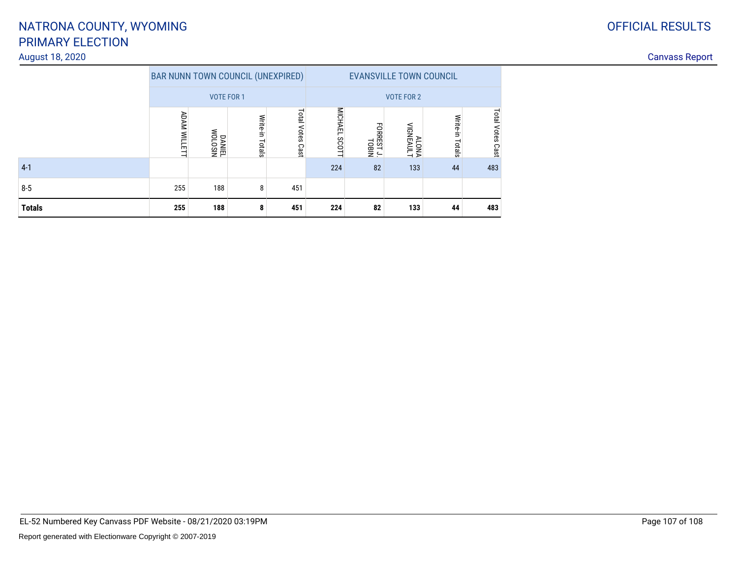### August 18, 2020

| <b>OFFICIAL RESULTS</b> |
|-------------------------|
|                         |

|               |                    | <b>BAR NUNN TOWN COUNCIL (UNEXPIRED)</b> |                    |                        | <b>EVANSVILLE TOWN COUNCIL</b> |                    |                   |                    |                  |
|---------------|--------------------|------------------------------------------|--------------------|------------------------|--------------------------------|--------------------|-------------------|--------------------|------------------|
|               |                    | <b>VOTE FOR 1</b>                        |                    |                        | <b>VOTE FOR 2</b>              |                    |                   |                    |                  |
|               | <b>ADAM WILLET</b> | NISOTOM<br>TEINVO                        | Write-in<br>Totals | Total<br>Votes<br>Cast | <b>MICHAEL</b><br><b>SCOTT</b> | FOREST J.<br>TOBIN | ALONA<br>MGNEAULT | Write-in<br>Totals | Total Votes Cast |
| $4-1$         |                    |                                          |                    |                        | 224                            | 82                 | 133               | 44                 | 483              |
| $8 - 5$       | 255                | 188                                      | 8                  | 451                    |                                |                    |                   |                    |                  |
| <b>Totals</b> | 255                | 188                                      | 8                  | 451                    | 224                            | 82                 | 133               | 44                 | 483              |